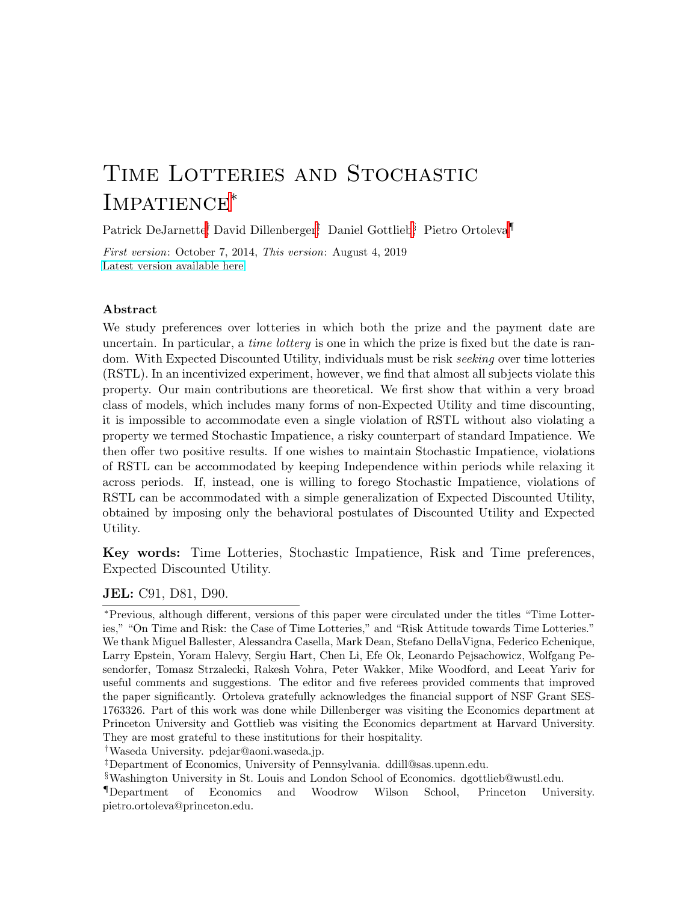## TIME LOTTERIES AND STOCHASTIC IMPATIENCE<sup>\*</sup>

Patrick DeJarnette<sup>†</sup>, David Dillenberger<sup>†</sup>, Daniel Gottlieb<sup>§</sup>, Pietro Ortoleva<sup>¶</sup>

First version: October 7, 2014, This version: August 4, 2019 [Latest version available here](http://ortoleva.mycpanel.princeton.edu/papers/TimeLotteries.pdf)

#### Abstract

We study preferences over lotteries in which both the prize and the payment date are uncertain. In particular, a *time lottery* is one in which the prize is fixed but the date is random. With Expected Discounted Utility, individuals must be risk seeking over time lotteries (RSTL). In an incentivized experiment, however, we find that almost all subjects violate this property. Our main contributions are theoretical. We first show that within a very broad class of models, which includes many forms of non-Expected Utility and time discounting, it is impossible to accommodate even a single violation of RSTL without also violating a property we termed Stochastic Impatience, a risky counterpart of standard Impatience. We then offer two positive results. If one wishes to maintain Stochastic Impatience, violations of RSTL can be accommodated by keeping Independence within periods while relaxing it across periods. If, instead, one is willing to forego Stochastic Impatience, violations of RSTL can be accommodated with a simple generalization of Expected Discounted Utility, obtained by imposing only the behavioral postulates of Discounted Utility and Expected Utility.

Key words: Time Lotteries, Stochastic Impatience, Risk and Time preferences, Expected Discounted Utility.

JEL: C91, D81, D90.

†Waseda University. pdejar@aoni.waseda.jp.

<sup>∗</sup>Previous, although different, versions of this paper were circulated under the titles "Time Lotteries," "On Time and Risk: the Case of Time Lotteries," and "Risk Attitude towards Time Lotteries." We thank Miguel Ballester, Alessandra Casella, Mark Dean, Stefano DellaVigna, Federico Echenique, Larry Epstein, Yoram Halevy, Sergiu Hart, Chen Li, Efe Ok, Leonardo Pejsachowicz, Wolfgang Pesendorfer, Tomasz Strzalecki, Rakesh Vohra, Peter Wakker, Mike Woodford, and Leeat Yariv for useful comments and suggestions. The editor and five referees provided comments that improved the paper significantly. Ortoleva gratefully acknowledges the financial support of NSF Grant SES-1763326. Part of this work was done while Dillenberger was visiting the Economics department at Princeton University and Gottlieb was visiting the Economics department at Harvard University. They are most grateful to these institutions for their hospitality.

<sup>‡</sup>Department of Economics, University of Pennsylvania. ddill@sas.upenn.edu.

<sup>§</sup>Washington University in St. Louis and London School of Economics. dgottlieb@wustl.edu.

<sup>¶</sup>Department of Economics and Woodrow Wilson School, Princeton University. pietro.ortoleva@princeton.edu.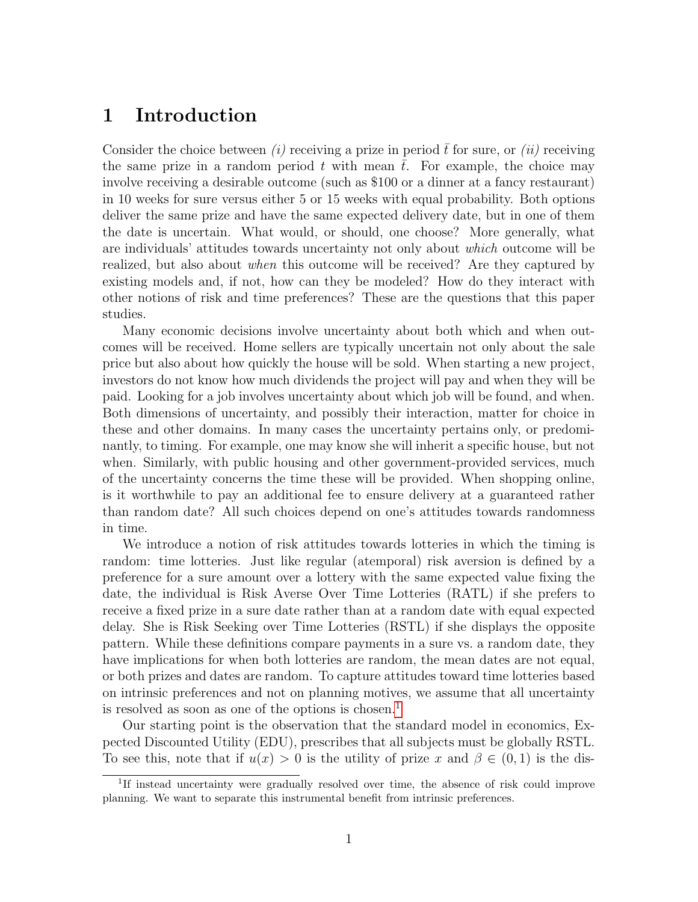## 1 Introduction

Consider the choice between (i) receiving a prize in period  $\bar{t}$  for sure, or (ii) receiving the same prize in a random period  $t$  with mean  $t$ . For example, the choice may involve receiving a desirable outcome (such as \$100 or a dinner at a fancy restaurant) in 10 weeks for sure versus either 5 or 15 weeks with equal probability. Both options deliver the same prize and have the same expected delivery date, but in one of them the date is uncertain. What would, or should, one choose? More generally, what are individuals' attitudes towards uncertainty not only about which outcome will be realized, but also about when this outcome will be received? Are they captured by existing models and, if not, how can they be modeled? How do they interact with other notions of risk and time preferences? These are the questions that this paper studies.

Many economic decisions involve uncertainty about both which and when outcomes will be received. Home sellers are typically uncertain not only about the sale price but also about how quickly the house will be sold. When starting a new project, investors do not know how much dividends the project will pay and when they will be paid. Looking for a job involves uncertainty about which job will be found, and when. Both dimensions of uncertainty, and possibly their interaction, matter for choice in these and other domains. In many cases the uncertainty pertains only, or predominantly, to timing. For example, one may know she will inherit a specific house, but not when. Similarly, with public housing and other government-provided services, much of the uncertainty concerns the time these will be provided. When shopping online, is it worthwhile to pay an additional fee to ensure delivery at a guaranteed rather than random date? All such choices depend on one's attitudes towards randomness in time.

We introduce a notion of risk attitudes towards lotteries in which the timing is random: time lotteries. Just like regular (atemporal) risk aversion is defined by a preference for a sure amount over a lottery with the same expected value fixing the date, the individual is Risk Averse Over Time Lotteries (RATL) if she prefers to receive a fixed prize in a sure date rather than at a random date with equal expected delay. She is Risk Seeking over Time Lotteries (RSTL) if she displays the opposite pattern. While these definitions compare payments in a sure vs. a random date, they have implications for when both lotteries are random, the mean dates are not equal, or both prizes and dates are random. To capture attitudes toward time lotteries based on intrinsic preferences and not on planning motives, we assume that all uncertainty is resolved as soon as one of the options is chosen.<sup>[1](#page-1-0)</sup>

Our starting point is the observation that the standard model in economics, Expected Discounted Utility (EDU), prescribes that all subjects must be globally RSTL. To see this, note that if  $u(x) > 0$  is the utility of prize x and  $\beta \in (0,1)$  is the dis-

<span id="page-1-0"></span><sup>&</sup>lt;sup>1</sup>If instead uncertainty were gradually resolved over time, the absence of risk could improve planning. We want to separate this instrumental benefit from intrinsic preferences.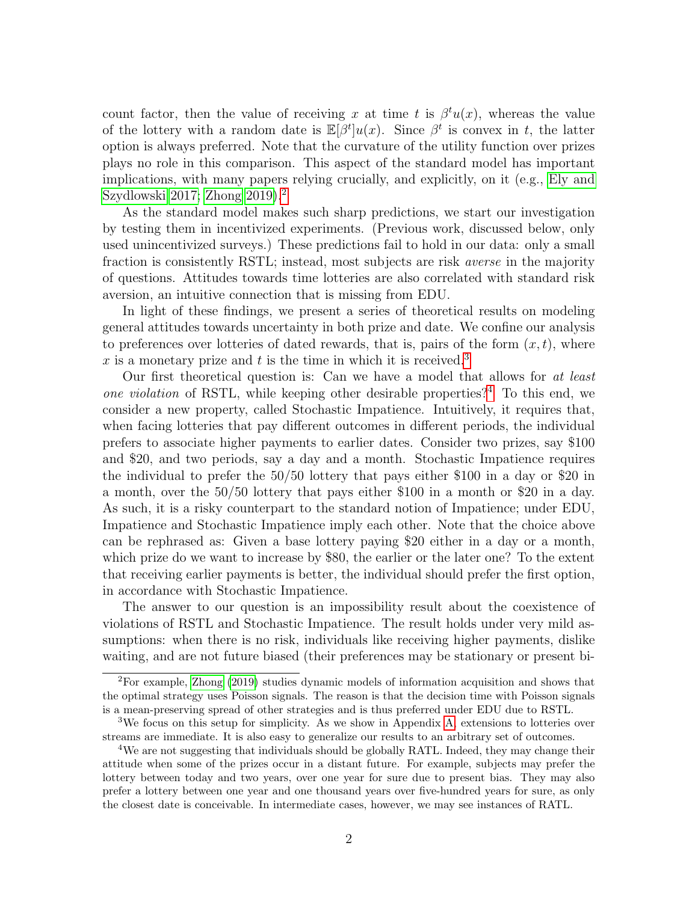count factor, then the value of receiving x at time t is  $\beta^t u(x)$ , whereas the value of the lottery with a random date is  $\mathbb{E}[\beta^t]u(x)$ . Since  $\beta^t$  is convex in t, the latter option is always preferred. Note that the curvature of the utility function over prizes plays no role in this comparison. This aspect of the standard model has important implications, with many papers relying crucially, and explicitly, on it (e.g., [Ely and](#page-42-0) [Szydlowski 2017;](#page-42-0) [Zhong 2019\)](#page-43-0).[2](#page-2-0)

As the standard model makes such sharp predictions, we start our investigation by testing them in incentivized experiments. (Previous work, discussed below, only used unincentivized surveys.) These predictions fail to hold in our data: only a small fraction is consistently RSTL; instead, most subjects are risk averse in the majority of questions. Attitudes towards time lotteries are also correlated with standard risk aversion, an intuitive connection that is missing from EDU.

In light of these findings, we present a series of theoretical results on modeling general attitudes towards uncertainty in both prize and date. We confine our analysis to preferences over lotteries of dated rewards, that is, pairs of the form  $(x, t)$ , where x is a monetary prize and t is the time in which it is received.<sup>[3](#page-2-1)</sup>

Our first theoretical question is: Can we have a model that allows for at least one violation of RSTL, while keeping other desirable properties?<sup>[4](#page-2-2)</sup> To this end, we consider a new property, called Stochastic Impatience. Intuitively, it requires that, when facing lotteries that pay different outcomes in different periods, the individual prefers to associate higher payments to earlier dates. Consider two prizes, say \$100 and \$20, and two periods, say a day and a month. Stochastic Impatience requires the individual to prefer the 50/50 lottery that pays either \$100 in a day or \$20 in a month, over the 50/50 lottery that pays either \$100 in a month or \$20 in a day. As such, it is a risky counterpart to the standard notion of Impatience; under EDU, Impatience and Stochastic Impatience imply each other. Note that the choice above can be rephrased as: Given a base lottery paying \$20 either in a day or a month, which prize do we want to increase by \$80, the earlier or the later one? To the extent that receiving earlier payments is better, the individual should prefer the first option, in accordance with Stochastic Impatience.

The answer to our question is an impossibility result about the coexistence of violations of RSTL and Stochastic Impatience. The result holds under very mild assumptions: when there is no risk, individuals like receiving higher payments, dislike waiting, and are not future biased (their preferences may be stationary or present bi-

<span id="page-2-0"></span><sup>2</sup>For example, [Zhong](#page-43-0) [\(2019\)](#page-43-0) studies dynamic models of information acquisition and shows that the optimal strategy uses Poisson signals. The reason is that the decision time with Poisson signals is a mean-preserving spread of other strategies and is thus preferred under EDU due to RSTL.

<span id="page-2-1"></span><sup>&</sup>lt;sup>3</sup>We focus on this setup for simplicity. As we show in Appendix [A,](#page-20-0) extensions to lotteries over streams are immediate. It is also easy to generalize our results to an arbitrary set of outcomes.

<span id="page-2-2"></span><sup>&</sup>lt;sup>4</sup>We are not suggesting that individuals should be globally RATL. Indeed, they may change their attitude when some of the prizes occur in a distant future. For example, subjects may prefer the lottery between today and two years, over one year for sure due to present bias. They may also prefer a lottery between one year and one thousand years over five-hundred years for sure, as only the closest date is conceivable. In intermediate cases, however, we may see instances of RATL.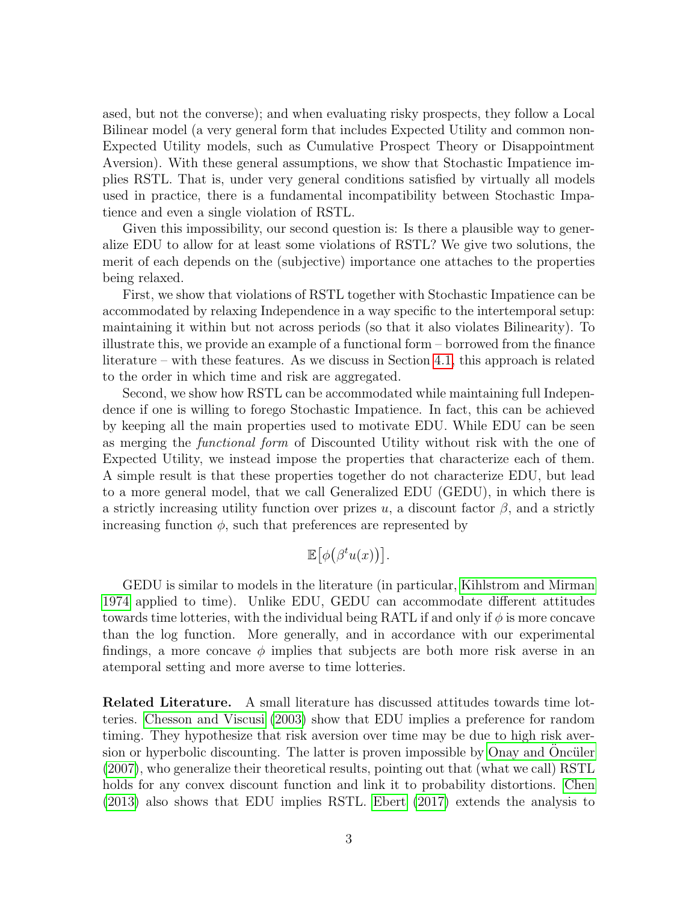ased, but not the converse); and when evaluating risky prospects, they follow a Local Bilinear model (a very general form that includes Expected Utility and common non-Expected Utility models, such as Cumulative Prospect Theory or Disappointment Aversion). With these general assumptions, we show that Stochastic Impatience implies RSTL. That is, under very general conditions satisfied by virtually all models used in practice, there is a fundamental incompatibility between Stochastic Impatience and even a single violation of RSTL.

Given this impossibility, our second question is: Is there a plausible way to generalize EDU to allow for at least some violations of RSTL? We give two solutions, the merit of each depends on the (subjective) importance one attaches to the properties being relaxed.

First, we show that violations of RSTL together with Stochastic Impatience can be accommodated by relaxing Independence in a way specific to the intertemporal setup: maintaining it within but not across periods (so that it also violates Bilinearity). To illustrate this, we provide an example of a functional form – borrowed from the finance literature – with these features. As we discuss in Section [4.1,](#page-13-0) this approach is related to the order in which time and risk are aggregated.

Second, we show how RSTL can be accommodated while maintaining full Independence if one is willing to forego Stochastic Impatience. In fact, this can be achieved by keeping all the main properties used to motivate EDU. While EDU can be seen as merging the functional form of Discounted Utility without risk with the one of Expected Utility, we instead impose the properties that characterize each of them. A simple result is that these properties together do not characterize EDU, but lead to a more general model, that we call Generalized EDU (GEDU), in which there is a strictly increasing utility function over prizes u, a discount factor  $\beta$ , and a strictly increasing function  $\phi$ , such that preferences are represented by

$$
\mathbb{E}[\phi(\beta^t u(x))].
$$

GEDU is similar to models in the literature (in particular, [Kihlstrom and Mirman](#page-43-1) [1974](#page-43-1) applied to time). Unlike EDU, GEDU can accommodate different attitudes towards time lotteries, with the individual being RATL if and only if  $\phi$  is more concave than the log function. More generally, and in accordance with our experimental findings, a more concave  $\phi$  implies that subjects are both more risk averse in an atemporal setting and more averse to time lotteries.

Related Literature. A small literature has discussed attitudes towards time lotteries. [Chesson and Viscusi](#page-41-0) [\(2003\)](#page-41-0) show that EDU implies a preference for random timing. They hypothesize that risk aversion over time may be due to high risk aver-sion or hyperbolic discounting. The latter is proven impossible by [Onay and](#page-43-2) Oncüler [\(2007\)](#page-43-2), who generalize their theoretical results, pointing out that (what we call) RSTL holds for any convex discount function and link it to probability distortions. [Chen](#page-41-1) [\(2013\)](#page-41-1) also shows that EDU implies RSTL. [Ebert](#page-42-1) [\(2017\)](#page-42-1) extends the analysis to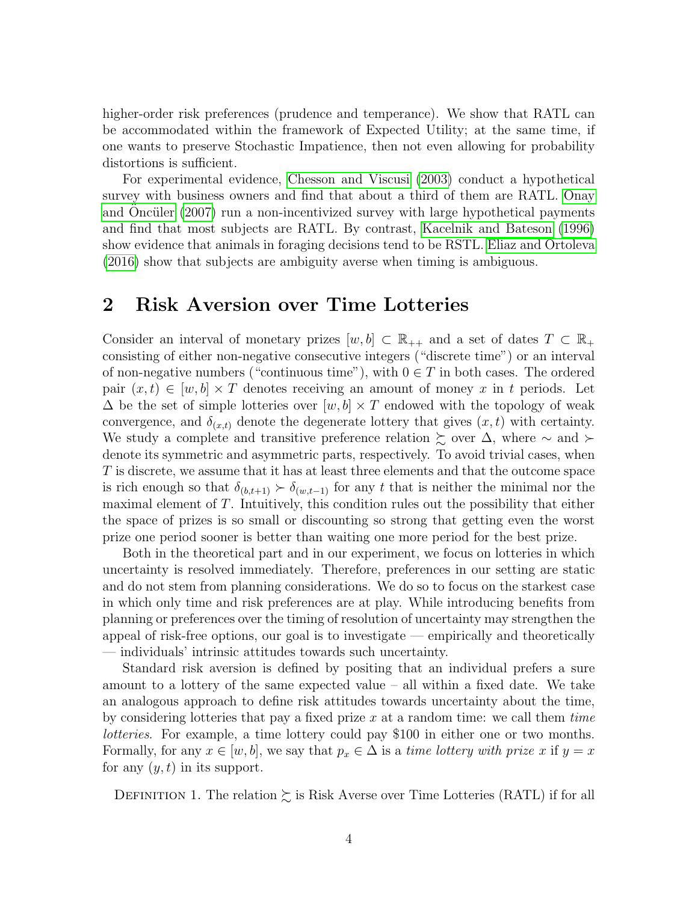higher-order risk preferences (prudence and temperance). We show that RATL can be accommodated within the framework of Expected Utility; at the same time, if one wants to preserve Stochastic Impatience, then not even allowing for probability distortions is sufficient.

For experimental evidence, [Chesson and Viscusi](#page-41-0) [\(2003\)](#page-41-0) conduct a hypothetical survey with business owners and find that about a third of them are RATL. [Onay](#page-43-2) and Oncüler  $(2007)$  run a non-incentivized survey with large hypothetical payments and find that most subjects are RATL. By contrast, [Kacelnik and Bateson](#page-43-3) [\(1996\)](#page-43-3) show evidence that animals in foraging decisions tend to be RSTL. [Eliaz and Ortoleva](#page-42-2) [\(2016\)](#page-42-2) show that subjects are ambiguity averse when timing is ambiguous.

## <span id="page-4-1"></span>2 Risk Aversion over Time Lotteries

Consider an interval of monetary prizes  $[w, b] \subset \mathbb{R}_{++}$  and a set of dates  $T \subset \mathbb{R}_{+}$ consisting of either non-negative consecutive integers ("discrete time") or an interval of non-negative numbers ("continuous time"), with  $0 \in T$  in both cases. The ordered pair  $(x, t) \in [w, b] \times T$  denotes receiving an amount of money x in t periods. Let  $\Delta$  be the set of simple lotteries over  $[w, b] \times T$  endowed with the topology of weak convergence, and  $\delta_{(x,t)}$  denote the degenerate lottery that gives  $(x, t)$  with certainty. We study a complete and transitive preference relation  $\succsim$  over  $\Delta$ , where  $\sim$  and  $\succ$ denote its symmetric and asymmetric parts, respectively. To avoid trivial cases, when T is discrete, we assume that it has at least three elements and that the outcome space is rich enough so that  $\delta_{(b,t+1)} \succ \delta_{(w,t-1)}$  for any t that is neither the minimal nor the maximal element of  $T$ . Intuitively, this condition rules out the possibility that either the space of prizes is so small or discounting so strong that getting even the worst prize one period sooner is better than waiting one more period for the best prize.

Both in the theoretical part and in our experiment, we focus on lotteries in which uncertainty is resolved immediately. Therefore, preferences in our setting are static and do not stem from planning considerations. We do so to focus on the starkest case in which only time and risk preferences are at play. While introducing benefits from planning or preferences over the timing of resolution of uncertainty may strengthen the appeal of risk-free options, our goal is to investigate — empirically and theoretically — individuals' intrinsic attitudes towards such uncertainty.

Standard risk aversion is defined by positing that an individual prefers a sure amount to a lottery of the same expected value – all within a fixed date. We take an analogous approach to define risk attitudes towards uncertainty about the time, by considering lotteries that pay a fixed prize x at a random time: we call them time lotteries. For example, a time lottery could pay \$100 in either one or two months. Formally, for any  $x \in [w, b]$ , we say that  $p_x \in \Delta$  is a time lottery with prize x if  $y = x$ for any  $(y, t)$  in its support.

<span id="page-4-0"></span>DEFINITION 1. The relation  $\succsim$  is Risk Averse over Time Lotteries (RATL) if for all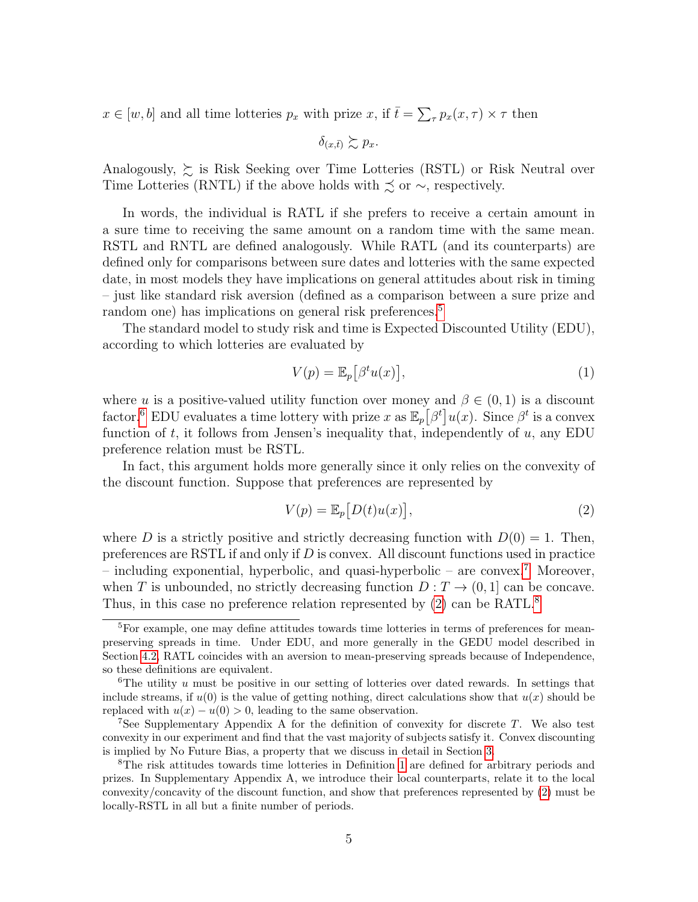$x \in [w, b]$  and all time lotteries  $p_x$  with prize  $x$ , if  $\bar{t} = \sum_{\tau} p_x(x, \tau) \times \tau$  then

 $\delta_{(x,\bar{t})} \succeq p_x$ .

Analogously,  $\succsim$  is Risk Seeking over Time Lotteries (RSTL) or Risk Neutral over Time Lotteries (RNTL) if the above holds with  $\precsim$  or  $\sim$ , respectively.

In words, the individual is RATL if she prefers to receive a certain amount in a sure time to receiving the same amount on a random time with the same mean. RSTL and RNTL are defined analogously. While RATL (and its counterparts) are defined only for comparisons between sure dates and lotteries with the same expected date, in most models they have implications on general attitudes about risk in timing – just like standard risk aversion (defined as a comparison between a sure prize and random one) has implications on general risk preferences.<sup>[5](#page-5-0)</sup>

The standard model to study risk and time is Expected Discounted Utility (EDU), according to which lotteries are evaluated by

$$
V(p) = \mathbb{E}_p[\beta^t u(x)],\tag{1}
$$

where u is a positive-valued utility function over money and  $\beta \in (0,1)$  is a discount factor.<sup>[6](#page-5-1)</sup> EDU evaluates a time lottery with prize x as  $\mathbb{E}_p\left[\beta^t\right]u(x)$ . Since  $\beta^t$  is a convex function of  $t$ , it follows from Jensen's inequality that, independently of  $u$ , any EDU preference relation must be RSTL.

In fact, this argument holds more generally since it only relies on the convexity of the discount function. Suppose that preferences are represented by

<span id="page-5-3"></span>
$$
V(p) = \mathbb{E}_p[D(t)u(x)],\tag{2}
$$

where D is a strictly positive and strictly decreasing function with  $D(0) = 1$ . Then, preferences are RSTL if and only if  $D$  is convex. All discount functions used in practice – including exponential, hyperbolic, and quasi-hyperbolic – are convex.<sup>[7](#page-5-2)</sup> Moreover, when T is unbounded, no strictly decreasing function  $D: T \to (0, 1]$  can be concave. Thus, in this case no preference relation represented by  $(2)$  can be RATL.<sup>[8](#page-5-4)</sup>

<span id="page-5-0"></span> $5$ For example, one may define attitudes towards time lotteries in terms of preferences for meanpreserving spreads in time. Under EDU, and more generally in the GEDU model described in Section [4.2,](#page-15-0) RATL coincides with an aversion to mean-preserving spreads because of Independence, so these definitions are equivalent.

<span id="page-5-1"></span> $6$ The utility u must be positive in our setting of lotteries over dated rewards. In settings that include streams, if  $u(0)$  is the value of getting nothing, direct calculations show that  $u(x)$  should be replaced with  $u(x) - u(0) > 0$ , leading to the same observation.

<span id="page-5-2"></span><sup>&</sup>lt;sup>7</sup>See Supplementary Appendix A for the definition of convexity for discrete  $T$ . We also test convexity in our experiment and find that the vast majority of subjects satisfy it. Convex discounting is implied by No Future Bias, a property that we discuss in detail in Section [3.](#page-8-0)

<span id="page-5-4"></span><sup>&</sup>lt;sup>8</sup>The risk attitudes towards time lotteries in Definition [1](#page-4-0) are defined for arbitrary periods and prizes. In Supplementary Appendix A, we introduce their local counterparts, relate it to the local convexity/concavity of the discount function, and show that preferences represented by [\(2\)](#page-5-3) must be locally-RSTL in all but a finite number of periods.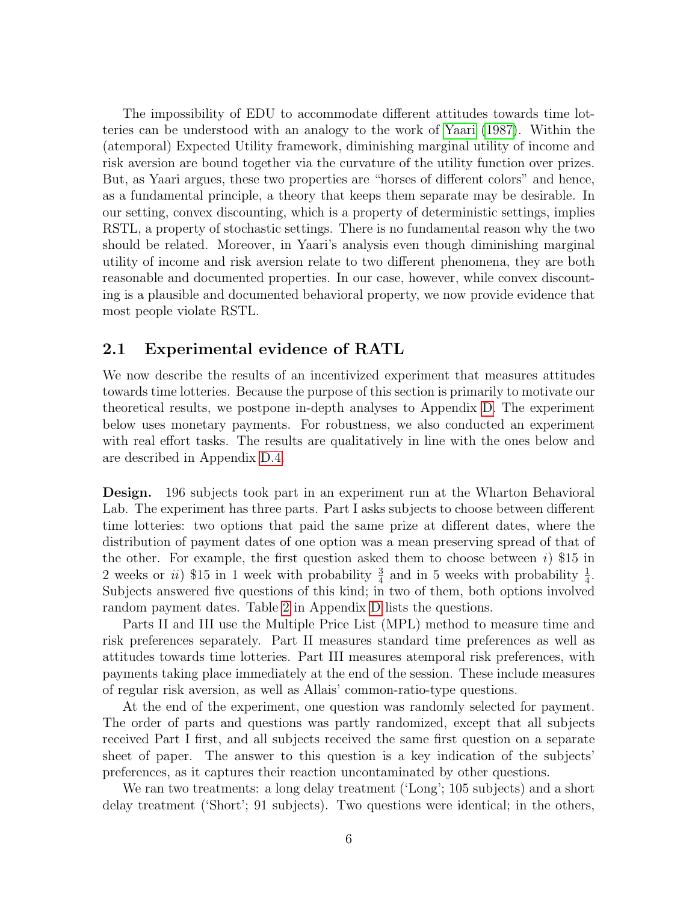The impossibility of EDU to accommodate different attitudes towards time lotteries can be understood with an analogy to the work of [Yaari](#page-43-4) [\(1987\)](#page-43-4). Within the (atemporal) Expected Utility framework, diminishing marginal utility of income and risk aversion are bound together via the curvature of the utility function over prizes. But, as Yaari argues, these two properties are "horses of different colors" and hence, as a fundamental principle, a theory that keeps them separate may be desirable. In our setting, convex discounting, which is a property of deterministic settings, implies RSTL, a property of stochastic settings. There is no fundamental reason why the two should be related. Moreover, in Yaari's analysis even though diminishing marginal utility of income and risk aversion relate to two different phenomena, they are both reasonable and documented properties. In our case, however, while convex discounting is a plausible and documented behavioral property, we now provide evidence that most people violate RSTL.

#### <span id="page-6-0"></span>2.1 Experimental evidence of RATL

We now describe the results of an incentivized experiment that measures attitudes towards time lotteries. Because the purpose of this section is primarily to motivate our theoretical results, we postpone in-depth analyses to Appendix [D.](#page-29-0) The experiment below uses monetary payments. For robustness, we also conducted an experiment with real effort tasks. The results are qualitatively in line with the ones below and are described in Appendix [D.4.](#page-37-0)

Design. 196 subjects took part in an experiment run at the Wharton Behavioral Lab. The experiment has three parts. Part I asks subjects to choose between different time lotteries: two options that paid the same prize at different dates, where the distribution of payment dates of one option was a mean preserving spread of that of the other. For example, the first question asked them to choose between  $i)$  \$15 in 2 weeks or *ii*) \$15 in 1 week with probability  $\frac{3}{4}$  and in 5 weeks with probability  $\frac{1}{4}$ . Subjects answered five questions of this kind; in two of them, both options involved random payment dates. Table [2](#page-31-0) in Appendix [D](#page-29-0) lists the questions.

Parts II and III use the Multiple Price List (MPL) method to measure time and risk preferences separately. Part II measures standard time preferences as well as attitudes towards time lotteries. Part III measures atemporal risk preferences, with payments taking place immediately at the end of the session. These include measures of regular risk aversion, as well as Allais' common-ratio-type questions.

At the end of the experiment, one question was randomly selected for payment. The order of parts and questions was partly randomized, except that all subjects received Part I first, and all subjects received the same first question on a separate sheet of paper. The answer to this question is a key indication of the subjects' preferences, as it captures their reaction uncontaminated by other questions.

We ran two treatments: a long delay treatment ('Long'; 105 subjects) and a short delay treatment ('Short'; 91 subjects). Two questions were identical; in the others,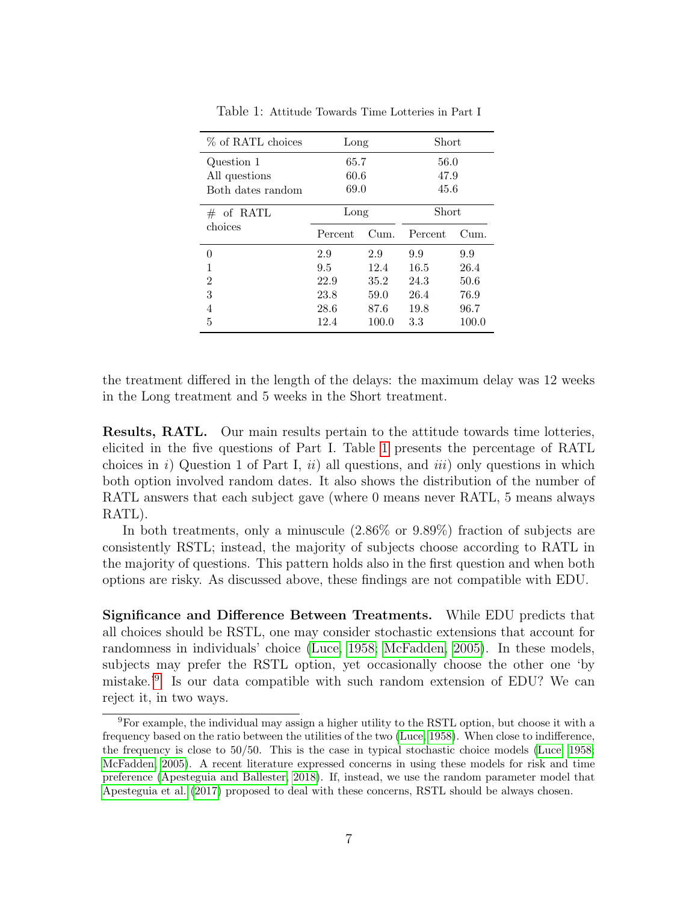<span id="page-7-0"></span>

| % of RATL choices | Long    |              | Short   |       |  |
|-------------------|---------|--------------|---------|-------|--|
| Question 1        | 65.7    |              | 56.0    |       |  |
| All questions     | 60.6    |              | 47.9    |       |  |
| Both dates random |         | 69.0<br>45.6 |         |       |  |
| of RATL<br>#      | Long    |              | Short   |       |  |
| choices           | Percent | Cum.         | Percent | Cum.  |  |
| 0                 | 2.9     | 2.9          | 9.9     | 9.9   |  |
| 1                 | 9.5     | 12.4         | 16.5    | 26.4  |  |
| 2                 | 22.9    | 35.2         | 24.3    | 50.6  |  |
| 3                 | 23.8    | 59.0         | 26.4    | 76.9  |  |
| 4                 | 28.6    | 87.6         | 19.8    | 96.7  |  |
| 5                 | 12.4    | 100.0        | 3.3     | 100.0 |  |

Table 1: Attitude Towards Time Lotteries in Part I

the treatment differed in the length of the delays: the maximum delay was 12 weeks in the Long treatment and 5 weeks in the Short treatment.

Results, RATL. Our main results pertain to the attitude towards time lotteries, elicited in the five questions of Part I. Table [1](#page-7-0) presents the percentage of RATL choices in i) Question 1 of Part I, ii) all questions, and iii) only questions in which both option involved random dates. It also shows the distribution of the number of RATL answers that each subject gave (where 0 means never RATL, 5 means always RATL).

In both treatments, only a minuscule (2.86% or 9.89%) fraction of subjects are consistently RSTL; instead, the majority of subjects choose according to RATL in the majority of questions. This pattern holds also in the first question and when both options are risky. As discussed above, these findings are not compatible with EDU.

Significance and Difference Between Treatments. While EDU predicts that all choices should be RSTL, one may consider stochastic extensions that account for randomness in individuals' choice [\(Luce, 1958;](#page-43-5) [McFadden, 2005\)](#page-43-6). In these models, subjects may prefer the RSTL option, yet occasionally choose the other one 'by mistake.'[9](#page-7-1) Is our data compatible with such random extension of EDU? We can reject it, in two ways.

<span id="page-7-1"></span><sup>9</sup>For example, the individual may assign a higher utility to the RSTL option, but choose it with a frequency based on the ratio between the utilities of the two [\(Luce, 1958\)](#page-43-5). When close to indifference, the frequency is close to 50/50. This is the case in typical stochastic choice models [\(Luce, 1958;](#page-43-5) [McFadden, 2005\)](#page-43-6). A recent literature expressed concerns in using these models for risk and time preference [\(Apesteguia and Ballester, 2018\)](#page-41-2). If, instead, we use the random parameter model that [Apesteguia et al.](#page-41-3) [\(2017\)](#page-41-3) proposed to deal with these concerns, RSTL should be always chosen.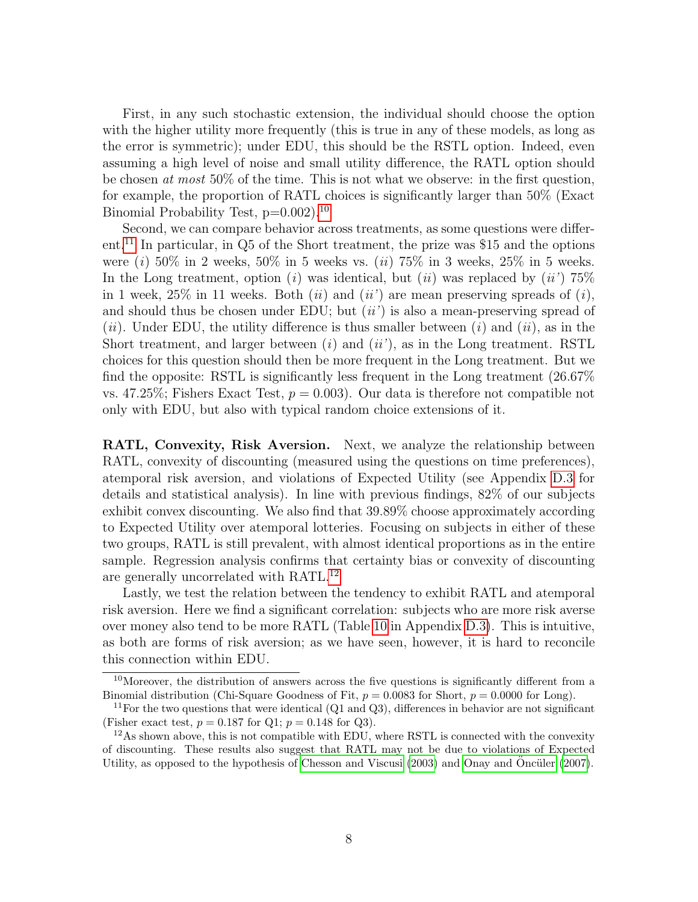First, in any such stochastic extension, the individual should choose the option with the higher utility more frequently (this is true in any of these models, as long as the error is symmetric); under EDU, this should be the RSTL option. Indeed, even assuming a high level of noise and small utility difference, the RATL option should be chosen at most 50% of the time. This is not what we observe: in the first question, for example, the proportion of RATL choices is significantly larger than 50% (Exact Binomial Probability Test,  $p=0.002$ )<sup>[10](#page-8-1)</sup>

Second, we can compare behavior across treatments, as some questions were different.[11](#page-8-2) In particular, in Q5 of the Short treatment, the prize was \$15 and the options were (i) 50% in 2 weeks, 50% in 5 weeks vs. (ii) 75% in 3 weeks, 25% in 5 weeks. In the Long treatment, option (i) was identical, but (ii) was replaced by (ii') 75% in 1 week, 25% in 11 weeks. Both  $(ii)$  and  $(ii')$  are mean preserving spreads of  $(i)$ , and should thus be chosen under EDU; but  $(ii')$  is also a mean-preserving spread of (ii). Under EDU, the utility difference is thus smaller between (i) and (ii), as in the Short treatment, and larger between  $(i)$  and  $(ii')$ , as in the Long treatment. RSTL choices for this question should then be more frequent in the Long treatment. But we find the opposite: RSTL is significantly less frequent in the Long treatment (26.67% vs. 47.25%; Fishers Exact Test,  $p = 0.003$ ). Our data is therefore not compatible not only with EDU, but also with typical random choice extensions of it.

RATL, Convexity, Risk Aversion. Next, we analyze the relationship between RATL, convexity of discounting (measured using the questions on time preferences), atemporal risk aversion, and violations of Expected Utility (see Appendix [D.3](#page-34-0) for details and statistical analysis). In line with previous findings, 82% of our subjects exhibit convex discounting. We also find that 39.89% choose approximately according to Expected Utility over atemporal lotteries. Focusing on subjects in either of these two groups, RATL is still prevalent, with almost identical proportions as in the entire sample. Regression analysis confirms that certainty bias or convexity of discounting are generally uncorrelated with RATL.<sup>[12](#page-8-3)</sup>

Lastly, we test the relation between the tendency to exhibit RATL and atemporal risk aversion. Here we find a significant correlation: subjects who are more risk averse over money also tend to be more RATL (Table [10](#page-38-0) in Appendix [D.3\)](#page-34-0). This is intuitive, as both are forms of risk aversion; as we have seen, however, it is hard to reconcile this connection within EDU.

<span id="page-8-1"></span><span id="page-8-0"></span><sup>&</sup>lt;sup>10</sup>Moreover, the distribution of answers across the five questions is significantly different from a Binomial distribution (Chi-Square Goodness of Fit,  $p = 0.0083$  for Short,  $p = 0.0000$  for Long).

<span id="page-8-2"></span><sup>&</sup>lt;sup>11</sup>For the two questions that were identical  $(Q1 \text{ and } Q3)$ , differences in behavior are not significant (Fisher exact test,  $p = 0.187$  for Q1;  $p = 0.148$  for Q3).

<span id="page-8-3"></span> $12\text{As}$  shown above, this is not compatible with EDU, where RSTL is connected with the convexity of discounting. These results also suggest that RATL may not be due to violations of Expected Utility, as opposed to the hypothesis of [Chesson and Viscusi](#page-41-0)  $(2003)$  and [Onay and](#page-43-2) Oncüler  $(2007)$ .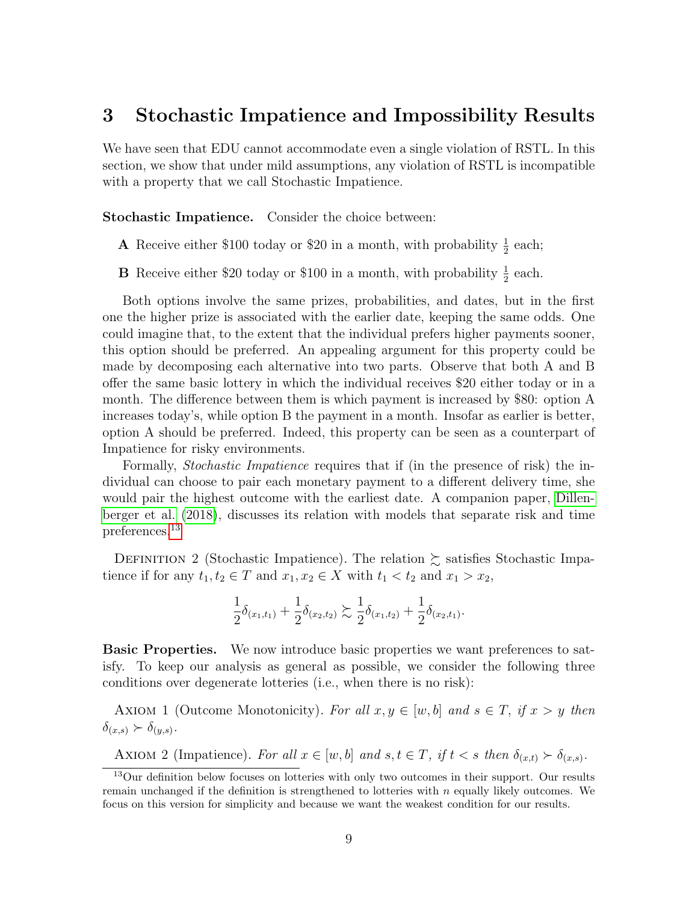### 3 Stochastic Impatience and Impossibility Results

We have seen that EDU cannot accommodate even a single violation of RSTL. In this section, we show that under mild assumptions, any violation of RSTL is incompatible with a property that we call Stochastic Impatience.

Stochastic Impatience. Consider the choice between:

A Receive either \$100 today or \$20 in a month, with probability  $\frac{1}{2}$  each;

**B** Receive either \$20 today or \$100 in a month, with probability  $\frac{1}{2}$  each.

Both options involve the same prizes, probabilities, and dates, but in the first one the higher prize is associated with the earlier date, keeping the same odds. One could imagine that, to the extent that the individual prefers higher payments sooner, this option should be preferred. An appealing argument for this property could be made by decomposing each alternative into two parts. Observe that both A and B offer the same basic lottery in which the individual receives \$20 either today or in a month. The difference between them is which payment is increased by \$80: option A increases today's, while option B the payment in a month. Insofar as earlier is better, option A should be preferred. Indeed, this property can be seen as a counterpart of Impatience for risky environments.

Formally, Stochastic Impatience requires that if (in the presence of risk) the individual can choose to pair each monetary payment to a different delivery time, she would pair the highest outcome with the earliest date. A companion paper, [Dillen](#page-42-3)[berger et al.](#page-42-3) [\(2018\)](#page-42-3), discusses its relation with models that separate risk and time preferences.[13](#page-9-0)

DEFINITION 2 (Stochastic Impatience). The relation  $\succsim$  satisfies Stochastic Impatience if for any  $t_1, t_2 \in T$  and  $x_1, x_2 \in X$  with  $t_1 < t_2$  and  $x_1 > x_2$ ,

$$
\frac{1}{2}\delta_{(x_1,t_1)} + \frac{1}{2}\delta_{(x_2,t_2)} \gtrsim \frac{1}{2}\delta_{(x_1,t_2)} + \frac{1}{2}\delta_{(x_2,t_1)}.
$$

**Basic Properties.** We now introduce basic properties we want preferences to satisfy. To keep our analysis as general as possible, we consider the following three conditions over degenerate lotteries (i.e., when there is no risk):

<span id="page-9-1"></span>AXIOM 1 (Outcome Monotonicity). For all  $x, y \in [w, b]$  and  $s \in T$ , if  $x > y$  then  $\delta_{(x,s)} \succ \delta_{(y,s)}.$ 

<span id="page-9-2"></span>AXIOM 2 (Impatience). For all  $x \in [w, b]$  and  $s, t \in T$ , if  $t < s$  then  $\delta_{(x,t)} \succ \delta_{(x,s)}$ .

<span id="page-9-0"></span><sup>13</sup>Our definition below focuses on lotteries with only two outcomes in their support. Our results remain unchanged if the definition is strengthened to lotteries with  $n$  equally likely outcomes. We focus on this version for simplicity and because we want the weakest condition for our results.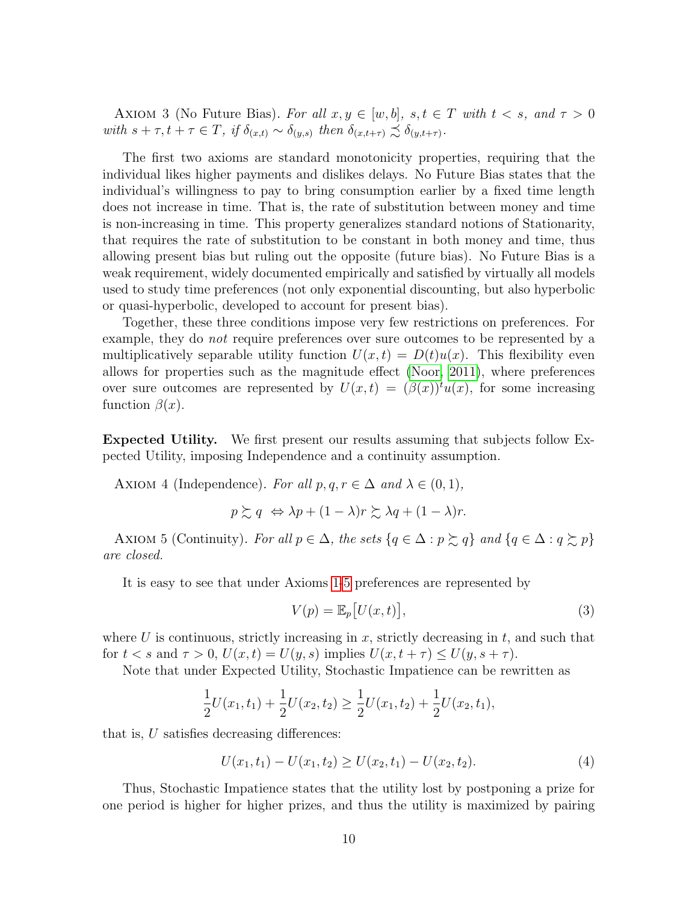<span id="page-10-2"></span>AXIOM 3 (No Future Bias). For all  $x, y \in [w, b]$ ,  $s, t \in T$  with  $t < s$ , and  $\tau > 0$ with  $s + \tau, t + \tau \in T$ , if  $\delta_{(x,t)} \sim \delta_{(y,s)}$  then  $\delta_{(x,t+\tau)} \precsim \delta_{(y,t+\tau)}$ .

The first two axioms are standard monotonicity properties, requiring that the individual likes higher payments and dislikes delays. No Future Bias states that the individual's willingness to pay to bring consumption earlier by a fixed time length does not increase in time. That is, the rate of substitution between money and time is non-increasing in time. This property generalizes standard notions of Stationarity, that requires the rate of substitution to be constant in both money and time, thus allowing present bias but ruling out the opposite (future bias). No Future Bias is a weak requirement, widely documented empirically and satisfied by virtually all models used to study time preferences (not only exponential discounting, but also hyperbolic or quasi-hyperbolic, developed to account for present bias).

Together, these three conditions impose very few restrictions on preferences. For example, they do *not* require preferences over sure outcomes to be represented by a multiplicatively separable utility function  $U(x,t) = D(t)u(x)$ . This flexibility even allows for properties such as the magnitude effect [\(Noor, 2011\)](#page-43-7), where preferences over sure outcomes are represented by  $U(x,t) = (\beta(x))^t u(x)$ , for some increasing function  $\beta(x)$ .

Expected Utility. We first present our results assuming that subjects follow Expected Utility, imposing Independence and a continuity assumption.

<span id="page-10-4"></span>AXIOM 4 (Independence). For all  $p, q, r \in \Delta$  and  $\lambda \in (0, 1)$ ,

$$
p \succsim q \Leftrightarrow \lambda p + (1 - \lambda)r \succsim \lambda q + (1 - \lambda)r.
$$

<span id="page-10-0"></span>AXIOM 5 (Continuity). For all  $p \in \Delta$ , the sets  $\{q \in \Delta : p \succsim q\}$  and  $\{q \in \Delta : q \succsim p\}$ are closed.

It is easy to see that under Axioms [1-](#page-9-1)[5](#page-10-0) preferences are represented by

<span id="page-10-1"></span>
$$
V(p) = \mathbb{E}_p[U(x,t)],\tag{3}
$$

where  $U$  is continuous, strictly increasing in  $x$ , strictly decreasing in  $t$ , and such that for  $t < s$  and  $\tau > 0$ ,  $U(x,t) = U(y,s)$  implies  $U(x,t+\tau) \leq U(y,s+\tau)$ .

Note that under Expected Utility, Stochastic Impatience can be rewritten as

$$
\frac{1}{2}U(x_1, t_1) + \frac{1}{2}U(x_2, t_2) \ge \frac{1}{2}U(x_1, t_2) + \frac{1}{2}U(x_2, t_1),
$$

that is, U satisfies decreasing differences:

<span id="page-10-3"></span>
$$
U(x_1, t_1) - U(x_1, t_2) \ge U(x_2, t_1) - U(x_2, t_2). \tag{4}
$$

Thus, Stochastic Impatience states that the utility lost by postponing a prize for one period is higher for higher prizes, and thus the utility is maximized by pairing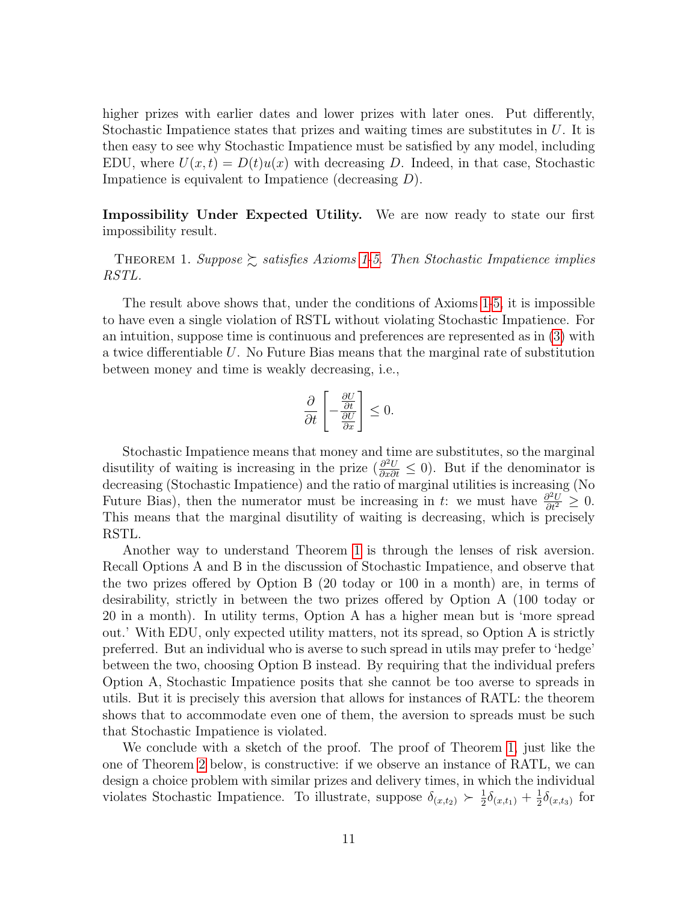higher prizes with earlier dates and lower prizes with later ones. Put differently, Stochastic Impatience states that prizes and waiting times are substitutes in  $U$ . It is then easy to see why Stochastic Impatience must be satisfied by any model, including EDU, where  $U(x,t) = D(t)u(x)$  with decreasing D. Indeed, in that case, Stochastic Impatience is equivalent to Impatience (decreasing  $D$ ).

Impossibility Under Expected Utility. We are now ready to state our first impossibility result.

<span id="page-11-0"></span>THEOREM [1](#page-9-1). Suppose  $\gtrsim$  satisfies Axioms 1[-5.](#page-10-0) Then Stochastic Impatience implies RSTL.

The result above shows that, under the conditions of Axioms [1-](#page-9-1)[5,](#page-10-0) it is impossible to have even a single violation of RSTL without violating Stochastic Impatience. For an intuition, suppose time is continuous and preferences are represented as in [\(3\)](#page-10-1) with a twice differentiable U. No Future Bias means that the marginal rate of substitution between money and time is weakly decreasing, i.e.,

$$
\frac{\partial}{\partial t} \left[ -\frac{\frac{\partial U}{\partial t}}{\frac{\partial U}{\partial x}} \right] \leq 0.
$$

Stochastic Impatience means that money and time are substitutes, so the marginal disutility of waiting is increasing in the prize  $\left(\frac{\partial^2 U}{\partial x \partial t} \leq 0\right)$ . But if the denominator is decreasing (Stochastic Impatience) and the ratio of marginal utilities is increasing (No Future Bias), then the numerator must be increasing in t: we must have  $\frac{\partial^2 U}{\partial t^2} \geq 0$ . This means that the marginal disutility of waiting is decreasing, which is precisely RSTL.

Another way to understand Theorem [1](#page-11-0) is through the lenses of risk aversion. Recall Options A and B in the discussion of Stochastic Impatience, and observe that the two prizes offered by Option B (20 today or 100 in a month) are, in terms of desirability, strictly in between the two prizes offered by Option A (100 today or 20 in a month). In utility terms, Option A has a higher mean but is 'more spread out.' With EDU, only expected utility matters, not its spread, so Option A is strictly preferred. But an individual who is averse to such spread in utils may prefer to 'hedge' between the two, choosing Option B instead. By requiring that the individual prefers Option A, Stochastic Impatience posits that she cannot be too averse to spreads in utils. But it is precisely this aversion that allows for instances of RATL: the theorem shows that to accommodate even one of them, the aversion to spreads must be such that Stochastic Impatience is violated.

We conclude with a sketch of the proof. The proof of Theorem [1,](#page-11-0) just like the one of Theorem [2](#page-13-1) below, is constructive: if we observe an instance of RATL, we can design a choice problem with similar prizes and delivery times, in which the individual violates Stochastic Impatience. To illustrate, suppose  $\delta_{(x,t_2)} \succ \frac{1}{2}$  $\frac{1}{2}\delta_{(x,t_1)}+\frac{1}{2}$  $\frac{1}{2}\delta_{(x,t_3)}$  for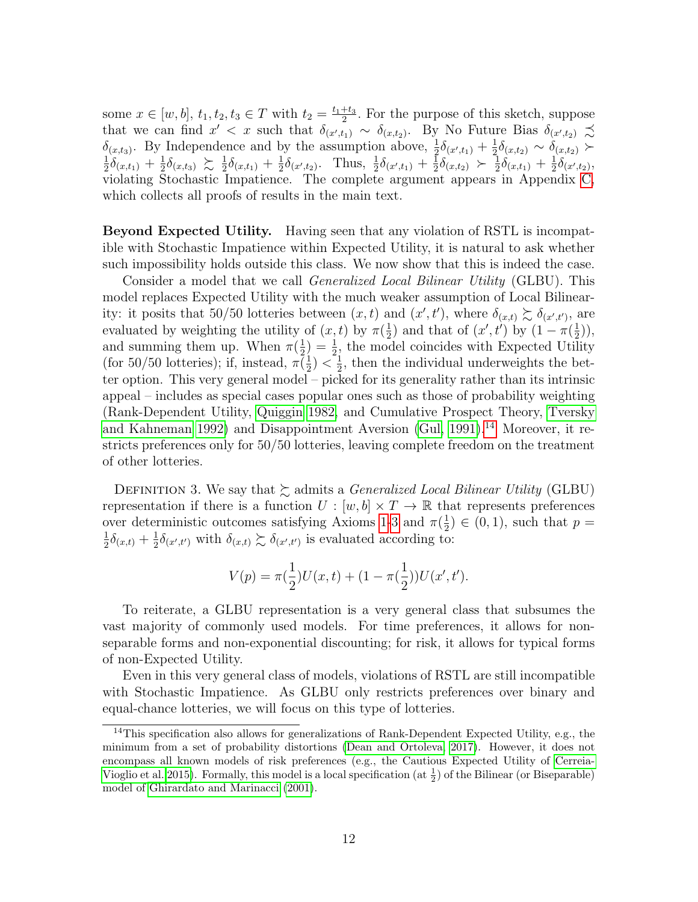some  $x \in [w, b], t_1, t_2, t_3 \in T$  with  $t_2 = \frac{t_1 + t_3}{2}$  $\frac{+t_3}{2}$ . For the purpose of this sketch, suppose that we can find  $x' < x$  such that  $\delta_{(x',t_1)} \sim \delta_{(x,t_2)}$ . By No Future Bias  $\delta_{(x',t_2)} \precsim$  $\delta_{(x,t_3)}$ . By Independence and by the assumption above,  $\frac{1}{2}\delta_{(x',t_1)} + \frac{1}{2}$  $\delta_{(x,t_3)}$ . By Independence and by the assumption above,  $\frac{1}{2}\delta_{(x',t_1)} + \frac{1}{2}\delta_{(x,t_2)} \sim \delta_{(x,t_2)} \succ$  $\frac{1}{2}\delta_{(x,t_1)}+\frac{1}{2}$  $\frac{1}{2}\delta_{(x,t_3)} \succsim \frac{1}{2}$  $\frac{1}{2}\delta_{(x,t_1)} + \frac{1}{2}$  $\frac{1}{2}\delta_{(x',t_2)}$ . Thus,  $\frac{1}{2}\delta_{(x',t_1)} + \frac{1}{2}$  $\frac{1}{2}\delta_{(x,t_2)}$   $\succ$   $\frac{1}{2}$  $\frac{1}{2}\delta_{(x,t_1)}+\frac{1}{2}$  $\frac{1}{2}\delta_{(x',t_2)},$ violating Stochastic Impatience. The complete argument appears in Appendix [C,](#page-23-0) which collects all proofs of results in the main text.

Beyond Expected Utility. Having seen that any violation of RSTL is incompatible with Stochastic Impatience within Expected Utility, it is natural to ask whether such impossibility holds outside this class. We now show that this is indeed the case.

Consider a model that we call *Generalized Local Bilinear Utility* (GLBU). This model replaces Expected Utility with the much weaker assumption of Local Bilinearity: it posits that 50/50 lotteries between  $(x,t)$  and  $(x',t')$ , where  $\delta_{(x,t)} \gtrsim \delta_{(x',t')}$ , are evaluated by weighting the utility of  $(x, t)$  by  $\pi(\frac{1}{2})$  $\frac{1}{2}$ ) and that of  $(x', t')$  by  $(1 - \pi(\frac{1}{2}))$  $(\frac{1}{2})$ , and summing them up. When  $\pi(\frac{1}{2})$  $(\frac{1}{2}) = \frac{1}{2}$ , the model coincides with Expected Utility (for 50/50 lotteries); if, instead,  $\pi(\frac{1}{2})$  $(\frac{1}{2}) < \frac{1}{2}$  $\frac{1}{2}$ , then the individual underweights the better option. This very general model – picked for its generality rather than its intrinsic appeal – includes as special cases popular ones such as those of probability weighting (Rank-Dependent Utility, [Quiggin 1982,](#page-43-8) and Cumulative Prospect Theory, [Tversky](#page-43-9) [and Kahneman 1992\)](#page-43-9) and Disappointment Aversion [\(Gul, 1991\)](#page-42-4).<sup>[14](#page-12-0)</sup> Moreover, it restricts preferences only for 50/50 lotteries, leaving complete freedom on the treatment of other lotteries.

DEFINITION 3. We say that  $\gtrsim$  admits a *Generalized Local Bilinear Utility* (GLBU) representation if there is a function  $U : [w, b] \times T \to \mathbb{R}$  that represents preferences over deterministic outcomes satisfying Axioms [1-](#page-9-1)[3](#page-10-2) and  $\pi(\frac{1}{2})$  $(\frac{1}{2}) \in (0,1)$ , such that  $p =$ 1  $\frac{1}{2}\delta_{(x,t)} + \frac{1}{2}$  $\frac{1}{2}\delta_{(x',t')}$  with  $\delta_{(x,t)} \gtrsim \delta_{(x',t')}$  is evaluated according to:

$$
V(p) = \pi(\frac{1}{2})U(x,t) + (1 - \pi(\frac{1}{2}))U(x',t').
$$

To reiterate, a GLBU representation is a very general class that subsumes the vast majority of commonly used models. For time preferences, it allows for nonseparable forms and non-exponential discounting; for risk, it allows for typical forms of non-Expected Utility.

Even in this very general class of models, violations of RSTL are still incompatible with Stochastic Impatience. As GLBU only restricts preferences over binary and equal-chance lotteries, we will focus on this type of lotteries.

<span id="page-12-0"></span><sup>&</sup>lt;sup>14</sup>This specification also allows for generalizations of Rank-Dependent Expected Utility, e.g., the minimum from a set of probability distortions [\(Dean and Ortoleva, 2017\)](#page-42-5). However, it does not encompass all known models of risk preferences (e.g., the Cautious Expected Utility of [Cerreia-](#page-41-4)[Vioglio et al. 2015\)](#page-41-4). Formally, this model is a local specification (at  $\frac{1}{2}$ ) of the Bilinear (or Biseparable) model of [Ghirardato and Marinacci](#page-42-6) [\(2001\)](#page-42-6).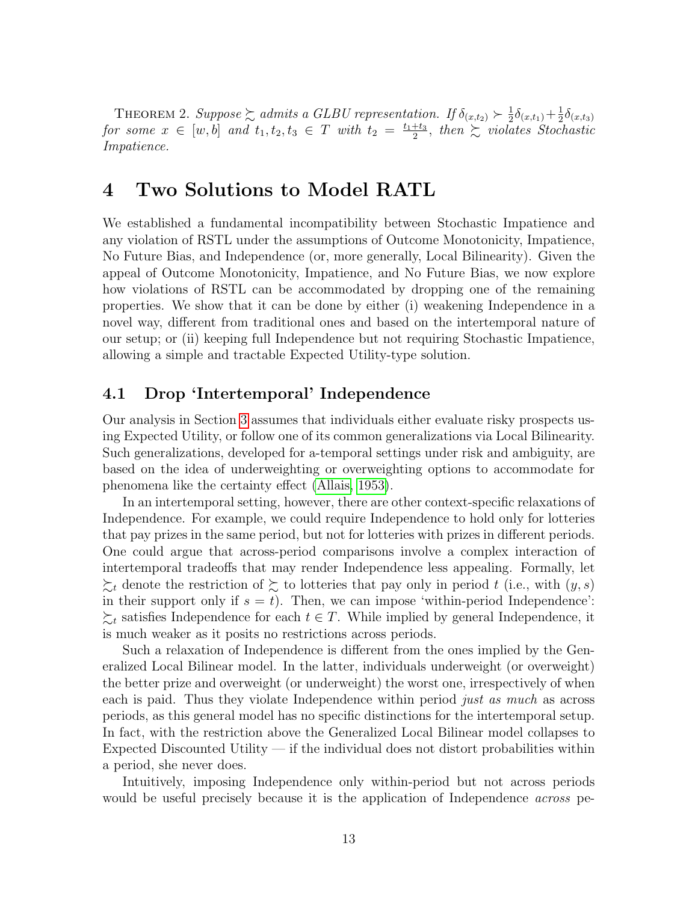<span id="page-13-1"></span>THEOREM 2. Suppose  $\sum$  admits a GLBU representation. If  $\delta_{(x,t_2)} \succ \frac{1}{2}$  $\frac{1}{2}\delta_{(x,t_1)} + \frac{1}{2}$  $\frac{1}{2}\delta_{(x,t_3)}$ for some  $x \in [w, b]$  and  $t_1, t_2, t_3 \in T$  with  $t_2 = \frac{t_1+t_3}{2}$  $rac{+t_3}{2}$ , then  $\sum$  violates Stochastic Impatience.

## <span id="page-13-2"></span>4 Two Solutions to Model RATL

We established a fundamental incompatibility between Stochastic Impatience and any violation of RSTL under the assumptions of Outcome Monotonicity, Impatience, No Future Bias, and Independence (or, more generally, Local Bilinearity). Given the appeal of Outcome Monotonicity, Impatience, and No Future Bias, we now explore how violations of RSTL can be accommodated by dropping one of the remaining properties. We show that it can be done by either (i) weakening Independence in a novel way, different from traditional ones and based on the intertemporal nature of our setup; or (ii) keeping full Independence but not requiring Stochastic Impatience, allowing a simple and tractable Expected Utility-type solution.

#### <span id="page-13-0"></span>4.1 Drop 'Intertemporal' Independence

Our analysis in Section [3](#page-10-3) assumes that individuals either evaluate risky prospects using Expected Utility, or follow one of its common generalizations via Local Bilinearity. Such generalizations, developed for a-temporal settings under risk and ambiguity, are based on the idea of underweighting or overweighting options to accommodate for phenomena like the certainty effect [\(Allais, 1953\)](#page-41-5).

In an intertemporal setting, however, there are other context-specific relaxations of Independence. For example, we could require Independence to hold only for lotteries that pay prizes in the same period, but not for lotteries with prizes in different periods. One could argue that across-period comparisons involve a complex interaction of intertemporal tradeoffs that may render Independence less appealing. Formally, let  $\sum_{t}$  denote the restriction of  $\sum$  to lotteries that pay only in period t (i.e., with  $(y, s)$ ) in their support only if  $s = t$ ). Then, we can impose 'within-period Independence':  $\succsim_t$  satisfies Independence for each  $t \in T$ . While implied by general Independence, it is much weaker as it posits no restrictions across periods.

Such a relaxation of Independence is different from the ones implied by the Generalized Local Bilinear model. In the latter, individuals underweight (or overweight) the better prize and overweight (or underweight) the worst one, irrespectively of when each is paid. Thus they violate Independence within period *just as much* as across periods, as this general model has no specific distinctions for the intertemporal setup. In fact, with the restriction above the Generalized Local Bilinear model collapses to Expected Discounted Utility — if the individual does not distort probabilities within a period, she never does.

Intuitively, imposing Independence only within-period but not across periods would be useful precisely because it is the application of Independence *across* pe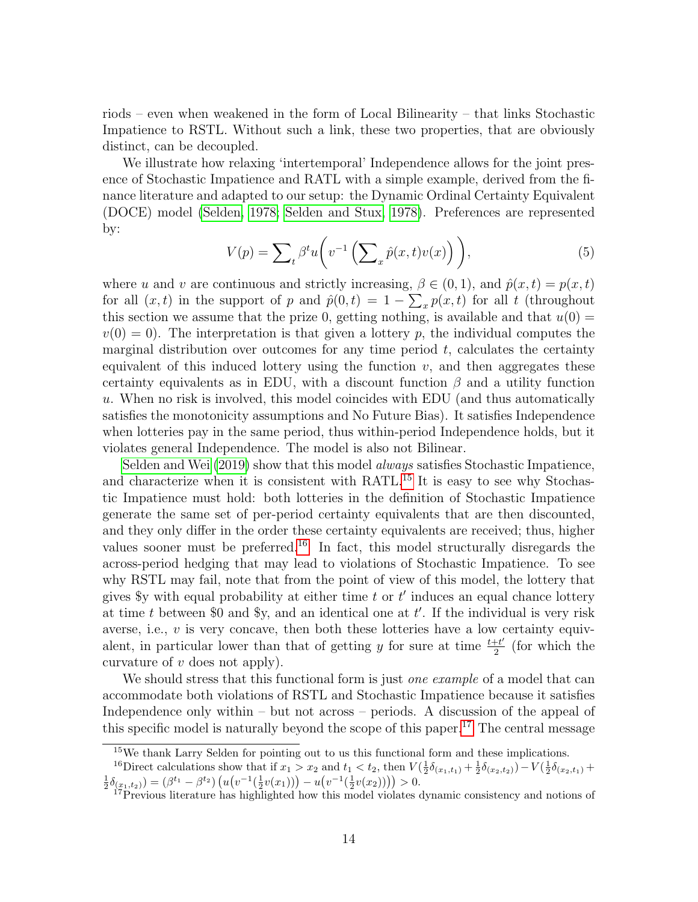riods – even when weakened in the form of Local Bilinearity – that links Stochastic Impatience to RSTL. Without such a link, these two properties, that are obviously distinct, can be decoupled.

We illustrate how relaxing 'intertemporal' Independence allows for the joint presence of Stochastic Impatience and RATL with a simple example, derived from the finance literature and adapted to our setup: the Dynamic Ordinal Certainty Equivalent (DOCE) model [\(Selden, 1978;](#page-43-10) [Selden and Stux, 1978\)](#page-43-11). Preferences are represented by:

$$
V(p) = \sum_{t} \beta^{t} u\left(v^{-1}\left(\sum_{x} \hat{p}(x, t)v(x)\right)\right),\tag{5}
$$

where u and v are continuous and strictly increasing,  $\beta \in (0, 1)$ , and  $\hat{p}(x, t) = p(x, t)$ for all  $(x, t)$  in the support of p and  $\hat{p}(0,t) = 1 - \sum_x p(x,t)$  for all t (throughout this section we assume that the prize 0, getting nothing, is available and that  $u(0) =$  $v(0) = 0$ . The interpretation is that given a lottery p, the individual computes the marginal distribution over outcomes for any time period  $t$ , calculates the certainty equivalent of this induced lottery using the function  $v$ , and then aggregates these certainty equivalents as in EDU, with a discount function  $\beta$  and a utility function u. When no risk is involved, this model coincides with EDU (and thus automatically satisfies the monotonicity assumptions and No Future Bias). It satisfies Independence when lotteries pay in the same period, thus within-period Independence holds, but it violates general Independence. The model is also not Bilinear.

[Selden and Wei](#page-43-12) [\(2019\)](#page-43-12) show that this model always satisfies Stochastic Impatience, and characterize when it is consistent with RATL.<sup>[15](#page-14-0)</sup> It is easy to see why Stochastic Impatience must hold: both lotteries in the definition of Stochastic Impatience generate the same set of per-period certainty equivalents that are then discounted, and they only differ in the order these certainty equivalents are received; thus, higher values sooner must be preferred.<sup>[16](#page-14-1)</sup> In fact, this model structurally disregards the across-period hedging that may lead to violations of Stochastic Impatience. To see why RSTL may fail, note that from the point of view of this model, the lottery that gives \$y with equal probability at either time  $t$  or  $t'$  induces an equal chance lottery at time  $t$  between \$0 and \$y, and an identical one at  $t'$ . If the individual is very risk averse, i.e.,  $v$  is very concave, then both these lotteries have a low certainty equivalent, in particular lower than that of getting y for sure at time  $\frac{t+t'}{2}$  $\frac{e^{i\theta}}{2}$  (for which the curvature of  $v$  does not apply).

We should stress that this functional form is just *one example* of a model that can accommodate both violations of RSTL and Stochastic Impatience because it satisfies Independence only within – but not across – periods. A discussion of the appeal of this specific model is naturally beyond the scope of this paper.<sup>[17](#page-14-2)</sup> The central message

<span id="page-14-1"></span><span id="page-14-0"></span><sup>&</sup>lt;sup>15</sup>We thank Larry Selden for pointing out to us this functional form and these implications.

<sup>&</sup>lt;sup>16</sup>Direct calculations show that if  $x_1 > x_2$  and  $t_1 < t_2$ , then  $V(\frac{1}{2}\delta_{(x_1,t_1)} + \frac{1}{2}\delta_{(x_2,t_2)}) - V(\frac{1}{2}\delta_{(x_2,t_1)} + \frac{1}{2}\delta_{(x_1,t_2)}) = (\beta^{t_1} - \beta^{t_2}) (u(v^{-1}(\frac{1}{2}v(x_1))) - u(v^{-1}(\frac{1}{2}v(x_2)))) > 0.$ 

<span id="page-14-2"></span><sup>&</sup>lt;sup>17</sup>Previous literature has highlighted how this model violates dynamic consistency and notions of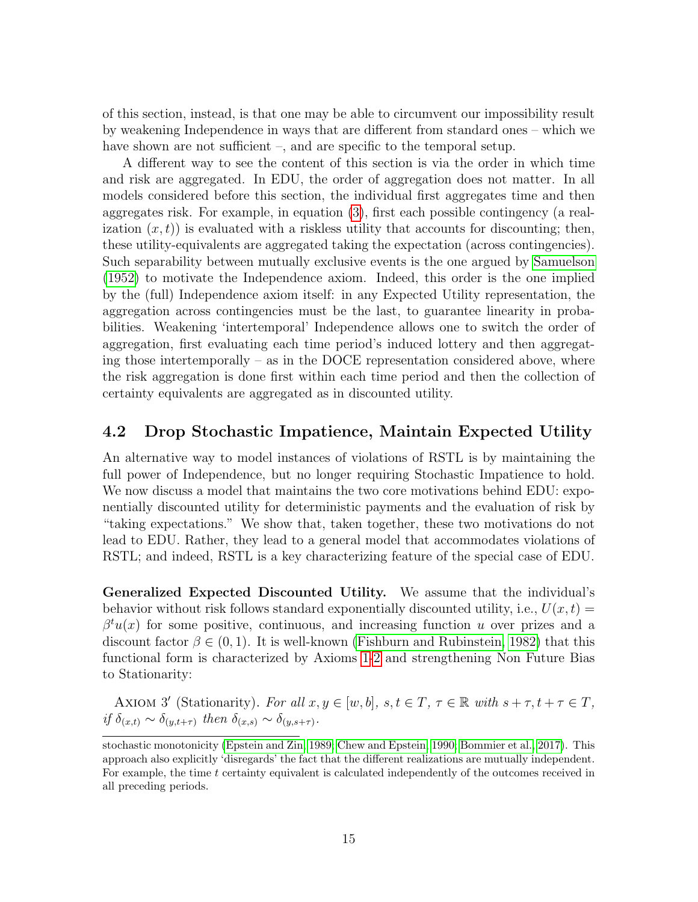of this section, instead, is that one may be able to circumvent our impossibility result by weakening Independence in ways that are different from standard ones – which we have shown are not sufficient –, and are specific to the temporal setup.

A different way to see the content of this section is via the order in which time and risk are aggregated. In EDU, the order of aggregation does not matter. In all models considered before this section, the individual first aggregates time and then aggregates risk. For example, in equation [\(3\)](#page-10-1), first each possible contingency (a realization  $(x, t)$  is evaluated with a riskless utility that accounts for discounting; then, these utility-equivalents are aggregated taking the expectation (across contingencies). Such separability between mutually exclusive events is the one argued by [Samuelson](#page-43-13) [\(1952\)](#page-43-13) to motivate the Independence axiom. Indeed, this order is the one implied by the (full) Independence axiom itself: in any Expected Utility representation, the aggregation across contingencies must be the last, to guarantee linearity in probabilities. Weakening 'intertemporal' Independence allows one to switch the order of aggregation, first evaluating each time period's induced lottery and then aggregating those intertemporally – as in the DOCE representation considered above, where the risk aggregation is done first within each time period and then the collection of certainty equivalents are aggregated as in discounted utility.

#### <span id="page-15-0"></span>4.2 Drop Stochastic Impatience, Maintain Expected Utility

An alternative way to model instances of violations of RSTL is by maintaining the full power of Independence, but no longer requiring Stochastic Impatience to hold. We now discuss a model that maintains the two core motivations behind EDU: exponentially discounted utility for deterministic payments and the evaluation of risk by "taking expectations." We show that, taken together, these two motivations do not lead to EDU. Rather, they lead to a general model that accommodates violations of RSTL; and indeed, RSTL is a key characterizing feature of the special case of EDU.

Generalized Expected Discounted Utility. We assume that the individual's behavior without risk follows standard exponentially discounted utility, i.e.,  $U(x, t) =$  $\beta^{t}u(x)$  for some positive, continuous, and increasing function u over prizes and a discount factor  $\beta \in (0, 1)$ . It is well-known [\(Fishburn and Rubinstein, 1982\)](#page-42-7) that this functional form is characterized by Axioms [1-](#page-9-1)[2](#page-9-2) and strengthening Non Future Bias to Stationarity:

<span id="page-15-1"></span>AXIOM 3' (Stationarity). For all  $x, y \in [w, b]$ ,  $s, t \in T$ ,  $\tau \in \mathbb{R}$  with  $s + \tau, t + \tau \in T$ , if  $\delta_{(x,t)} \sim \delta_{(y,t+\tau)}$  then  $\delta_{(x,s)} \sim \delta_{(y,s+\tau)}$ .

stochastic monotonicity [\(Epstein and Zin, 1989;](#page-42-8) [Chew and Epstein, 1990;](#page-41-6) [Bommier et al., 2017\)](#page-41-7). This approach also explicitly 'disregards' the fact that the different realizations are mutually independent. For example, the time t certainty equivalent is calculated independently of the outcomes received in all preceding periods.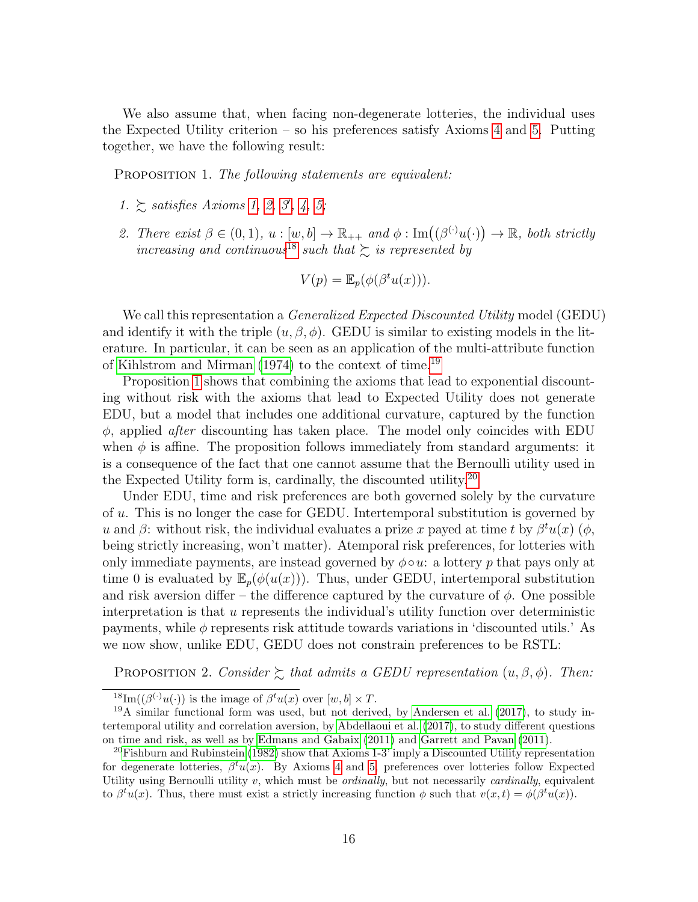We also assume that, when facing non-degenerate lotteries, the individual uses the Expected Utility criterion – so his preferences satisfy Axioms [4](#page-10-4) and [5.](#page-10-0) Putting together, we have the following result:

<span id="page-16-2"></span>PROPOSITION 1. The following statements are equivalent:

- 1.  $\geq$  satisfies Axioms [1,](#page-9-1) [2,](#page-9-2) [3](#page-15-1), [4,](#page-10-4) [5;](#page-10-0)
- 2. There exist  $\beta \in (0,1), u : [w, b] \to \mathbb{R}_{++}$  and  $\phi : \text{Im}((\beta^{(\cdot)}u(\cdot)) \to \mathbb{R}, \text{ both strictly})$ increasing and continuous<sup>[18](#page-16-0)</sup> such that  $\gtrsim$  is represented by

$$
V(p) = \mathbb{E}_p(\phi(\beta^t u(x))).
$$

We call this representation a *Generalized Expected Discounted Utility* model (GEDU) and identify it with the triple  $(u, \beta, \phi)$ . GEDU is similar to existing models in the literature. In particular, it can be seen as an application of the multi-attribute function of [Kihlstrom and Mirman](#page-43-1) [\(1974\)](#page-43-1) to the context of time.[19](#page-16-1)

Proposition [1](#page-16-2) shows that combining the axioms that lead to exponential discounting without risk with the axioms that lead to Expected Utility does not generate EDU, but a model that includes one additional curvature, captured by the function  $\phi$ , applied *after* discounting has taken place. The model only coincides with EDU when  $\phi$  is affine. The proposition follows immediately from standard arguments: it is a consequence of the fact that one cannot assume that the Bernoulli utility used in the Expected Utility form is, cardinally, the discounted utility.[20](#page-16-3)

Under EDU, time and risk preferences are both governed solely by the curvature of u. This is no longer the case for GEDU. Intertemporal substitution is governed by u and  $\beta$ : without risk, the individual evaluates a prize x payed at time t by  $\beta^t u(x)$  ( $\phi$ , being strictly increasing, won't matter). Atemporal risk preferences, for lotteries with only immediate payments, are instead governed by  $\phi \circ u$ : a lottery p that pays only at time 0 is evaluated by  $\mathbb{E}_p(\phi(u(x)))$ . Thus, under GEDU, intertemporal substitution and risk aversion differ – the difference captured by the curvature of  $\phi$ . One possible interpretation is that u represents the individual's utility function over deterministic payments, while  $\phi$  represents risk attitude towards variations in 'discounted utils.' As we now show, unlike EDU, GEDU does not constrain preferences to be RSTL:

<span id="page-16-4"></span>PROPOSITION 2. Consider  $\succsim$  that admits a GEDU representation  $(u, \beta, \phi)$ . Then:

<span id="page-16-1"></span><span id="page-16-0"></span><sup>&</sup>lt;sup>18</sup>Im( $(\beta^{(\cdot)}u(\cdot))$  is the image of  $\beta^{t}u(x)$  over  $[w,b] \times T$ .

 $19A$  similar functional form was used, but not derived, by [Andersen et al.](#page-41-8) [\(2017\)](#page-41-8), to study intertemporal utility and correlation aversion, by [Abdellaoui et al.](#page-41-9) [\(2017\)](#page-41-9), to study different questions on time and risk, as well as by [Edmans and Gabaix](#page-42-9) [\(2011\)](#page-42-9) and [Garrett and Pavan](#page-42-10) [\(2011\)](#page-42-10).

<span id="page-16-3"></span><sup>&</sup>lt;sup>20</sup>[Fishburn and Rubinstein](#page-42-7) [\(1982\)](#page-42-7) show that Axioms 1-3' imply a Discounted Utility representation for degenerate lotteries,  $\beta^t u(x)$ . By Axioms [4](#page-10-4) and [5,](#page-10-0) preferences over lotteries follow Expected Utility using Bernoulli utility  $v$ , which must be *ordinally*, but not necessarily *cardinally*, equivalent to  $\beta^t u(x)$ . Thus, there must exist a strictly increasing function  $\phi$  such that  $v(x,t) = \phi(\beta^t u(x))$ .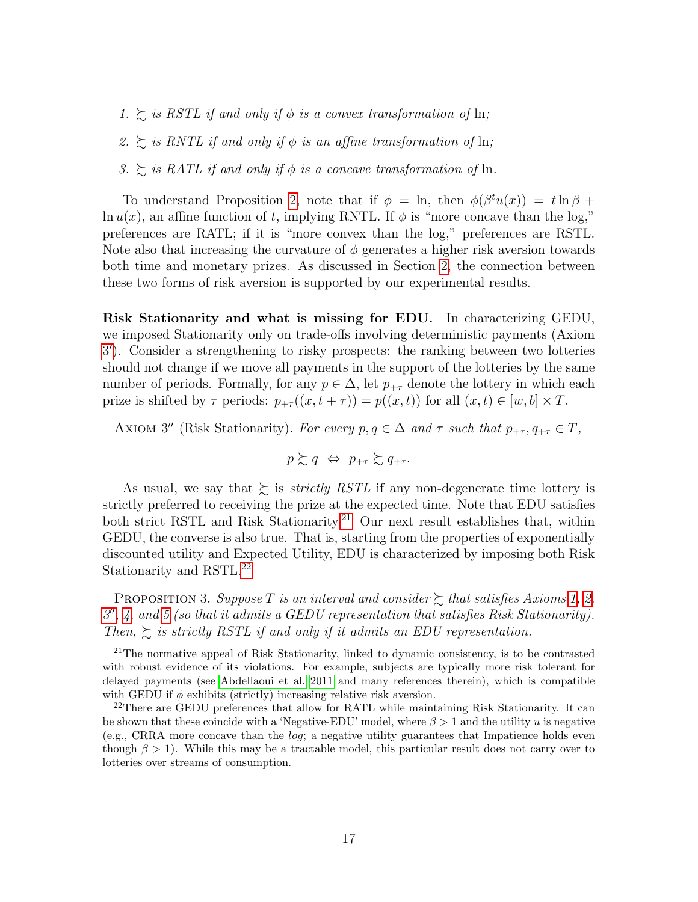- 1.  $\gtrsim$  is RSTL if and only if  $\phi$  is a convex transformation of ln;
- 2.  $\gtrsim$  is RNTL if and only if  $\phi$  is an affine transformation of ln;
- 3.  $\geq$  is RATL if and only if  $\phi$  is a concave transformation of ln.

To understand Proposition [2,](#page-16-4) note that if  $\phi = \ln$ , then  $\phi(\beta^t u(x)) = t \ln \beta +$  $\ln u(x)$ , an affine function of t, implying RNTL. If  $\phi$  is "more concave than the log," preferences are RATL; if it is "more convex than the log," preferences are RSTL. Note also that increasing the curvature of  $\phi$  generates a higher risk aversion towards both time and monetary prizes. As discussed in Section [2,](#page-4-1) the connection between these two forms of risk aversion is supported by our experimental results.

Risk Stationarity and what is missing for EDU. In characterizing GEDU, we imposed Stationarity only on trade-offs involving deterministic payments (Axiom [3](#page-15-1) 0 ). Consider a strengthening to risky prospects: the ranking between two lotteries should not change if we move all payments in the support of the lotteries by the same number of periods. Formally, for any  $p \in \Delta$ , let  $p_{+\tau}$  denote the lottery in which each prize is shifted by  $\tau$  periods:  $p_{+\tau}((x, t + \tau)) = p((x, t))$  for all  $(x, t) \in [w, b] \times T$ .

<span id="page-17-2"></span>AXIOM 3'' (Risk Stationarity). For every  $p, q \in \Delta$  and  $\tau$  such that  $p_{+\tau}, q_{+\tau} \in T$ ,

$$
p \succsim q \ \Leftrightarrow \ p_{+\tau} \succsim q_{+\tau}.
$$

As usual, we say that  $\gtrsim$  is *strictly RSTL* if any non-degenerate time lottery is strictly preferred to receiving the prize at the expected time. Note that EDU satisfies both strict RSTL and Risk Stationarity.<sup>[21](#page-17-0)</sup> Our next result establishes that, within GEDU, the converse is also true. That is, starting from the properties of exponentially discounted utility and Expected Utility, EDU is characterized by imposing both Risk Stationarity and RSTL.[22](#page-17-1)

<span id="page-17-3"></span>PROPOSITION 3. Suppose T is an interval and consider  $\succsim$  that satisfies Axioms [1,](#page-9-1) [2,](#page-9-2)  $3'$  $3'$ ,  $4$ , and [5](#page-10-0) (so that it admits a GEDU representation that satisfies Risk Stationarity). Then,  $\gtrsim$  is strictly RSTL if and only if it admits an EDU representation.

<span id="page-17-0"></span><sup>&</sup>lt;sup>21</sup>The normative appeal of Risk Stationarity, linked to dynamic consistency, is to be contrasted with robust evidence of its violations. For example, subjects are typically more risk tolerant for delayed payments (see [Abdellaoui et al. 2011](#page-41-10) and many references therein), which is compatible with GEDU if  $\phi$  exhibits (strictly) increasing relative risk aversion.

<span id="page-17-1"></span><sup>&</sup>lt;sup>22</sup>There are GEDU preferences that allow for RATL while maintaining Risk Stationarity. It can be shown that these coincide with a 'Negative-EDU' model, where  $\beta > 1$  and the utility u is negative (e.g., CRRA more concave than the log; a negative utility guarantees that Impatience holds even though  $\beta > 1$ ). While this may be a tractable model, this particular result does not carry over to lotteries over streams of consumption.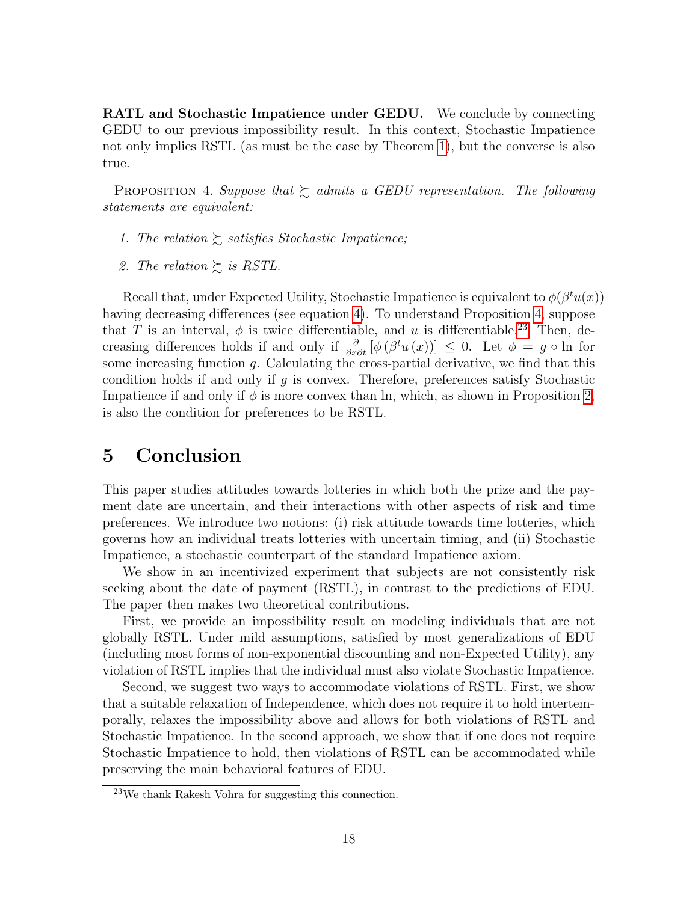**RATL** and Stochastic Impatience under GEDU. We conclude by connecting GEDU to our previous impossibility result. In this context, Stochastic Impatience not only implies RSTL (as must be the case by Theorem [1\)](#page-11-0), but the converse is also true.

<span id="page-18-0"></span>PROPOSITION 4. Suppose that  $\gtrsim$  admits a GEDU representation. The following statements are equivalent:

- 1. The relation  $\gtrsim$  satisfies Stochastic Impatience;
- 2. The relation  $\gtrsim$  is RSTL.

Recall that, under Expected Utility, Stochastic Impatience is equivalent to  $\phi(\beta^t u(x))$ having decreasing differences (see equation [4\)](#page-10-3). To understand Proposition [4,](#page-18-0) suppose that T is an interval,  $\phi$  is twice differentiable, and u is differentiable.<sup>[23](#page-18-1)</sup> Then, decreasing differences holds if and only if  $\frac{\partial}{\partial x \partial t} [\phi(\beta^t u(x))] \leq 0$ . Let  $\phi = g \circ \ln$  for some increasing function  $q$ . Calculating the cross-partial derivative, we find that this condition holds if and only if g is convex. Therefore, preferences satisfy Stochastic Impatience if and only if  $\phi$  is more convex than ln, which, as shown in Proposition [2,](#page-16-4) is also the condition for preferences to be RSTL.

## 5 Conclusion

This paper studies attitudes towards lotteries in which both the prize and the payment date are uncertain, and their interactions with other aspects of risk and time preferences. We introduce two notions: (i) risk attitude towards time lotteries, which governs how an individual treats lotteries with uncertain timing, and (ii) Stochastic Impatience, a stochastic counterpart of the standard Impatience axiom.

We show in an incentivized experiment that subjects are not consistently risk seeking about the date of payment (RSTL), in contrast to the predictions of EDU. The paper then makes two theoretical contributions.

First, we provide an impossibility result on modeling individuals that are not globally RSTL. Under mild assumptions, satisfied by most generalizations of EDU (including most forms of non-exponential discounting and non-Expected Utility), any violation of RSTL implies that the individual must also violate Stochastic Impatience.

Second, we suggest two ways to accommodate violations of RSTL. First, we show that a suitable relaxation of Independence, which does not require it to hold intertemporally, relaxes the impossibility above and allows for both violations of RSTL and Stochastic Impatience. In the second approach, we show that if one does not require Stochastic Impatience to hold, then violations of RSTL can be accommodated while preserving the main behavioral features of EDU.

<span id="page-18-1"></span><sup>23</sup>We thank Rakesh Vohra for suggesting this connection.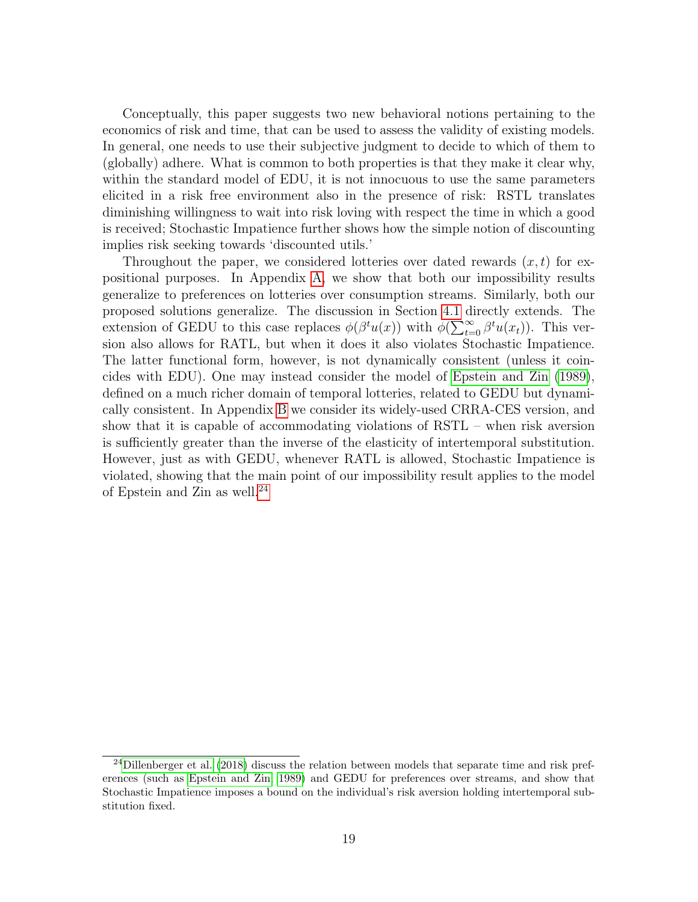Conceptually, this paper suggests two new behavioral notions pertaining to the economics of risk and time, that can be used to assess the validity of existing models. In general, one needs to use their subjective judgment to decide to which of them to (globally) adhere. What is common to both properties is that they make it clear why, within the standard model of EDU, it is not innocuous to use the same parameters elicited in a risk free environment also in the presence of risk: RSTL translates diminishing willingness to wait into risk loving with respect the time in which a good is received; Stochastic Impatience further shows how the simple notion of discounting implies risk seeking towards 'discounted utils.'

Throughout the paper, we considered lotteries over dated rewards  $(x, t)$  for expositional purposes. In Appendix [A,](#page-20-0) we show that both our impossibility results generalize to preferences on lotteries over consumption streams. Similarly, both our proposed solutions generalize. The discussion in Section [4.1](#page-13-0) directly extends. The extension of GEDU to this case replaces  $\phi(\beta^t u(x))$  with  $\phi(\sum_{t=0}^{\infty} \beta^t u(x_t))$ . This version also allows for RATL, but when it does it also violates Stochastic Impatience. The latter functional form, however, is not dynamically consistent (unless it coincides with EDU). One may instead consider the model of [Epstein and Zin](#page-42-8) [\(1989\)](#page-42-8), defined on a much richer domain of temporal lotteries, related to GEDU but dynamically consistent. In Appendix [B](#page-22-0) we consider its widely-used CRRA-CES version, and show that it is capable of accommodating violations of RSTL – when risk aversion is sufficiently greater than the inverse of the elasticity of intertemporal substitution. However, just as with GEDU, whenever RATL is allowed, Stochastic Impatience is violated, showing that the main point of our impossibility result applies to the model of Epstein and Zin as well.[24](#page-19-0)

<span id="page-19-0"></span><sup>&</sup>lt;sup>24</sup>[Dillenberger et al.](#page-42-3) [\(2018\)](#page-42-3) discuss the relation between models that separate time and risk preferences (such as [Epstein and Zin, 1989\)](#page-42-8) and GEDU for preferences over streams, and show that Stochastic Impatience imposes a bound on the individual's risk aversion holding intertemporal substitution fixed.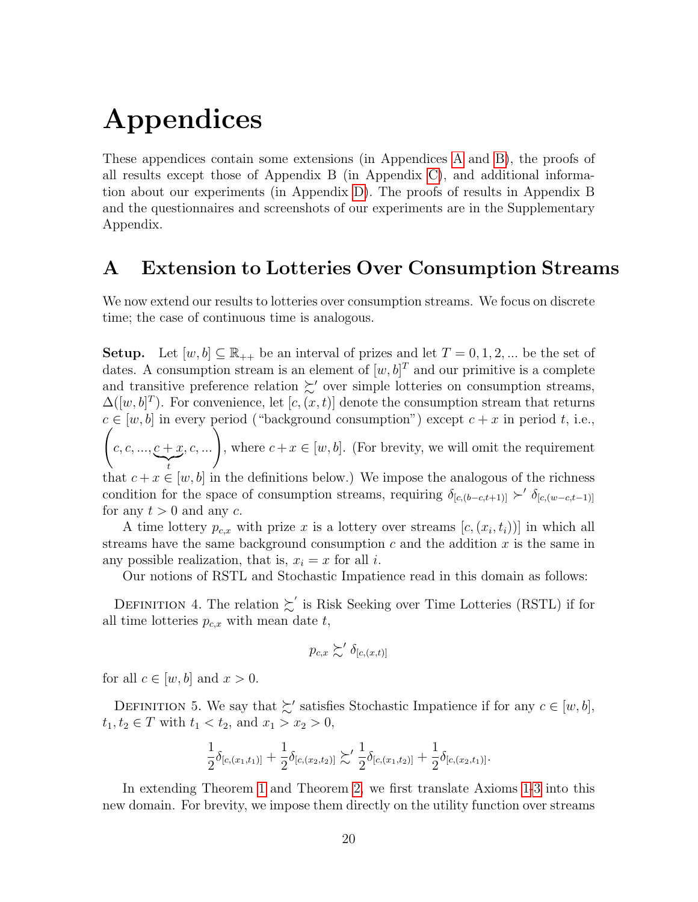# Appendices

These appendices contain some extensions (in Appendices [A](#page-20-0) and [B\)](#page-22-0), the proofs of all results except those of Appendix B (in Appendix [C\)](#page-23-0), and additional information about our experiments (in Appendix [D\)](#page-29-0). The proofs of results in Appendix B and the questionnaires and screenshots of our experiments are in the Supplementary Appendix.

## <span id="page-20-0"></span>A Extension to Lotteries Over Consumption Streams

We now extend our results to lotteries over consumption streams. We focus on discrete time; the case of continuous time is analogous.

**Setup.** Let  $[w, b] \subseteq \mathbb{R}_{++}$  be an interval of prizes and let  $T = 0, 1, 2, ...$  be the set of dates. A consumption stream is an element of  $[w, b]^T$  and our primitive is a complete and transitive preference relation  $\succsim'$  over simple lotteries on consumption streams,  $\Delta([w, b]^T)$ . For convenience, let  $[c, (x, t)]$  denote the consumption stream that returns  $c \in [w, b]$  in every period ("background consumption") except  $c + x$  in period t, i.e.,  $\sqrt{ }$  $c, c, ..., c + x$  $\sum_{t}$ , c, ...  $\Big),$  where  $c + x \in [w, b]$ . (For brevity, we will omit the requirement that  $c + x \in [w, b]$  in the definitions below.) We impose the analogous of the richness condition for the space of consumption streams, requiring  $\delta_{[c,(b-c,t+1)]}$   $\succ'$   $\delta_{[c,(w-c,t-1)]}$ for any  $t > 0$  and any c.

A time lottery  $p_{c,x}$  with prize x is a lottery over streams  $[c, (x_i, t_i))]$  in which all streams have the same background consumption  $c$  and the addition  $x$  is the same in any possible realization, that is,  $x_i = x$  for all i.

Our notions of RSTL and Stochastic Impatience read in this domain as follows:

DEFINITION 4. The relation  $\succsim'$  is Risk Seeking over Time Lotteries (RSTL) if for all time lotteries  $p_{c,x}$  with mean date  $t$ ,

$$
p_{c,x} \succsim' \delta_{[c,(x,t)]}
$$

for all  $c \in [w, b]$  and  $x > 0$ .

DEFINITION 5. We say that  $\succsim'$  satisfies Stochastic Impatience if for any  $c \in [w, b]$ ,  $t_1, t_2 \in T$  with  $t_1 < t_2$ , and  $x_1 > x_2 > 0$ ,

$$
\frac{1}{2}\delta_{[c,(x_1,t_1)]}+\frac{1}{2}\delta_{[c,(x_2,t_2)]}\succsim'\frac{1}{2}\delta_{[c,(x_1,t_2)]}+\frac{1}{2}\delta_{[c,(x_2,t_1)]}.
$$

In extending Theorem [1](#page-11-0) and Theorem [2,](#page-13-1) we first translate Axioms [1-](#page-9-1)[3](#page-10-2) into this new domain. For brevity, we impose them directly on the utility function over streams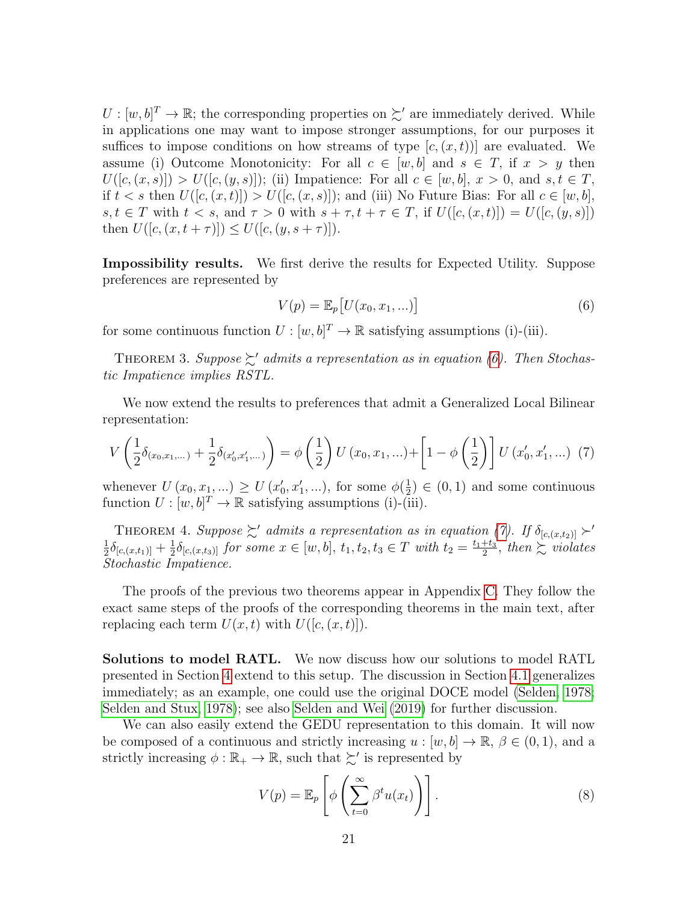$U: [w, b]^T \to \mathbb{R}$ ; the corresponding properties on  $\succsim'$  are immediately derived. While in applications one may want to impose stronger assumptions, for our purposes it suffices to impose conditions on how streams of type  $[c, (x, t))]$  are evaluated. We assume (i) Outcome Monotonicity: For all  $c \in [w, b]$  and  $s \in T$ , if  $x > y$  then  $U([c,(x,s)]) > U([c,(y,s)]);$  (ii) Impatience: For all  $c \in [w,b], x > 0$ , and  $s,t \in T$ , if  $t < s$  then  $U([c, (x, t)]) > U([c, (x, s)])$ ; and (iii) No Future Bias: For all  $c \in [w, b]$ ,  $s, t \in T$  with  $t < s$ , and  $\tau > 0$  with  $s + \tau, t + \tau \in T$ , if  $U([c, (x, t)]) = U([c, (y, s)])$ then  $U([c, (x, t + \tau)]) \leq U([c, (y, s + \tau)]).$ 

Impossibility results. We first derive the results for Expected Utility. Suppose preferences are represented by

<span id="page-21-0"></span>
$$
V(p) = \mathbb{E}_p[U(x_0, x_1, \ldots)]
$$
\n(6)

for some continuous function  $U : [w, b]^T \to \mathbb{R}$  satisfying assumptions (i)-(iii).

<span id="page-21-2"></span>THEOREM 3. Suppose  $\succsim'$  admits a representation as in equation [\(6\)](#page-21-0). Then Stochastic Impatience implies RSTL.

We now extend the results to preferences that admit a Generalized Local Bilinear representation:

<span id="page-21-1"></span>
$$
V\left(\frac{1}{2}\delta_{(x_0,x_1,...)} + \frac{1}{2}\delta_{(x'_0,x'_1,...)}\right) = \phi\left(\frac{1}{2}\right)U\left(x_0,x_1,...\right) + \left[1 - \phi\left(\frac{1}{2}\right)\right]U\left(x'_0,x'_1,...\right) \tag{7}
$$

whenever  $U(x_0, x_1, ...) \ge U(x'_0, x'_1, ...)$ , for some  $\phi(\frac{1}{2})$  $(\frac{1}{2}) \in (0,1)$  and some continuous function  $U : [w, b]^T \to \mathbb{R}$  satisfying assumptions (i)-(iii).

<span id="page-21-3"></span>THEOREM 4. Suppose  $\succsim'$  admits a representation as in equation [\(7\)](#page-21-1). If  $\delta_{[c,(x,t_2)]} \succ'$ <br>  $\frac{1}{2} \delta_{[c,(x,t_1)]} + \frac{1}{2} \delta_{[c,(x,t_2)]}$  for some  $x \in [w, b]$  t, t, t,  $\in T$  with  $t_1 = \frac{t_1+t_3}{2}$  then  $\succ$  wieletes  $\frac{1}{2}\delta_{[c,(x,t_1)]}+\frac{1}{2}$  $\frac{1}{2}\delta_{[c,(x,t_3)]}$  for some  $x \in [w,b], t_1, t_2, t_3 \in T$  with  $t_2 = \frac{t_1+t_3}{2}$  $rac{+t_3}{2}$ , then  $\sum$  violates Stochastic Impatience.

The proofs of the previous two theorems appear in Appendix [C.](#page-23-0) They follow the exact same steps of the proofs of the corresponding theorems in the main text, after replacing each term  $U(x, t)$  with  $U([c, (x, t)]).$ 

Solutions to model RATL. We now discuss how our solutions to model RATL presented in Section [4](#page-13-2) extend to this setup. The discussion in Section [4.1](#page-13-0) generalizes immediately; as an example, one could use the original DOCE model [\(Selden, 1978;](#page-43-10) [Selden and Stux, 1978\)](#page-43-11); see also [Selden and Wei](#page-43-12) [\(2019\)](#page-43-12) for further discussion.

We can also easily extend the GEDU representation to this domain. It will now be composed of a continuous and strictly increasing  $u : [w, b] \to \mathbb{R}, \beta \in (0, 1)$ , and a strictly increasing  $\phi : \mathbb{R}_+ \to \mathbb{R}$ , such that  $\succsim'$  is represented by

$$
V(p) = \mathbb{E}_p \left[ \phi \left( \sum_{t=0}^{\infty} \beta^t u(x_t) \right) \right]. \tag{8}
$$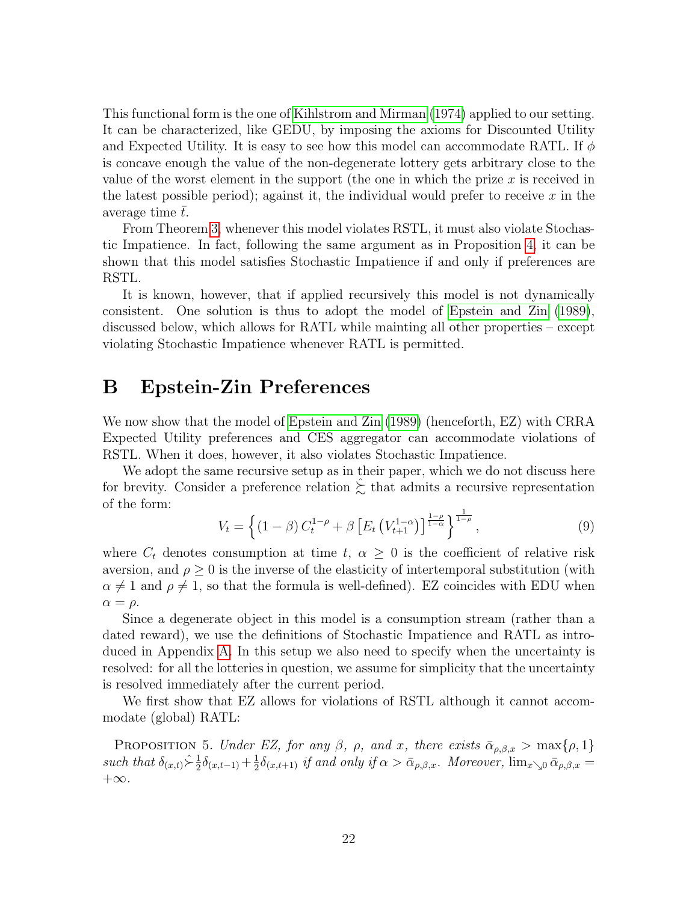This functional form is the one of [Kihlstrom and Mirman](#page-43-1) [\(1974\)](#page-43-1) applied to our setting. It can be characterized, like GEDU, by imposing the axioms for Discounted Utility and Expected Utility. It is easy to see how this model can accommodate RATL. If  $\phi$ is concave enough the value of the non-degenerate lottery gets arbitrary close to the value of the worst element in the support (the one in which the prize  $x$  is received in the latest possible period); against it, the individual would prefer to receive  $x$  in the average time  $t$ .

From Theorem [3,](#page-21-2) whenever this model violates RSTL, it must also violate Stochastic Impatience. In fact, following the same argument as in Proposition [4,](#page-18-0) it can be shown that this model satisfies Stochastic Impatience if and only if preferences are RSTL.

It is known, however, that if applied recursively this model is not dynamically consistent. One solution is thus to adopt the model of [Epstein and Zin](#page-42-8) [\(1989\)](#page-42-8), discussed below, which allows for RATL while mainting all other properties – except violating Stochastic Impatience whenever RATL is permitted.

## <span id="page-22-0"></span>B Epstein-Zin Preferences

We now show that the model of [Epstein and Zin](#page-42-8) [\(1989\)](#page-42-8) (henceforth, EZ) with CRRA Expected Utility preferences and CES aggregator can accommodate violations of RSTL. When it does, however, it also violates Stochastic Impatience.

We adopt the same recursive setup as in their paper, which we do not discuss here for brevity. Consider a preference relation  $\succsim$  that admits a recursive representation of the form:

$$
V_t = \left\{ (1 - \beta) C_t^{1 - \rho} + \beta \left[ E_t \left( V_{t+1}^{1 - \alpha} \right) \right]_{1 - \alpha}^{\frac{1 - \rho}{1 - \alpha}} \right\}_{1 - \rho} ,\tag{9}
$$

where  $C_t$  denotes consumption at time  $t, \alpha \geq 0$  is the coefficient of relative risk aversion, and  $\rho \geq 0$  is the inverse of the elasticity of intertemporal substitution (with  $\alpha \neq 1$  and  $\rho \neq 1$ , so that the formula is well-defined). EZ coincides with EDU when  $\alpha = \rho$ .

Since a degenerate object in this model is a consumption stream (rather than a dated reward), we use the definitions of Stochastic Impatience and RATL as introduced in Appendix [A.](#page-20-0) In this setup we also need to specify when the uncertainty is resolved: for all the lotteries in question, we assume for simplicity that the uncertainty is resolved immediately after the current period.

We first show that EZ allows for violations of RSTL although it cannot accommodate (global) RATL:

<span id="page-22-1"></span>PROPOSITION 5. Under EZ, for any  $\beta$ ,  $\rho$ , and x, there exists  $\bar{\alpha}_{\rho,\beta,x} > \max\{\rho,1\}$ such that  $\delta_{(x,t)} \hat{\succ} \frac{1}{2}$  $\frac{1}{2}\delta_{(x,t-1)}+\frac{1}{2}$  $\frac{1}{2}\delta_{(x,t+1)}$  if and only if  $\alpha > \bar{\alpha}_{\rho,\beta,x}$ . Moreover,  $\lim_{x\searrow 0} \bar{\alpha}_{\rho,\beta,x} =$  $+\infty$ .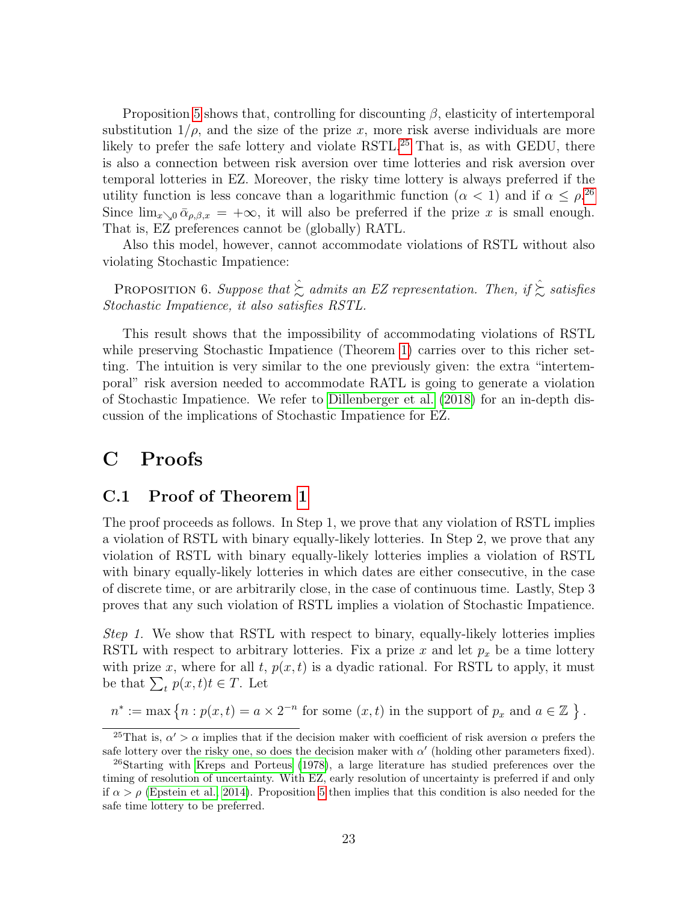Proposition [5](#page-22-1) shows that, controlling for discounting  $\beta$ , elasticity of intertemporal substitution  $1/\rho$ , and the size of the prize x, more risk averse individuals are more likely to prefer the safe lottery and violate RSTL.<sup>[25](#page-23-1)</sup> That is, as with GEDU, there is also a connection between risk aversion over time lotteries and risk aversion over temporal lotteries in EZ. Moreover, the risky time lottery is always preferred if the utility function is less concave than a logarithmic function  $(\alpha < 1)$  and if  $\alpha \leq \rho^{26}$  $\alpha \leq \rho^{26}$  $\alpha \leq \rho^{26}$ Since  $\lim_{x\to 0} \bar{\alpha}_{\rho,\beta,x} = +\infty$ , it will also be preferred if the prize x is small enough. That is, EZ preferences cannot be (globally) RATL.

Also this model, however, cannot accommodate violations of RSTL without also violating Stochastic Impatience:

PROPOSITION 6. Suppose that  $\hat{\Sigma}$  admits an EZ representation. Then, if  $\hat{\Sigma}$  satisfies Stochastic Impatience, it also satisfies RSTL.

This result shows that the impossibility of accommodating violations of RSTL while preserving Stochastic Impatience (Theorem [1\)](#page-11-0) carries over to this richer setting. The intuition is very similar to the one previously given: the extra "intertemporal" risk aversion needed to accommodate RATL is going to generate a violation of Stochastic Impatience. We refer to [Dillenberger et al.](#page-42-3) [\(2018\)](#page-42-3) for an in-depth discussion of the implications of Stochastic Impatience for EZ.

## <span id="page-23-0"></span>C Proofs

#### C.1 Proof of Theorem [1](#page-11-0)

The proof proceeds as follows. In Step 1, we prove that any violation of RSTL implies a violation of RSTL with binary equally-likely lotteries. In Step 2, we prove that any violation of RSTL with binary equally-likely lotteries implies a violation of RSTL with binary equally-likely lotteries in which dates are either consecutive, in the case of discrete time, or are arbitrarily close, in the case of continuous time. Lastly, Step 3 proves that any such violation of RSTL implies a violation of Stochastic Impatience.

Step 1. We show that RSTL with respect to binary, equally-likely lotteries implies RSTL with respect to arbitrary lotteries. Fix a prize x and let  $p_x$  be a time lottery with prize x, where for all t,  $p(x, t)$  is a dyadic rational. For RSTL to apply, it must be that  $\sum_t p(x,t)t \in T$ . Let

$$
n^* := \max\left\{n : p(x,t) = a \times 2^{-n} \text{ for some } (x,t) \text{ in the support of } p_x \text{ and } a \in \mathbb{Z} \right\}.
$$

<span id="page-23-1"></span><sup>&</sup>lt;sup>25</sup>That is,  $\alpha' > \alpha$  implies that if the decision maker with coefficient of risk aversion  $\alpha$  prefers the safe lottery over the risky one, so does the decision maker with  $\alpha'$  (holding other parameters fixed).

<span id="page-23-2"></span> $^{26}$ Starting with [Kreps and Porteus](#page-43-14) [\(1978\)](#page-43-14), a large literature has studied preferences over the timing of resolution of uncertainty. With EZ, early resolution of uncertainty is preferred if and only if  $\alpha > \rho$  [\(Epstein et al., 2014\)](#page-42-11). Proposition [5](#page-22-1) then implies that this condition is also needed for the safe time lottery to be preferred.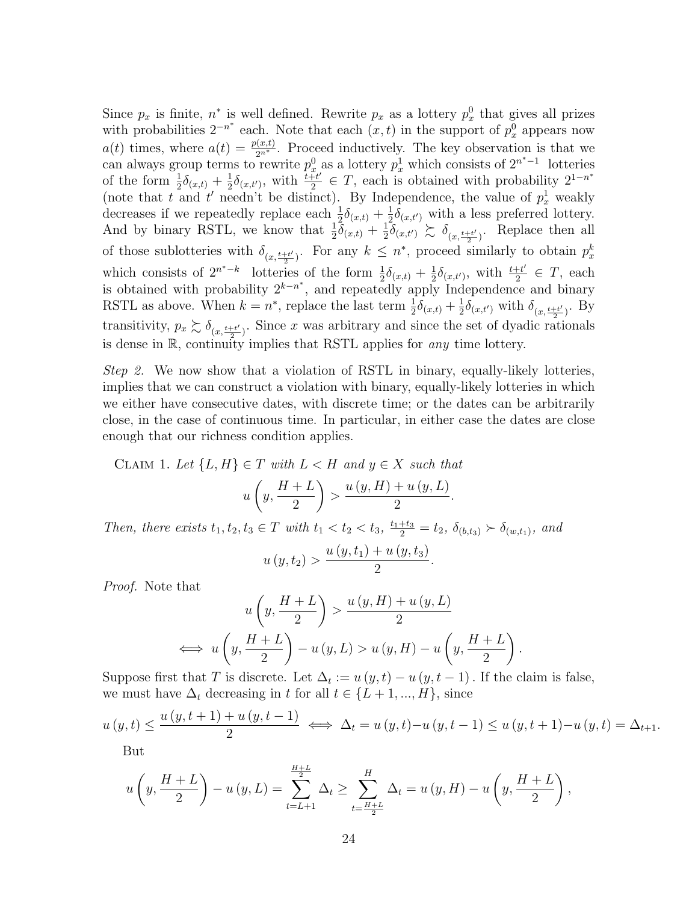Since  $p_x$  is finite,  $n^*$  is well defined. Rewrite  $p_x$  as a lottery  $p_x^0$  that gives all prizes with probabilities  $2^{-n^*}$  each. Note that each  $(x, t)$  in the support of  $p_x^0$  appears now  $a(t)$  times, where  $a(t) = \frac{p(x,t)}{2n^*}$ . Proceed inductively. The key observation is that we can always group terms to rewrite  $p_x^0$  as a lottery  $p_x^1$  which consists of  $2^{n^*-1}$  lotteries of the form  $\frac{1}{2}\delta_{(x,t)} + \frac{1}{2}$  $\frac{1}{2}\delta_{(x,t')},$  with  $\frac{t+t'}{2}$  $\frac{\widetilde{H}t'}{2} \in T$ , each is obtained with probability  $2^{1-n^*}$ (note that t and t' needn't be distinct). By Independence, the value of  $p_x^1$  weakly decreases if we repeatedly replace each  $\frac{1}{2}\delta_{(x,t)} + \frac{1}{2}$  $\frac{1}{2}\delta_{(x,t')}$  with a less preferred lottery. And by binary RSTL, we know that  $\frac{1}{2}\delta_{(x,t)} + \frac{1}{2}$  $\frac{1}{2}\delta_{(x,t')}\succsim \delta_{(x,\frac{t+t'}{2})}$  $\frac{1+t'}{2}$ . Replace then all of those sublotteries with  $\delta_{(x,\frac{t+t'}{2})}$  $\frac{1+t'}{2}$ . For any  $k \leq n^*$ , proceed similarly to obtain  $p_x^k$ which consists of  $2^{n^*-k}$  lotteries of the form  $\frac{1}{2}\delta_{(x,t)} + \frac{1}{2}$  $\frac{1}{2}\delta_{(x,t')}, \text{ with } \frac{t+t'}{2}$  $\frac{1+t'}{2} \in T$ , each is obtained with probability  $2^{k-n^*}$ , and repeatedly apply Independence and binary RSTL as above. When  $k = n^*$ , replace the last term  $\frac{1}{2}\delta_{(x,t)} + \frac{1}{2}$  $\frac{1}{2}\delta_{(x,t')}$  with  $\delta_{(x,\frac{t+t'}{2})}$ . By transitivity,  $p_x \gtrsim \delta_{(x, \frac{t+t'}{2})}$ . Since x was arbitrary and since the set of dyadic ra  $\frac{1+t'}{2}$ . Since x was arbitrary and since the set of dyadic rationals is dense in R, continuity implies that RSTL applies for any time lottery.

Step 2. We now show that a violation of RSTL in binary, equally-likely lotteries, implies that we can construct a violation with binary, equally-likely lotteries in which we either have consecutive dates, with discrete time; or the dates can be arbitrarily close, in the case of continuous time. In particular, in either case the dates are close enough that our richness condition applies.

<span id="page-24-0"></span>CLAIM 1. Let  $\{L, H\} \in T$  with  $L < H$  and  $y \in X$  such that

$$
u\left(y, \frac{H+L}{2}\right) > \frac{u\left(y, H\right) + u\left(y, L\right)}{2}.
$$

Then, there exists  $t_1, t_2, t_3 \in T$  with  $t_1 < t_2 < t_3$ ,  $\frac{t_1+t_3}{2} = t_2$ ,  $\delta_{(b,t_3)} \succ \delta_{(w,t_1)}$ , and

$$
u(y, t_2) > \frac{u(y, t_1) + u(y, t_3)}{2}
$$

.

.

Proof. Note that

$$
u\left(y, \frac{H+L}{2}\right) > \frac{u\left(y, H\right) + u\left(y, L\right)}{2}
$$
\n
$$
\iff u\left(y, \frac{H+L}{2}\right) - u\left(y, L\right) > u\left(y, H\right) - u\left(y, \frac{H+L}{2}\right)
$$

Suppose first that T is discrete. Let  $\Delta_t := u(y, t) - u(y, t-1)$ . If the claim is false, we must have  $\Delta_t$  decreasing in t for all  $t \in \{L+1, ..., H\}$ , since

$$
u(y,t) \le \frac{u(y,t+1) + u(y,t-1)}{2} \iff \Delta_t = u(y,t) - u(y,t-1) \le u(y,t+1) - u(y,t) = \Delta_{t+1}.
$$

But

$$
u\left(y, \frac{H+L}{2}\right) - u(y, L) = \sum_{t=L+1}^{\frac{H+L}{2}} \Delta_t \ge \sum_{t=\frac{H+L}{2}}^H \Delta_t = u(y, H) - u\left(y, \frac{H+L}{2}\right),
$$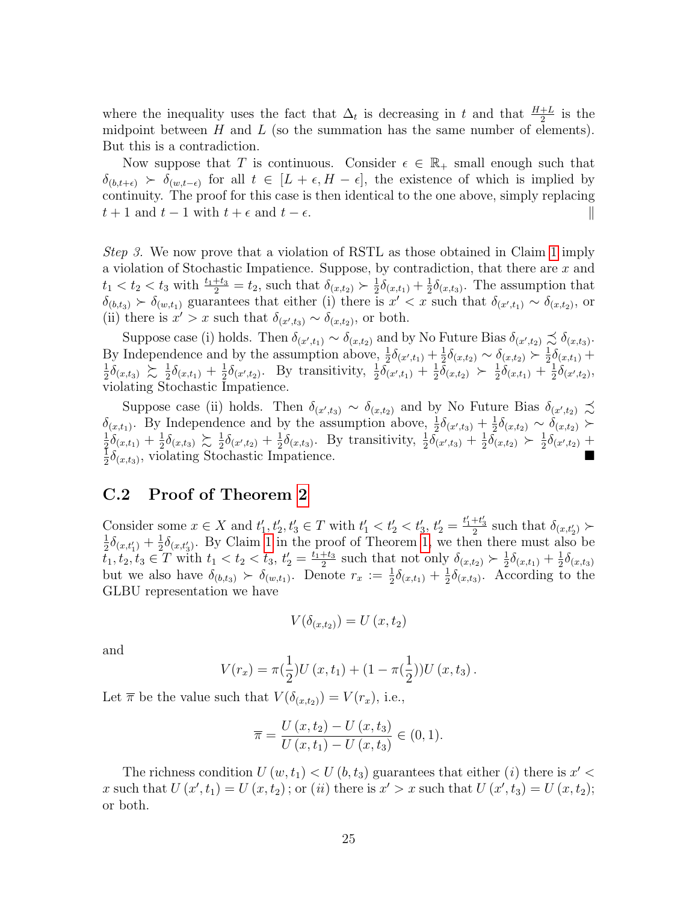where the inequality uses the fact that  $\Delta_t$  is decreasing in t and that  $\frac{H+L}{2}$  is the midpoint between  $H$  and  $L$  (so the summation has the same number of elements). But this is a contradiction.

Now suppose that T is continuous. Consider  $\epsilon \in \mathbb{R}_+$  small enough such that  $\delta_{(b,t+\epsilon)}$  >  $\delta_{(w,t-\epsilon)}$  for all  $t \in [L+\epsilon, H-\epsilon]$ , the existence of which is implied by continuity. The proof for this case is then identical to the one above, simply replacing  $t + 1$  and  $t - 1$  with  $t + \epsilon$  and  $t - \epsilon$ .

Step 3. We now prove that a violation of RSTL as those obtained in Claim [1](#page-24-0) imply a violation of Stochastic Impatience. Suppose, by contradiction, that there are x and  $t_1 < t_2 < t_3$  with  $\frac{t_1+t_3}{2} = t_2$ , such that  $\delta_{(x,t_2)} \succ \frac{1}{2}$  $\frac{1}{2}\delta_{(x,t_1)} + \frac{1}{2}$  $\frac{1}{2}\delta_{(x,t_3)}$ . The assumption that  $\delta_{(b,t_3)} \succ \delta_{(w,t_1)}$  guarantees that either (i) there is  $x' < x$  such that  $\delta_{(x',t_1)} \sim \delta_{(x,t_2)}$ , or (ii) there is  $x' > x$  such that  $\delta_{(x',t_3)} \sim \delta_{(x,t_2)}$ , or both.

Suppose case (i) holds. Then  $\delta_{(x',t_1)} \sim \delta_{(x,t_2)}$  and by No Future Bias  $\delta_{(x',t_2)} \precsim \delta_{(x,t_3)}$ . By Independence and by the assumption above,  $\frac{1}{2}\delta_{(x',t_1)} + \frac{1}{2}$  $\frac{1}{2}\delta_{(x,t_2)} \sim \delta_{(x,t_2)} \succ \frac{1}{2}$  $\frac{1}{2}\delta_{(x,t_1)} +$ 1  $\frac{1}{2}\delta_{(x,t_3)} \succsim \frac{1}{2}$  $\frac{1}{2}\delta_{(x,t_1)} + \frac{1}{2}$  $\frac{1}{2}\delta_{(x',t_2)}$ . By transitivity,  $\frac{1}{2}\delta_{(x',t_1)} + \frac{1}{2}$  $\frac{1}{2}\bar{\delta}_{(x,t_2)} \succ \frac{1}{2}$  $\frac{1}{2}\delta_{(x,t_1)}+\frac{1}{2}$  $\frac{1}{2}\delta_{(x',t_2)},$ violating Stochastic Impatience.

Suppose case (ii) holds. Then  $\delta_{(x',t_3)} \sim \delta_{(x,t_2)}$  and by No Future Bias  $\delta_{(x',t_2)} \precsim$  $\delta_{(x,t_1)}$ . By Independence and by the assumption above,  $\frac{1}{2}\delta_{(x',t_3)} + \frac{1}{2}$  $\frac{1}{2}\delta_{(x,t_2)} \sim \delta_{(x,t_2)}$  ≻ 1  $\frac{1}{2}\delta_{(x,t_1)}+\frac{1}{2}$  $\frac{1}{2}\delta_{(x,t_3)} \gtrsim \frac{1}{2}$  $\frac{1}{2}\delta_{(x',t_2)} + \frac{1}{2}$  $\frac{1}{2}\delta_{(x,t_3)}$ . By transitivity,  $\frac{1}{2}\overline{\delta}_{(x',t_3)} + \frac{1}{2}$  $\frac{1}{2}\overline{\delta}_{(x,t_2)} \succ \frac{1}{2}$  $\frac{1}{2}\delta_{(x',t_2)} +$ 1  $\frac{1}{2} \delta_{(x,t_3)}^{(x,t_3)}$ , violating Stochastic Impatience.

#### C.2 Proof of Theorem [2](#page-13-1)

Consider some  $x \in X$  and  $t'_1, t'_2, t'_3 \in T$  with  $t'_1 < t'_2 < t'_3, t'_2 = \frac{t'_1+t'_3}{2}$  such that  $\delta_{(x,t'_2)} \succ$  $\frac{1}{2}$   $\lambda_{\text{max}} + \frac{1}{2} \lambda_{\text{max}}$  By Claim 1 in the proof of Theorem 1, we then there must also  $\frac{1}{2}\delta_{(x,t'_1)}+\frac{1}{2}$  $\frac{1}{2}\delta_{(x,t_3')}$ . By Claim [1](#page-24-0) in the proof of Theorem [1,](#page-11-0) we then there must also be  $t_1, t_2, t_3 \in \overline{T}$  with  $t_1 < t_2 < t_3$ ,  $t'_2 = \frac{t_1+t_3}{2}$  $\frac{+t_3}{2}$  such that not only  $\delta_{(x,t_2)} \succ \frac{1}{2}$  $\frac{1}{2}\delta_{(x,t_1)}+\frac{1}{2}$  $\frac{1}{2}\delta_{(x,t_3)}$ but we also have  $\delta_{(b,t_3)} \succ \delta_{(w,t_1)}$ . Denote  $r_x := \frac{1}{2}\delta_{(x,t_1)} + \frac{1}{2}$  $\frac{1}{2}\delta_{(x,t_3)}$ . According to the GLBU representation we have

$$
V(\delta_{(x,t_2)}) = U(x,t_2)
$$

and

$$
V(r_x) = \pi(\frac{1}{2})U(x, t_1) + (1 - \pi(\frac{1}{2}))U(x, t_3).
$$

Let  $\bar{\pi}$  be the value such that  $V(\delta_{(x,t_2)}) = V(r_x)$ , i.e.,

$$
\overline{\pi} = \frac{U(x, t_2) - U(x, t_3)}{U(x, t_1) - U(x, t_3)} \in (0, 1).
$$

The richness condition  $U(w, t_1) < U(b, t_3)$  guarantees that either (*i*) there is  $x' <$ x such that  $U(x', t_1) = U(x, t_2)$ ; or (ii) there is  $x' > x$  such that  $U(x', t_3) = U(x, t_2)$ ; or both.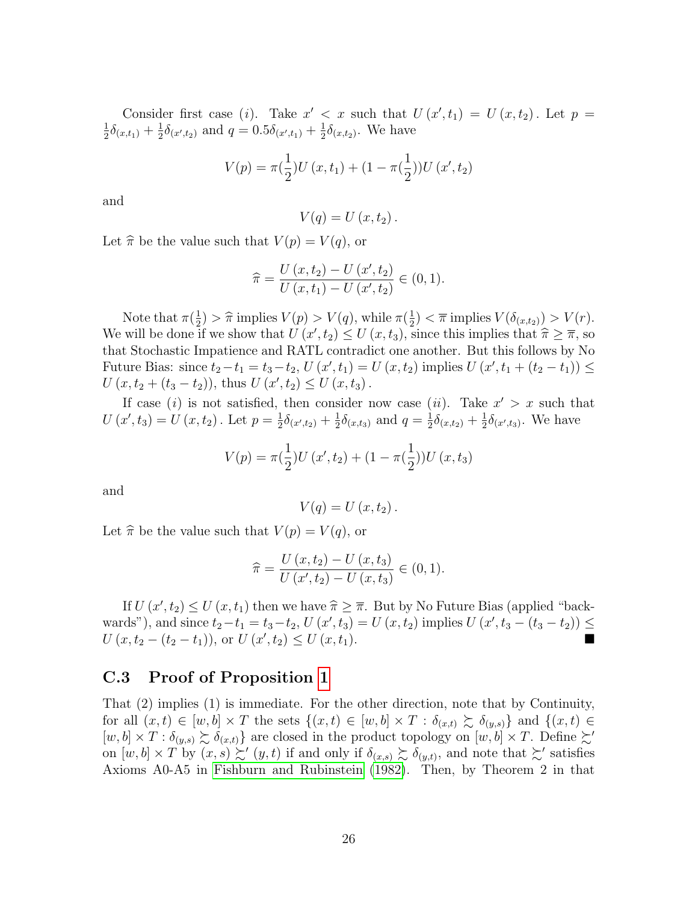Consider first case (i). Take  $x' < x$  such that  $U(x', t_1) = U(x, t_2)$ . Let  $p =$ 1  $\frac{1}{2}\delta_{(x,t_1)}+\frac{1}{2}$  $\frac{1}{2}\delta_{(x',t_2)}$  and  $q=0.5\delta_{(x',t_1)}+\frac{1}{2}$  $\frac{1}{2}\delta_{(x,t_2)}$ . We have

$$
V(p) = \pi(\frac{1}{2})U(x, t_1) + (1 - \pi(\frac{1}{2}))U(x', t_2)
$$

and

$$
V(q) = U(x, t_2).
$$

Let  $\hat{\pi}$  be the value such that  $V (p) = V (q)$ , or

$$
\widehat{\pi} = \frac{U(x, t_2) - U(x', t_2)}{U(x, t_1) - U(x', t_2)} \in (0, 1).
$$

Note that  $\pi(\frac{1}{2})$  $\frac{1}{2}$ ) >  $\hat{\pi}$  implies  $V(p) > V(q)$ , while  $\pi(\frac{1}{2})$  $(\frac{1}{2}) < \overline{\pi}$  implies  $V(\delta_{(x,t_2)}) > V(r)$ . We will be done if we show that  $U(x', t_2) \le U(x, t_3)$ , since this implies that  $\hat{\pi} \ge \overline{\pi}$ , so<br>that Stockastic Impationse and BATI contradict one another. But this follows by No that Stochastic Impatience and RATL contradict one another. But this follows by No Future Bias: since  $t_2 - t_1 = t_3 - t_2$ ,  $U(x', t_1) = U(x, t_2)$  implies  $U(x', t_1 + (t_2 - t_1)) \le$  $U(x, t_2 + (t_3 - t_2))$ , thus  $U(x', t_2) \le U(x, t_3)$ .

If case (i) is not satisfied, then consider now case (ii). Take  $x' > x$  such that  $U(x', t_3) = U(x, t_2)$ . Let  $p = \frac{1}{2}$  $\frac{1}{2}\delta_{(x',t_2)} + \frac{1}{2}$  $\frac{1}{2}\delta_{(x,t_3)}$  and  $q=\frac{1}{2}$  $\frac{1}{2}\delta_{(x,t_2)}+\frac{1}{2}$  $\frac{1}{2}\delta_{(x',t_3)}$ . We have

$$
V(p) = \pi(\frac{1}{2})U(x', t_2) + (1 - \pi(\frac{1}{2}))U(x, t_3)
$$

and

$$
V(q) = U(x, t_2).
$$

Let  $\hat{\pi}$  be the value such that  $V (p) = V (q)$ , or

$$
\widehat{\pi} = \frac{U(x, t_2) - U(x, t_3)}{U(x', t_2) - U(x, t_3)} \in (0, 1).
$$

If  $U(x', t_2) \le U(x, t_1)$  then we have  $\hat{\pi} \ge \overline{\pi}$ . But by No Future Bias (applied "back-<br>cls"), and since  $t_1, t_2, t_3, t_4, t_5, t_6, t_7, t_8, t_9, t_1, t_1, t_2, t_3$ wards"), and since  $t_2 - t_1 = t_3 - t_2$ ,  $U(x', t_3) = U(x, t_2)$  implies  $U(x', t_3 - (t_3 - t_2)) \le$  $U(x,t_2-(t_2-t_1)),$  or  $U(x',t_2) \le U(x,t_1).$ 

#### C.3 Proof of Proposition [1](#page-16-2)

That (2) implies (1) is immediate. For the other direction, note that by Continuity, for all  $(x, t) \in [w, b] \times T$  the sets  $\{(x, t) \in [w, b] \times T : \delta_{(x, t)} \succeq \delta_{(y, s)}\}$  and  $\{(x, t) \in$  $[w, b] \times T : \delta_{(y,s)} \succsim \delta_{(x,t)}\}$  are closed in the product topology on  $[w, b] \times T$ . Define  $\succsim'$ on  $[w, b] \times T$  by  $(x, s) \geq (y, t)$  if and only if  $\delta_{(x, s)} \geq \delta_{(y,t)}$ , and note that  $\geq'$  satisfies Axioms A0-A5 in [Fishburn and Rubinstein](#page-42-7) [\(1982\)](#page-42-7). Then, by Theorem 2 in that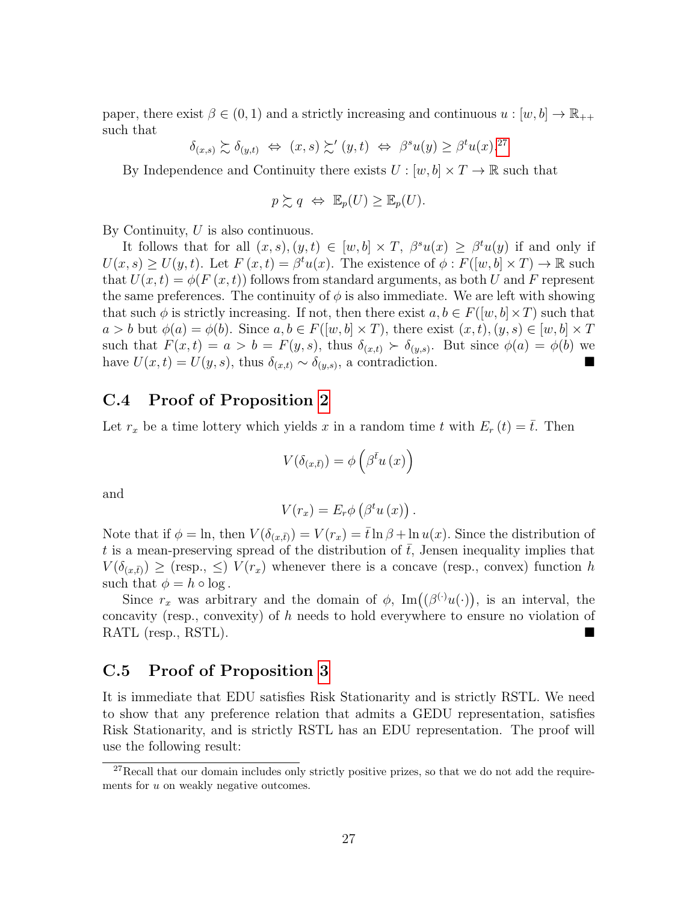paper, there exist  $\beta \in (0,1)$  and a strictly increasing and continuous  $u : [w, b] \to \mathbb{R}_{++}$ such that

$$
\delta_{(x,s)} \succsim \delta_{(y,t)} \iff (x,s) \succsim' (y,t) \iff \beta^s u(y) \geq \beta^t u(x).^{27}
$$

By Independence and Continuity there exists  $U : [w, b] \times T \to \mathbb{R}$  such that

$$
p \succsim q \Leftrightarrow \mathbb{E}_p(U) \geq \mathbb{E}_p(U).
$$

By Continuity,  $U$  is also continuous.

It follows that for all  $(x, s), (y, t) \in [w, b] \times T$ ,  $\beta^{s}u(x) \geq \beta^{t}u(y)$  if and only if  $U(x, s) \ge U(y, t)$ . Let  $F(x, t) = \beta^t u(x)$ . The existence of  $\phi : F([w, b] \times T) \to \mathbb{R}$  such that  $U(x,t) = \phi(F(x,t))$  follows from standard arguments, as both U and F represent the same preferences. The continuity of  $\phi$  is also immediate. We are left with showing that such  $\phi$  is strictly increasing. If not, then there exist  $a, b \in F([w, b] \times T)$  such that  $a > b$  but  $\phi(a) = \phi(b)$ . Since  $a, b \in F([w, b] \times T)$ , there exist  $(x, t), (y, s) \in [w, b] \times T$ such that  $F(x,t) = a > b = F(y,s)$ , thus  $\delta_{(x,t)} \succ \delta_{(y,s)}$ . But since  $\phi(a) = \phi(b)$  we have  $U(x,t) = U(y,s)$ , thus  $\delta_{(x,t)} \sim \delta_{(y,s)}$ , a contradiction.

#### C.4 Proof of Proposition [2](#page-16-4)

Let  $r_x$  be a time lottery which yields x in a random time t with  $E_r(t) = \overline{t}$ . Then

$$
V(\delta_{(x,\bar{t})}) = \phi\left(\beta^{\bar{t}}u\left(x\right)\right)
$$

and

$$
V(r_x) = E_r \phi \left( \beta^t u \left( x \right) \right).
$$

Note that if  $\phi = \ln$ , then  $V(\delta_{(x,\bar{t})}) = V(r_x) = \bar{t} \ln \beta + \ln u(x)$ . Since the distribution of t is a mean-preserving spread of the distribution of  $\bar{t}$ , Jensen inequality implies that  $V(\delta_{(x,\bar{t})}) \geq$  (resp.,  $\leq$ )  $V(r_x)$  whenever there is a concave (resp., convex) function h such that  $\phi = h \circ \log$ .

Since  $r_x$  was arbitrary and the domain of  $\phi$ , Im $((\beta^{(\cdot)}u(\cdot))$ , is an interval, the concavity (resp., convexity) of h needs to hold everywhere to ensure no violation of RATL (resp., RSTL).

#### C.5 Proof of Proposition [3](#page-17-3)

It is immediate that EDU satisfies Risk Stationarity and is strictly RSTL. We need to show that any preference relation that admits a GEDU representation, satisfies Risk Stationarity, and is strictly RSTL has an EDU representation. The proof will use the following result:

<span id="page-27-0"></span> $27$ Recall that our domain includes only strictly positive prizes, so that we do not add the requirements for u on weakly negative outcomes.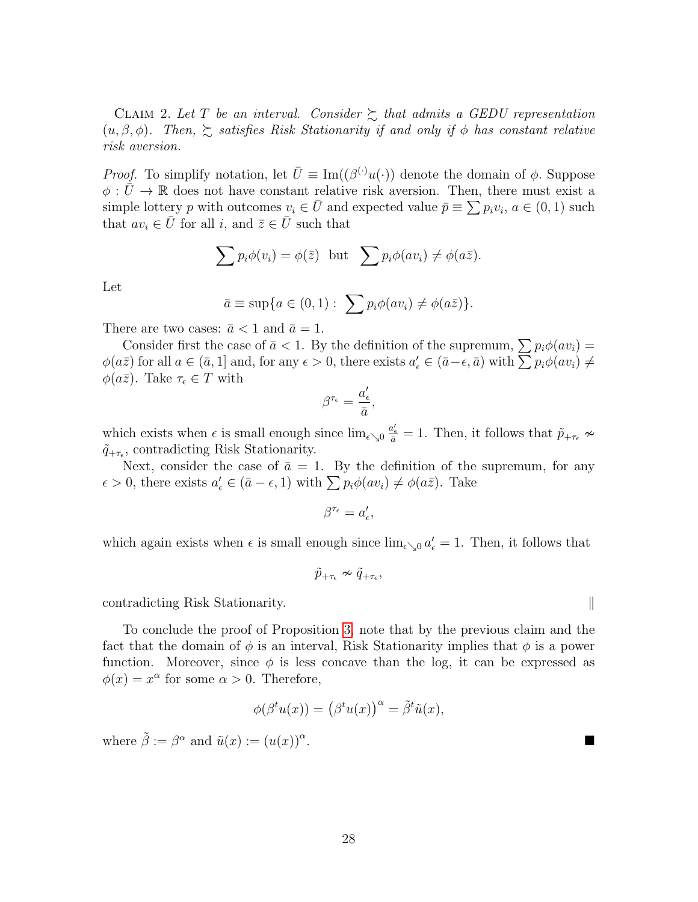CLAIM 2. Let T be an interval. Consider  $\sum$  that admits a GEDU representation  $(u, \beta, \phi)$ . Then,  $\sum$  satisfies Risk Stationarity if and only if  $\phi$  has constant relative risk aversion.

*Proof.* To simplify notation, let  $\overline{U} \equiv \text{Im}((\beta^{(\cdot)}u(\cdot))$  denote the domain of  $\phi$ . Suppose  $\phi : \bar{U} \to \mathbb{R}$  does not have constant relative risk aversion. Then, there must exist a simple lottery p with outcomes  $v_i \in \overline{U}$  and expected value  $\overline{p} \equiv \sum p_i v_i, a \in (0, 1)$  such that  $av_i \in \overline{U}$  for all i, and  $\overline{z} \in \overline{U}$  such that

$$
\sum p_i \phi(v_i) = \phi(\bar{z}) \text{ but } \sum p_i \phi(av_i) \neq \phi(a\bar{z}).
$$

Let

$$
\bar{a} \equiv \sup\{a \in (0,1): \sum p_i \phi(av_i) \neq \phi(a\bar{z})\}.
$$

There are two cases:  $\bar{a} < 1$  and  $\bar{a} = 1$ .

Consider first the case of  $\bar{a} < 1$ . By the definition of the supremum,  $\sum p_i \phi(av_i) =$  $\phi(a\bar{z})$  for all  $a \in (\bar{a}, 1]$  and, for any  $\epsilon > 0$ , there exists  $a'_{\epsilon} \in (\bar{a}-\epsilon, \bar{a})$  with  $\sum p_i \phi(av_i) \neq \epsilon$  $\phi(a\bar{z})$ . Take  $\tau_{\epsilon} \in T$  with

$$
\beta^{\tau_\epsilon}=\frac{a_\epsilon'}{\bar{a}},
$$

which exists when  $\epsilon$  is small enough since  $\lim_{\epsilon \searrow 0} \frac{a_{\epsilon}'}{a} = 1$ . Then, it follows that  $\tilde{p}_{+\tau_{\epsilon}} \nsim$  $\tilde{q}_{+\tau_{\epsilon}}$ , contradicting Risk Stationarity.

Next, consider the case of  $\bar{a} = 1$ . By the definition of the supremum, for any  $\epsilon > 0$ , there exists  $a'_{\epsilon} \in (\bar{a} - \epsilon, 1)$  with  $\sum p_i \phi(av_i) \neq \phi(a\bar{z})$ . Take

$$
\beta^{\tau_\epsilon}=a_\epsilon',
$$

which again exists when  $\epsilon$  is small enough since  $\lim_{\epsilon \searrow 0} a_{\epsilon}' = 1$ . Then, it follows that

$$
\tilde{p}_{+\tau_{\epsilon}}\nsim\tilde{q}_{+\tau_{\epsilon}},
$$

contradicting Risk Stationarity.

To conclude the proof of Proposition [3,](#page-17-3) note that by the previous claim and the fact that the domain of  $\phi$  is an interval, Risk Stationarity implies that  $\phi$  is a power function. Moreover, since  $\phi$  is less concave than the log, it can be expressed as  $\phi(x) = x^{\alpha}$  for some  $\alpha > 0$ . Therefore,

$$
\phi(\beta^t u(x)) = (\beta^t u(x))^{\alpha} = \tilde{\beta}^t \tilde{u}(x),
$$

where  $\tilde{\beta} := \beta^{\alpha}$  and  $\tilde{u}(x) := (u(x))^{\alpha}$ .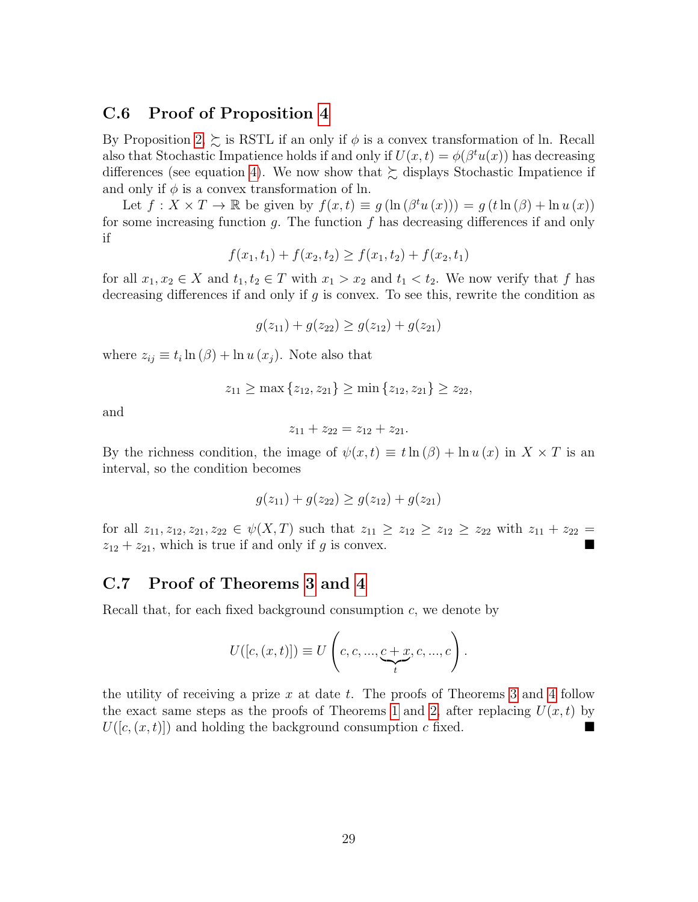#### C.6 Proof of Proposition [4](#page-18-0)

By Proposition [2,](#page-16-4)  $\succsim$  is RSTL if an only if  $\phi$  is a convex transformation of ln. Recall also that Stochastic Impatience holds if and only if  $U(x,t) = \phi(\beta^t u(x))$  has decreasing differences (see equation [4\)](#page-10-3). We now show that  $\succsim$  displays Stochastic Impatience if and only if  $\phi$  is a convex transformation of ln.

Let  $f: X \times T \to \mathbb{R}$  be given by  $f(x,t) \equiv g(\ln(\beta^t u(x))) = g(t \ln(\beta) + \ln u(x))$ for some increasing function g. The function f has decreasing differences if and only if

$$
f(x_1, t_1) + f(x_2, t_2) \ge f(x_1, t_2) + f(x_2, t_1)
$$

for all  $x_1, x_2 \in X$  and  $t_1, t_2 \in T$  with  $x_1 > x_2$  and  $t_1 < t_2$ . We now verify that f has decreasing differences if and only if q is convex. To see this, rewrite the condition as

$$
g(z_{11}) + g(z_{22}) \ge g(z_{12}) + g(z_{21})
$$

where  $z_{ij} \equiv t_i \ln(\beta) + \ln u(x_j)$ . Note also that

$$
z_{11} \ge \max\{z_{12}, z_{21}\} \ge \min\{z_{12}, z_{21}\} \ge z_{22},
$$

and

$$
z_{11} + z_{22} = z_{12} + z_{21}.
$$

By the richness condition, the image of  $\psi(x,t) \equiv t \ln(\beta) + \ln u(x)$  in  $X \times T$  is an interval, so the condition becomes

$$
g(z_{11}) + g(z_{22}) \ge g(z_{12}) + g(z_{21})
$$

for all  $z_{11}, z_{12}, z_{21}, z_{22} \in \psi(X, T)$  such that  $z_{11} \geq z_{12} \geq z_{12} \geq z_{22}$  with  $z_{11} + z_{22} =$  $z_{12} + z_{21}$ , which is true if and only if g is convex.

#### C.7 Proof of Theorems [3](#page-21-2) and [4](#page-21-3)

Recall that, for each fixed background consumption c, we denote by

$$
U([c, (x, t)]) \equiv U\left(c, c, ..., \underbrace{c + x}_{t}, c, ..., c\right).
$$

<span id="page-29-0"></span>the utility of receiving a prize  $x$  at date  $t$ . The proofs of Theorems [3](#page-21-2) and [4](#page-21-3) follow the exact same steps as the proofs of Theorems [1](#page-11-0) and [2,](#page-13-1) after replacing  $U(x,t)$  by  $U([c,(x,t)])$  and holding the background consumption c fixed.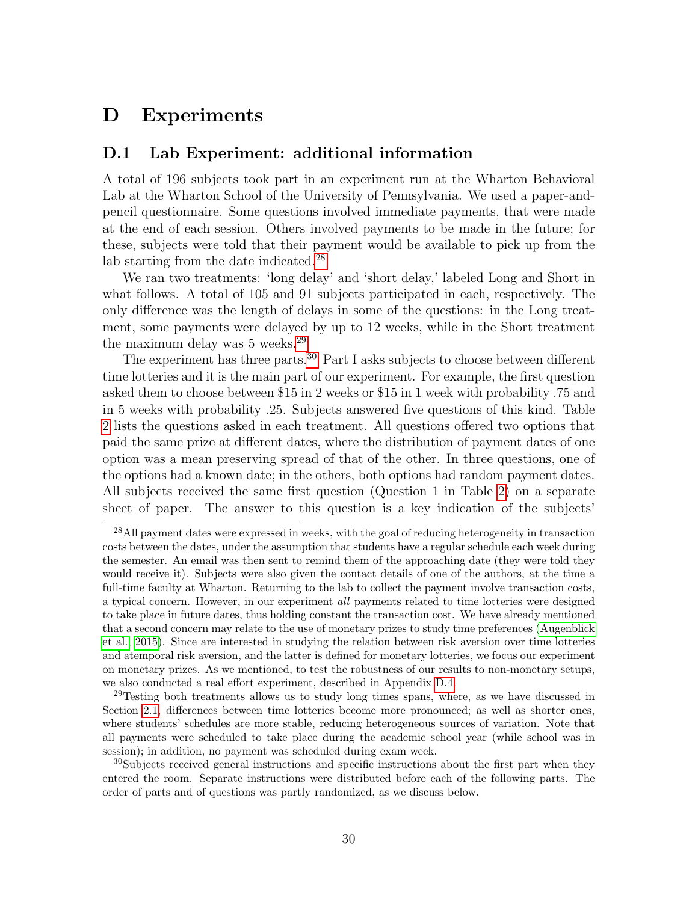## D Experiments

#### D.1 Lab Experiment: additional information

A total of 196 subjects took part in an experiment run at the Wharton Behavioral Lab at the Wharton School of the University of Pennsylvania. We used a paper-andpencil questionnaire. Some questions involved immediate payments, that were made at the end of each session. Others involved payments to be made in the future; for these, subjects were told that their payment would be available to pick up from the lab starting from the date indicated.[28](#page-30-0)

We ran two treatments: 'long delay' and 'short delay,' labeled Long and Short in what follows. A total of 105 and 91 subjects participated in each, respectively. The only difference was the length of delays in some of the questions: in the Long treatment, some payments were delayed by up to 12 weeks, while in the Short treatment the maximum delay was 5 weeks.<sup>[29](#page-30-1)</sup>

The experiment has three parts.<sup>[30](#page-30-2)</sup> Part I asks subjects to choose between different time lotteries and it is the main part of our experiment. For example, the first question asked them to choose between \$15 in 2 weeks or \$15 in 1 week with probability .75 and in 5 weeks with probability .25. Subjects answered five questions of this kind. Table [2](#page-31-0) lists the questions asked in each treatment. All questions offered two options that paid the same prize at different dates, where the distribution of payment dates of one option was a mean preserving spread of that of the other. In three questions, one of the options had a known date; in the others, both options had random payment dates. All subjects received the same first question (Question 1 in Table [2\)](#page-31-0) on a separate sheet of paper. The answer to this question is a key indication of the subjects'

<span id="page-30-0"></span><sup>28</sup>All payment dates were expressed in weeks, with the goal of reducing heterogeneity in transaction costs between the dates, under the assumption that students have a regular schedule each week during the semester. An email was then sent to remind them of the approaching date (they were told they would receive it). Subjects were also given the contact details of one of the authors, at the time a full-time faculty at Wharton. Returning to the lab to collect the payment involve transaction costs, a typical concern. However, in our experiment all payments related to time lotteries were designed to take place in future dates, thus holding constant the transaction cost. We have already mentioned that a second concern may relate to the use of monetary prizes to study time preferences [\(Augenblick](#page-41-11) [et al., 2015\)](#page-41-11). Since are interested in studying the relation between risk aversion over time lotteries and atemporal risk aversion, and the latter is defined for monetary lotteries, we focus our experiment on monetary prizes. As we mentioned, to test the robustness of our results to non-monetary setups, we also conducted a real effort experiment, described in Appendix [D.4.](#page-37-0)

<span id="page-30-1"></span> $29$ Testing both treatments allows us to study long times spans, where, as we have discussed in Section [2.1,](#page-6-0) differences between time lotteries become more pronounced; as well as shorter ones, where students' schedules are more stable, reducing heterogeneous sources of variation. Note that all payments were scheduled to take place during the academic school year (while school was in session); in addition, no payment was scheduled during exam week.

<span id="page-30-2"></span><sup>&</sup>lt;sup>30</sup>Subjects received general instructions and specific instructions about the first part when they entered the room. Separate instructions were distributed before each of the following parts. The order of parts and of questions was partly randomized, as we discuss below.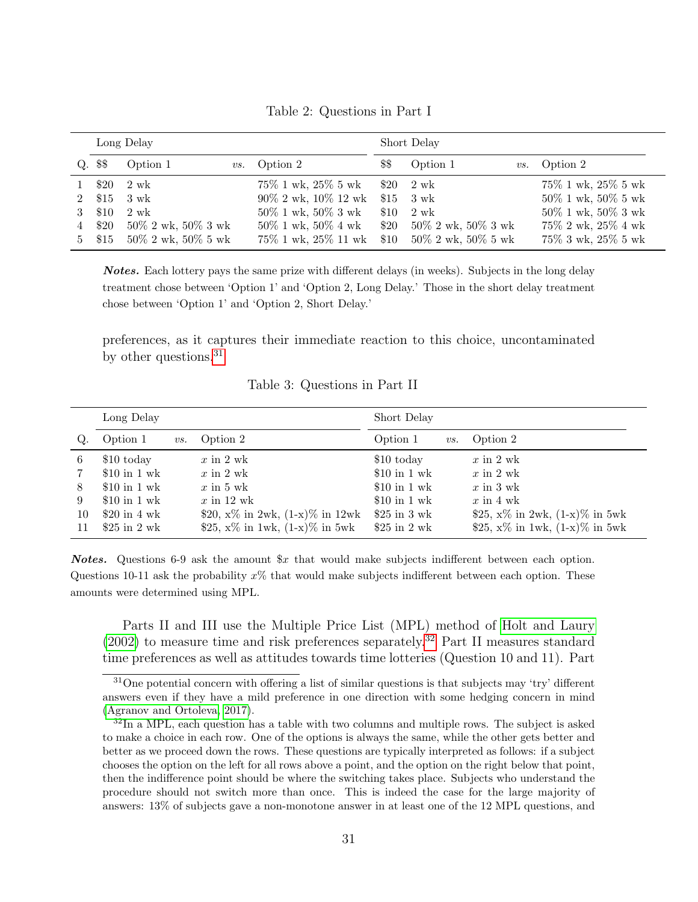<span id="page-31-0"></span>

|             |         | Long Delay               |                                     | Short Delay |                            |                          |  |
|-------------|---------|--------------------------|-------------------------------------|-------------|----------------------------|--------------------------|--|
|             | Q. \$\$ | Option 1                 | <i>vs.</i> Option 2                 | \$\$        | Option 1                   | <i>vs.</i> Option 2      |  |
|             | \$20    | 2 wk                     | $75\%$ 1 wk, $25\%$ 5 wk $$20$ 2 wk |             |                            | $75\%$ 1 wk, $25\%$ 5 wk |  |
| $2^{\circ}$ | $\$15$  | 3 wk                     | $90\%$ 2 wk, $10\%$ 12 wk           |             | $$15 \quad 3 \text{ wk}$   | $50\%$ 1 wk, $50\%$ 5 wk |  |
|             | \$10    | 2 wk                     | $50\%$ 1 wk, $50\%$ 3 wk            | \$10        | 2 wk                       | $50\%$ 1 wk, $50\%$ 3 wk |  |
| 4           | \$20    | $50\%$ 2 wk, $50\%$ 3 wk | $50\%$ 1 wk, $50\%$ 4 wk            | $\$20$      | $50\%$ 2 wk, $50\%$ 3 wk   | 75\% 2 wk, 25\% 4 wk     |  |
|             | 5 \$15  | $50\%$ 2 wk, $50\%$ 5 wk | 75\% 1 wk, 25\% 11 wk               |             | \$10 $50\%$ 2 wk, 50% 5 wk | 75\% 3 wk, 25\% 5 wk     |  |

Table 2: Questions in Part I

Notes. Each lottery pays the same prize with different delays (in weeks). Subjects in the long delay treatment chose between 'Option 1' and 'Option 2, Long Delay.' Those in the short delay treatment chose between 'Option 1' and 'Option 2, Short Delay.'

<span id="page-31-3"></span>preferences, as it captures their immediate reaction to this choice, uncontaminated by other questions.[31](#page-31-1)

|               | Long Delay                                              |                                                                                               | Short Delay                                              |                                                                                                                         |
|---------------|---------------------------------------------------------|-----------------------------------------------------------------------------------------------|----------------------------------------------------------|-------------------------------------------------------------------------------------------------------------------------|
| Q.            | Option 1<br>$\mathit{vs.}$                              | Option 2                                                                                      | Option 1<br>$\mathit{vs.}$                               | Option 2                                                                                                                |
| 6<br>8        | $$10$ today<br>$$10$ in 1 wk<br>$$10$ in 1 wk           | $x$ in 2 wk<br>$x$ in 2 wk<br>$x \in \mathcal{S}$ wk                                          | \$10 today<br>$$10$ in 1 wk<br>$$10$ in 1 wk             | $x$ in 2 wk<br>$x$ in 2 wk<br>$x \in \mathcal{S}$ wk                                                                    |
| 9<br>10<br>11 | $$10$ in 1 wk<br>\$20 in 4 wk<br>\$25 in $2 \text{ wk}$ | $x$ in 12 wk<br>\$20, $x\%$ in 2wk, $(1-x)\%$ in 12wk<br>\$25, $x\%$ in 1wk, $(1-x)\%$ in 5wk | $$10$ in 1 wk<br>$$25$ in 3 wk<br>\$25 in $2 \text{ wk}$ | $x \in \mathbb{R}^n$ and $\mathbb{R}^n$<br>\$25, $x\%$ in 2wk, $(1-x)\%$ in 5wk<br>\$25, $x\%$ in 1wk, $(1-x)\%$ in 5wk |

Table 3: Questions in Part II

**Notes.** Questions 6-9 ask the amount  $x$  that would make subjects indifferent between each option. Questions 10-11 ask the probability  $x\%$  that would make subjects indifferent between each option. These amounts were determined using MPL.

Parts II and III use the Multiple Price List (MPL) method of [Holt and Laury](#page-42-12)  $(2002)$  to measure time and risk preferences separately.<sup>[32](#page-31-2)</sup> Part II measures standard time preferences as well as attitudes towards time lotteries (Question 10 and 11). Part

<span id="page-31-1"></span><sup>31</sup>One potential concern with offering a list of similar questions is that subjects may 'try' different answers even if they have a mild preference in one direction with some hedging concern in mind [\(Agranov and Ortoleva, 2017\)](#page-41-12).

<span id="page-31-2"></span> $32$ In a MPL, each question has a table with two columns and multiple rows. The subject is asked to make a choice in each row. One of the options is always the same, while the other gets better and better as we proceed down the rows. These questions are typically interpreted as follows: if a subject chooses the option on the left for all rows above a point, and the option on the right below that point, then the indifference point should be where the switching takes place. Subjects who understand the procedure should not switch more than once. This is indeed the case for the large majority of answers: 13% of subjects gave a non-monotone answer in at least one of the 12 MPL questions, and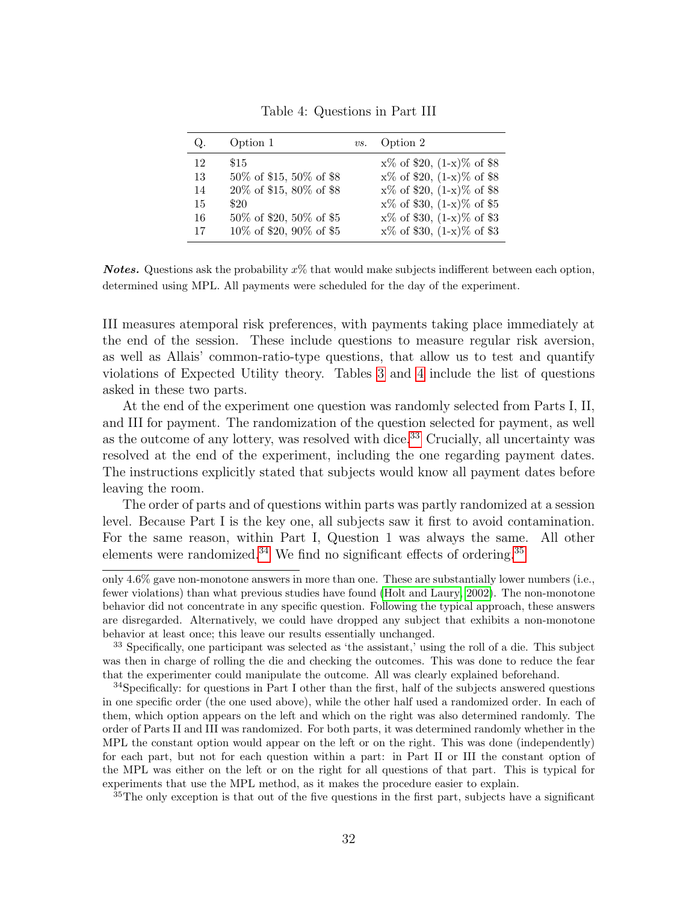<span id="page-32-0"></span>

| Q. | Option 1                  | $\mathit{vs.}$ | Option 2                        |
|----|---------------------------|----------------|---------------------------------|
| 12 | \$15                      |                | $x\%$ of \$20, $(1-x)\%$ of \$8 |
| 13 | 50% of \$15, 50% of \$8   |                | $x\%$ of \$20, $(1-x)\%$ of \$8 |
| 14 | 20% of \$15, 80% of \$8   |                | $x\%$ of \$20, $(1-x)\%$ of \$8 |
| 15 | \$20                      |                | $x\%$ of \$30, $(1-x)\%$ of \$5 |
| 16 | 50% of \$20, 50% of \$5   |                | $x\%$ of \$30, $(1-x)\%$ of \$3 |
| 17 | 10\% of \$20, 90\% of \$5 |                | $x\%$ of \$30, $(1-x)\%$ of \$3 |

Table 4: Questions in Part III

**Notes.** Questions ask the probability  $x\%$  that would make subjects indifferent between each option, determined using MPL. All payments were scheduled for the day of the experiment.

III measures atemporal risk preferences, with payments taking place immediately at the end of the session. These include questions to measure regular risk aversion, as well as Allais' common-ratio-type questions, that allow us to test and quantify violations of Expected Utility theory. Tables [3](#page-31-3) and [4](#page-32-0) include the list of questions asked in these two parts.

At the end of the experiment one question was randomly selected from Parts I, II, and III for payment. The randomization of the question selected for payment, as well as the outcome of any lottery, was resolved with dice.<sup>[33](#page-32-1)</sup> Crucially, all uncertainty was resolved at the end of the experiment, including the one regarding payment dates. The instructions explicitly stated that subjects would know all payment dates before leaving the room.

The order of parts and of questions within parts was partly randomized at a session level. Because Part I is the key one, all subjects saw it first to avoid contamination. For the same reason, within Part I, Question 1 was always the same. All other elements were randomized.<sup>[34](#page-32-2)</sup> We find no significant effects of ordering.<sup>[35](#page-32-3)</sup>

<span id="page-32-3"></span><sup>35</sup>The only exception is that out of the five questions in the first part, subjects have a significant

only 4.6% gave non-monotone answers in more than one. These are substantially lower numbers (i.e., fewer violations) than what previous studies have found [\(Holt and Laury, 2002\)](#page-42-12). The non-monotone behavior did not concentrate in any specific question. Following the typical approach, these answers are disregarded. Alternatively, we could have dropped any subject that exhibits a non-monotone behavior at least once; this leave our results essentially unchanged.

<span id="page-32-1"></span><sup>33</sup> Specifically, one participant was selected as 'the assistant,' using the roll of a die. This subject was then in charge of rolling the die and checking the outcomes. This was done to reduce the fear that the experimenter could manipulate the outcome. All was clearly explained beforehand.

<span id="page-32-2"></span><sup>&</sup>lt;sup>34</sup>Specifically: for questions in Part I other than the first, half of the subjects answered questions in one specific order (the one used above), while the other half used a randomized order. In each of them, which option appears on the left and which on the right was also determined randomly. The order of Parts II and III was randomized. For both parts, it was determined randomly whether in the MPL the constant option would appear on the left or on the right. This was done (independently) for each part, but not for each question within a part: in Part II or III the constant option of the MPL was either on the left or on the right for all questions of that part. This is typical for experiments that use the MPL method, as it makes the procedure easier to explain.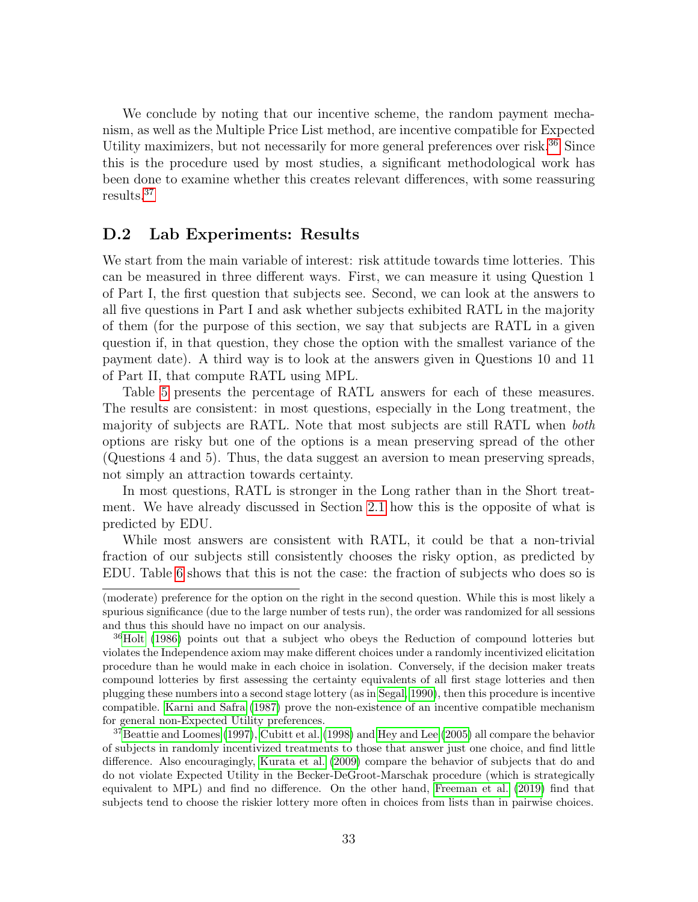We conclude by noting that our incentive scheme, the random payment mechanism, as well as the Multiple Price List method, are incentive compatible for Expected Utility maximizers, but not necessarily for more general preferences over risk.<sup>[36](#page-33-0)</sup> Since this is the procedure used by most studies, a significant methodological work has been done to examine whether this creates relevant differences, with some reassuring results.[37](#page-33-1)

#### D.2 Lab Experiments: Results

We start from the main variable of interest: risk attitude towards time lotteries. This can be measured in three different ways. First, we can measure it using Question 1 of Part I, the first question that subjects see. Second, we can look at the answers to all five questions in Part I and ask whether subjects exhibited RATL in the majority of them (for the purpose of this section, we say that subjects are RATL in a given question if, in that question, they chose the option with the smallest variance of the payment date). A third way is to look at the answers given in Questions 10 and 11 of Part II, that compute RATL using MPL.

Table [5](#page-34-1) presents the percentage of RATL answers for each of these measures. The results are consistent: in most questions, especially in the Long treatment, the majority of subjects are RATL. Note that most subjects are still RATL when both options are risky but one of the options is a mean preserving spread of the other (Questions 4 and 5). Thus, the data suggest an aversion to mean preserving spreads, not simply an attraction towards certainty.

In most questions, RATL is stronger in the Long rather than in the Short treatment. We have already discussed in Section [2.1](#page-6-0) how this is the opposite of what is predicted by EDU.

While most answers are consistent with RATL, it could be that a non-trivial fraction of our subjects still consistently chooses the risky option, as predicted by EDU. Table [6](#page-34-1) shows that this is not the case: the fraction of subjects who does so is

<sup>(</sup>moderate) preference for the option on the right in the second question. While this is most likely a spurious significance (due to the large number of tests run), the order was randomized for all sessions and thus this should have no impact on our analysis.

<span id="page-33-0"></span><sup>&</sup>lt;sup>36</sup>[Holt](#page-42-13) [\(1986\)](#page-42-13) points out that a subject who obeys the Reduction of compound lotteries but violates the Independence axiom may make different choices under a randomly incentivized elicitation procedure than he would make in each choice in isolation. Conversely, if the decision maker treats compound lotteries by first assessing the certainty equivalents of all first stage lotteries and then plugging these numbers into a second stage lottery (as in [Segal, 1990\)](#page-43-15), then this procedure is incentive compatible. [Karni and Safra](#page-43-16) [\(1987\)](#page-43-16) prove the non-existence of an incentive compatible mechanism for general non-Expected Utility preferences.

<span id="page-33-1"></span><sup>37</sup>[Beattie and Loomes](#page-41-13) [\(1997\)](#page-41-13), [Cubitt et al.](#page-42-14) [\(1998\)](#page-42-14) and [Hey and Lee](#page-42-15) [\(2005\)](#page-42-15) all compare the behavior of subjects in randomly incentivized treatments to those that answer just one choice, and find little difference. Also encouragingly, [Kurata et al.](#page-43-17) [\(2009\)](#page-43-17) compare the behavior of subjects that do and do not violate Expected Utility in the Becker-DeGroot-Marschak procedure (which is strategically equivalent to MPL) and find no difference. On the other hand, [Freeman et al.](#page-42-16) [\(2019\)](#page-42-16) find that subjects tend to choose the riskier lottery more often in choices from lists than in pairwise choices.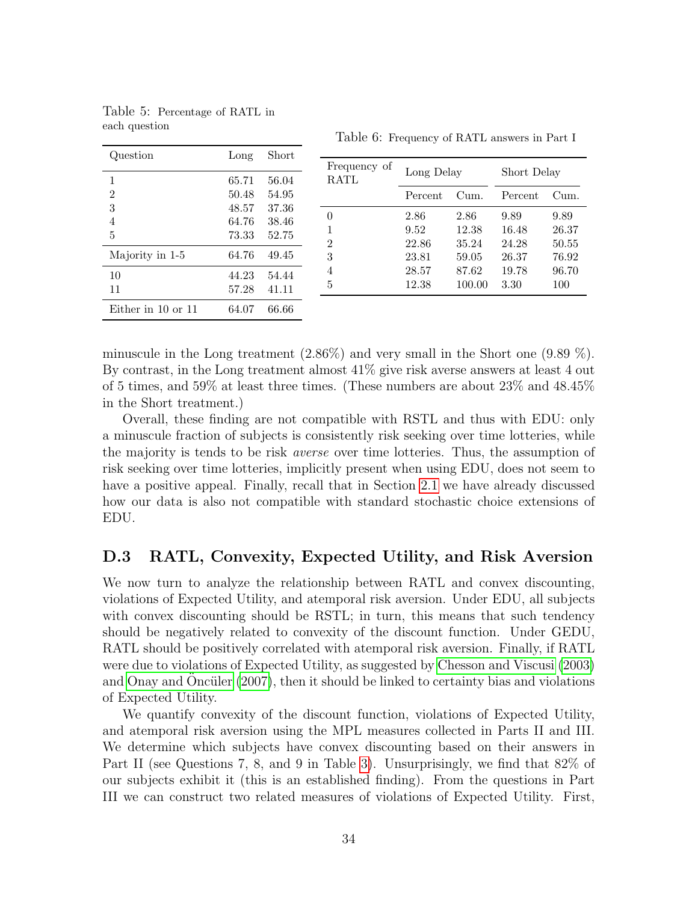| Question           | Long           | Short          |                      |                |                 |                |                |
|--------------------|----------------|----------------|----------------------|----------------|-----------------|----------------|----------------|
|                    | 65.71          | 56.04          | Frequency of<br>RATL | Long Delay     |                 | Short Delay    |                |
| $\overline{2}$     | 50.48          | 54.95          |                      | Percent        | Cum.            | Percent        | Cum.           |
| 3<br>4             | 48.57<br>64.76 | 37.36<br>38.46 | 0                    | 2.86           | 2.86            | 9.89           | 9.89           |
| 5                  | 73.33          | 52.75          | 2                    | 9.52<br>22.86  | 12.38<br>35.24  | 16.48<br>24.28 | 26.37<br>50.55 |
| Majority in 1-5    | 64.76          | 49.45          | 3                    | 23.81          | 59.05           | 26.37          | 76.92          |
| 10<br>11           | 44.23<br>57.28 | 54.44<br>41.11 | 4<br>5               | 28.57<br>12.38 | 87.62<br>100.00 | 19.78<br>3.30  | 96.70<br>100   |
| Either in 10 or 11 | 64.07          | 66.66          |                      |                |                 |                |                |

<span id="page-34-1"></span>Table 5: Percentage of RATL in each question

Table 6: Frequency of RATL answers in Part I

minuscule in the Long treatment  $(2.86\%)$  and very small in the Short one  $(9.89\%)$ . By contrast, in the Long treatment almost 41% give risk averse answers at least 4 out of 5 times, and 59% at least three times. (These numbers are about 23% and 48.45% in the Short treatment.)

Overall, these finding are not compatible with RSTL and thus with EDU: only a minuscule fraction of subjects is consistently risk seeking over time lotteries, while the majority is tends to be risk averse over time lotteries. Thus, the assumption of risk seeking over time lotteries, implicitly present when using EDU, does not seem to have a positive appeal. Finally, recall that in Section [2.1](#page-6-0) we have already discussed how our data is also not compatible with standard stochastic choice extensions of EDU.

#### <span id="page-34-0"></span>D.3 RATL, Convexity, Expected Utility, and Risk Aversion

We now turn to analyze the relationship between RATL and convex discounting, violations of Expected Utility, and atemporal risk aversion. Under EDU, all subjects with convex discounting should be RSTL; in turn, this means that such tendency should be negatively related to convexity of the discount function. Under GEDU, RATL should be positively correlated with atemporal risk aversion. Finally, if RATL were due to violations of Expected Utility, as suggested by [Chesson and Viscusi](#page-41-0) [\(2003\)](#page-41-0) and [Onay and](#page-43-2) Oncüler  $(2007)$ , then it should be linked to certainty bias and violations of Expected Utility.

We quantify convexity of the discount function, violations of Expected Utility, and atemporal risk aversion using the MPL measures collected in Parts II and III. We determine which subjects have convex discounting based on their answers in Part II (see Questions 7, 8, and 9 in Table [3\)](#page-31-3). Unsurprisingly, we find that 82% of our subjects exhibit it (this is an established finding). From the questions in Part III we can construct two related measures of violations of Expected Utility. First,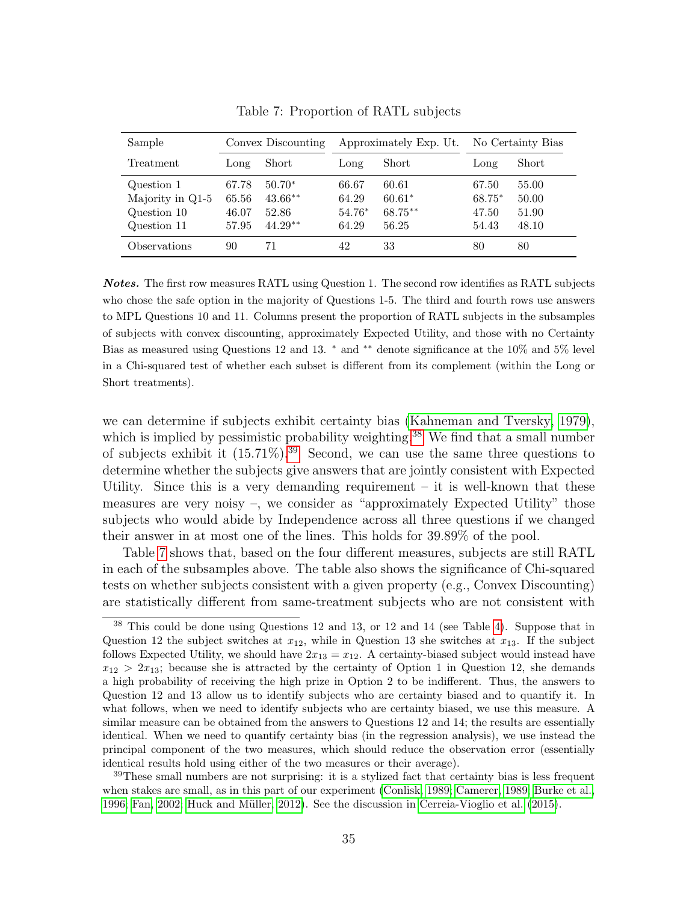<span id="page-35-2"></span>

| Sample                                                       |                                  | Convex Discounting                          |                                     | Approximately Exp. Ut.                | No Certainty Bias                   |                                  |
|--------------------------------------------------------------|----------------------------------|---------------------------------------------|-------------------------------------|---------------------------------------|-------------------------------------|----------------------------------|
| Treatment                                                    | Long                             | Short                                       | Long                                | Short                                 | Long                                | Short                            |
| Question 1<br>Majority in Q1-5<br>Question 10<br>Question 11 | 67.78<br>65.56<br>46.07<br>57.95 | $50.70*$<br>$43.66**$<br>52.86<br>$44.29**$ | 66.67<br>64.29<br>$54.76*$<br>64.29 | 60.61<br>$60.61*$<br>68.75**<br>56.25 | 67.50<br>$68.75*$<br>47.50<br>54.43 | 55.00<br>50.00<br>51.90<br>48.10 |
| Observations                                                 | 90                               | 71                                          | 42                                  | 33                                    | 80                                  | 80                               |

Table 7: Proportion of RATL subjects

Notes. The first row measures RATL using Question 1. The second row identifies as RATL subjects who chose the safe option in the majority of Questions 1-5. The third and fourth rows use answers to MPL Questions 10 and 11. Columns present the proportion of RATL subjects in the subsamples of subjects with convex discounting, approximately Expected Utility, and those with no Certainty Bias as measured using Questions 12 and 13. <sup>∗</sup> and ∗∗ denote significance at the 10% and 5% level in a Chi-squared test of whether each subset is different from its complement (within the Long or Short treatments).

we can determine if subjects exhibit certainty bias [\(Kahneman and Tversky, 1979\)](#page-43-18), which is implied by pessimistic probability weighting.<sup>[38](#page-35-0)</sup> We find that a small number of subjects exhibit it  $(15.71\%)$ .<sup>[39](#page-35-1)</sup> Second, we can use the same three questions to determine whether the subjects give answers that are jointly consistent with Expected Utility. Since this is a very demanding requirement  $-$  it is well-known that these measures are very noisy –, we consider as "approximately Expected Utility" those subjects who would abide by Independence across all three questions if we changed their answer in at most one of the lines. This holds for 39.89% of the pool.

Table [7](#page-35-2) shows that, based on the four different measures, subjects are still RATL in each of the subsamples above. The table also shows the significance of Chi-squared tests on whether subjects consistent with a given property (e.g., Convex Discounting) are statistically different from same-treatment subjects who are not consistent with

<span id="page-35-1"></span><sup>39</sup>These small numbers are not surprising: it is a stylized fact that certainty bias is less frequent when stakes are small, as in this part of our experiment [\(Conlisk, 1989;](#page-41-14) [Camerer, 1989;](#page-41-15) [Burke et al.,](#page-41-16) [1996;](#page-41-16) [Fan, 2002;](#page-42-17) Huck and Müller, 2012). See the discussion in [Cerreia-Vioglio et al.](#page-41-4) [\(2015\)](#page-41-4).

<span id="page-35-0"></span><sup>38</sup> This could be done using Questions 12 and 13, or 12 and 14 (see Table [4\)](#page-32-0). Suppose that in Question 12 the subject switches at  $x_{12}$ , while in Question 13 she switches at  $x_{13}$ . If the subject follows Expected Utility, we should have  $2x_{13} = x_{12}$ . A certainty-biased subject would instead have  $x_{12} > 2x_{13}$ ; because she is attracted by the certainty of Option 1 in Question 12, she demands a high probability of receiving the high prize in Option 2 to be indifferent. Thus, the answers to Question 12 and 13 allow us to identify subjects who are certainty biased and to quantify it. In what follows, when we need to identify subjects who are certainty biased, we use this measure. A similar measure can be obtained from the answers to Questions 12 and 14; the results are essentially identical. When we need to quantify certainty bias (in the regression analysis), we use instead the principal component of the two measures, which should reduce the observation error (essentially identical results hold using either of the two measures or their average).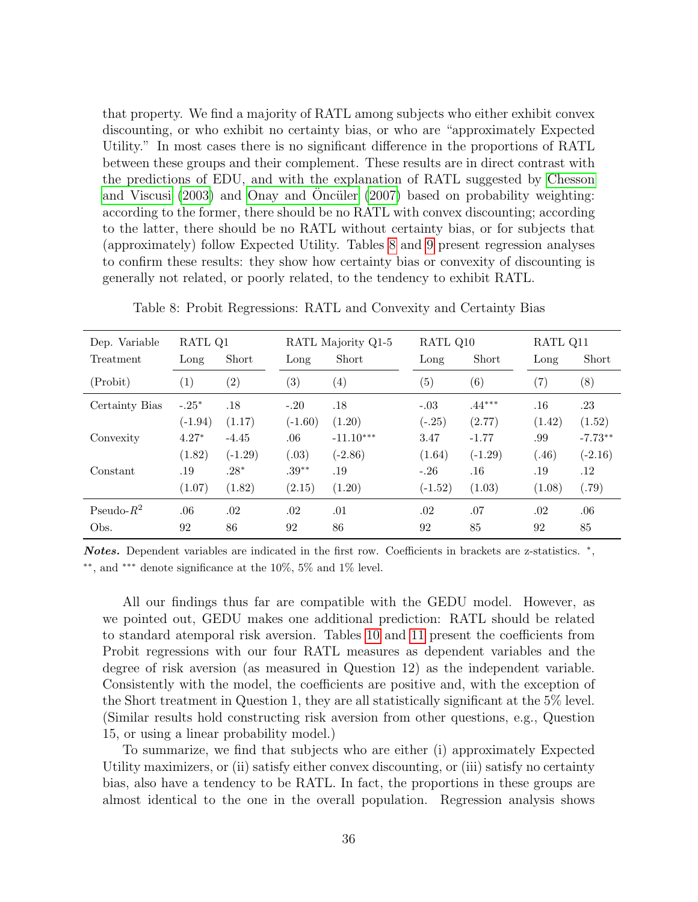that property. We find a majority of RATL among subjects who either exhibit convex discounting, or who exhibit no certainty bias, or who are "approximately Expected Utility." In most cases there is no significant difference in the proportions of RATL between these groups and their complement. These results are in direct contrast with the predictions of EDU, and with the explanation of RATL suggested by [Chesson](#page-41-0) [and Viscusi](#page-41-0)  $(2003)$  and [Onay and](#page-43-2) Oncüler  $(2007)$  based on probability weighting: according to the former, there should be no RATL with convex discounting; according to the latter, there should be no RATL without certainty bias, or for subjects that (approximately) follow Expected Utility. Tables [8](#page-36-0) and [9](#page-37-1) present regression analyses to confirm these results: they show how certainty bias or convexity of discounting is generally not related, or poorly related, to the tendency to exhibit RATL.

| Dep. Variable  | RATL Q1   |                   |                   | RATL Majority Q1-5 | RATL Q10  |           | RATL Q11 |           |
|----------------|-----------|-------------------|-------------------|--------------------|-----------|-----------|----------|-----------|
| Treatment      | Long      | Short             | Long              | Short              | Long      | Short     | Long     | Short     |
| (Probit)       | (1)       | $\left( 2\right)$ | $\left( 3\right)$ | $\left( 4\right)$  | (5)       | (6)       | (7)      | (8)       |
| Certainty Bias | $-.25*$   | .18               | $-.20$            | .18                | $-.03$    | $.44***$  | .16      | .23       |
|                | $(-1.94)$ | (1.17)            | $(-1.60)$         | (1.20)             | $(-.25)$  | (2.77)    | (1.42)   | (1.52)    |
| Convexity      | $4.27*$   | $-4.45$           | .06               | $-11.10***$        | 3.47      | $-1.77$   | .99      | $-7.73**$ |
|                | (1.82)    | $(-1.29)$         | (.03)             | $(-2.86)$          | (1.64)    | $(-1.29)$ | (.46)    | $(-2.16)$ |
| Constant       | .19       | $.28*$            | $.39**$           | .19                | $-.26$    | $.16\,$   | .19      | .12       |
|                | (1.07)    | (1.82)            | (2.15)            | (1.20)             | $(-1.52)$ | (1.03)    | (1.08)   | (.79)     |
| Pseudo- $R^2$  | .06       | .02               | .02               | .01                | .02       | .07       | .02      | .06       |
| Obs.           | 92        | 86                | 92                | 86                 | 92        | 85        | 92       | 85        |

<span id="page-36-0"></span>Table 8: Probit Regressions: RATL and Convexity and Certainty Bias

Notes. Dependent variables are indicated in the first row. Coefficients in brackets are z-statistics. \*, ∗∗, and ∗∗∗ denote significance at the 10%, 5% and 1% level.

All our findings thus far are compatible with the GEDU model. However, as we pointed out, GEDU makes one additional prediction: RATL should be related to standard atemporal risk aversion. Tables [10](#page-38-0) and [11](#page-38-1) present the coefficients from Probit regressions with our four RATL measures as dependent variables and the degree of risk aversion (as measured in Question 12) as the independent variable. Consistently with the model, the coefficients are positive and, with the exception of the Short treatment in Question 1, they are all statistically significant at the 5% level. (Similar results hold constructing risk aversion from other questions, e.g., Question 15, or using a linear probability model.)

To summarize, we find that subjects who are either (i) approximately Expected Utility maximizers, or (ii) satisfy either convex discounting, or (iii) satisfy no certainty bias, also have a tendency to be RATL. In fact, the proportions in these groups are almost identical to the one in the overall population. Regression analysis shows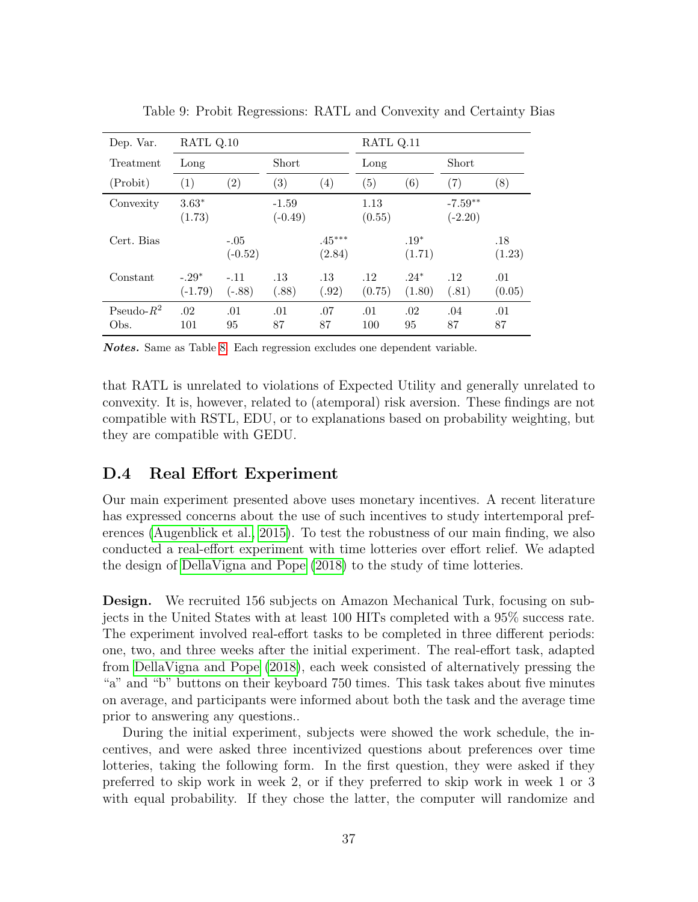<span id="page-37-1"></span>

| Dep. Var.             | RATL Q.10            |                     |                      |                    | RATL Q.11      |                   |                        |               |
|-----------------------|----------------------|---------------------|----------------------|--------------------|----------------|-------------------|------------------------|---------------|
| Treatment             | Long                 |                     | Short                |                    | Long           |                   | Short                  |               |
| (Probit)              | $\left( 1\right)$    | $\left( 2\right)$   | $\left( 3\right)$    | $\left( 4\right)$  | (5)            | $\left( 6\right)$ | (7)                    | (8)           |
| Convexity             | $3.63*$<br>(1.73)    |                     | $-1.59$<br>$(-0.49)$ |                    | 1.13<br>(0.55) |                   | $-7.59**$<br>$(-2.20)$ |               |
| Cert. Bias            |                      | $-.05$<br>$(-0.52)$ |                      | $.45***$<br>(2.84) |                | $.19*$<br>(1.71)  |                        | .18<br>(1.23) |
| Constant              | $-.29*$<br>$(-1.79)$ | $-.11$<br>$(-.88)$  | .13<br>(.88)         | .13<br>(.92)       | .12<br>(0.75)  | $.24*$<br>(1.80)  | .12<br>(.81)           | .01<br>(0.05) |
| Pseudo- $R^2$<br>Obs. | .02<br>101           | .01<br>95           | .01<br>87            | .07<br>87          | .01<br>100     | .02<br>95         | .04<br>87              | .01<br>87     |

Table 9: Probit Regressions: RATL and Convexity and Certainty Bias

Notes. Same as Table [8.](#page-36-0) Each regression excludes one dependent variable.

that RATL is unrelated to violations of Expected Utility and generally unrelated to convexity. It is, however, related to (atemporal) risk aversion. These findings are not compatible with RSTL, EDU, or to explanations based on probability weighting, but they are compatible with GEDU.

#### <span id="page-37-0"></span>D.4 Real Effort Experiment

Our main experiment presented above uses monetary incentives. A recent literature has expressed concerns about the use of such incentives to study intertemporal preferences [\(Augenblick et al., 2015\)](#page-41-11). To test the robustness of our main finding, we also conducted a real-effort experiment with time lotteries over effort relief. We adapted the design of [DellaVigna and Pope](#page-42-18) [\(2018\)](#page-42-18) to the study of time lotteries.

Design. We recruited 156 subjects on Amazon Mechanical Turk, focusing on subjects in the United States with at least 100 HITs completed with a 95% success rate. The experiment involved real-effort tasks to be completed in three different periods: one, two, and three weeks after the initial experiment. The real-effort task, adapted from [DellaVigna and Pope](#page-42-18) [\(2018\)](#page-42-18), each week consisted of alternatively pressing the "a" and "b" buttons on their keyboard 750 times. This task takes about five minutes on average, and participants were informed about both the task and the average time prior to answering any questions..

During the initial experiment, subjects were showed the work schedule, the incentives, and were asked three incentivized questions about preferences over time lotteries, taking the following form. In the first question, they were asked if they preferred to skip work in week 2, or if they preferred to skip work in week 1 or 3 with equal probability. If they chose the latter, the computer will randomize and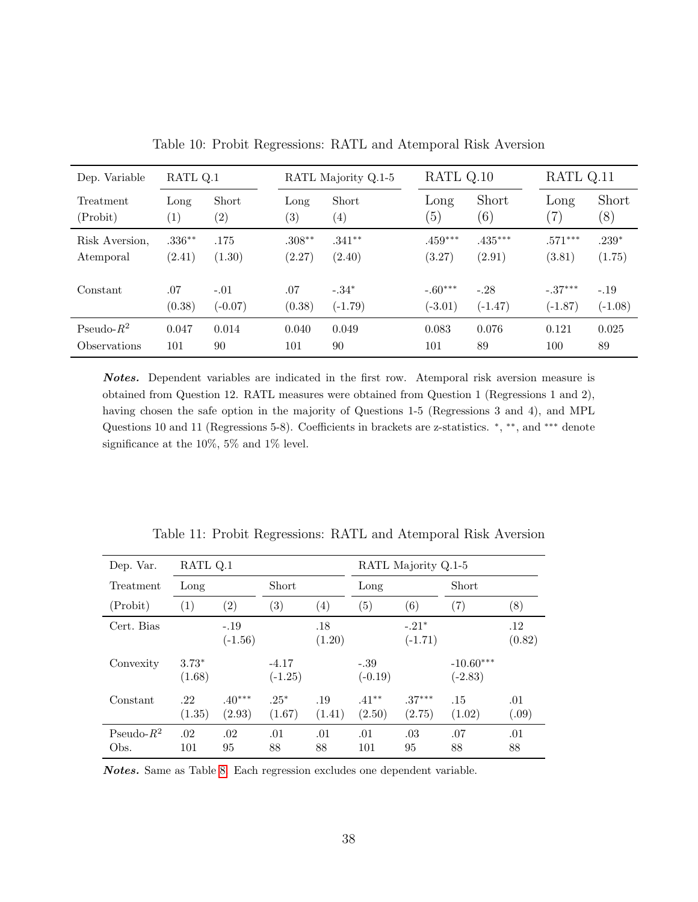<span id="page-38-0"></span>

| Dep. Variable       | RATL Q.1 |                   |                   | RATL Majority Q.1-5 | RATL Q.10 |           | RATL Q.11     |           |
|---------------------|----------|-------------------|-------------------|---------------------|-----------|-----------|---------------|-----------|
| Treatment           | Long     | Short             | Long              | Short               | Long      | Short     | Long          | Short     |
| (Probability)       | (1)      | $\left( 2\right)$ | $\left( 3\right)$ | $\left( 4\right)$   | (5)       | (6)       | $^{\prime}7)$ | (8)       |
| Risk Aversion,      | $.336**$ | .175              | $.308***$         | $.341**$            | $.459***$ | $.435***$ | $.571***$     | $.239*$   |
| Atemporal           | (2.41)   | (1.30)            | (2.27)            | (2.40)              | (3.27)    | (2.91)    | (3.81)        | (1.75)    |
| Constant            | .07      | $-.01$            | .07               | $-.34*$             | $-.60***$ | $-.28$    | $-.37***$     | $-.19$    |
|                     | (0.38)   | $(-0.07)$         | (0.38)            | $(-1.79)$           | $(-3.01)$ | $(-1.47)$ | $(-1.87)$     | $(-1.08)$ |
| Pseudo- $R^2$       | 0.047    | 0.014             | 0.040             | 0.049               | 0.083     | 0.076     | 0.121         | 0.025     |
| <b>Observations</b> | 101      | 90                | 101               | 90                  | 101       | 89        | 100           | 89        |

Table 10: Probit Regressions: RATL and Atemporal Risk Aversion

Notes. Dependent variables are indicated in the first row. Atemporal risk aversion measure is obtained from Question 12. RATL measures were obtained from Question 1 (Regressions 1 and 2), having chosen the safe option in the majority of Questions 1-5 (Regressions 3 and 4), and MPL Questions 10 and 11 (Regressions 5-8). Coefficients in brackets are z-statistics.  $*, **$ , and \*\*\* denote significance at the 10%, 5% and 1% level.

<span id="page-38-1"></span>

| Dep. Var.             | RATL Q.1          |                     |                      |                   |                     | RATL Majority Q.1-5  |                          |               |
|-----------------------|-------------------|---------------------|----------------------|-------------------|---------------------|----------------------|--------------------------|---------------|
| Treatment             | Long              |                     | Short                |                   | Long                |                      | Short                    |               |
| (Probit)              | (1)               | $\left( 2\right)$   | $\left( 3\right)$    | $\left( 4\right)$ | $\left(5\right)$    | (6)                  | (7)                      | (8)           |
| Cert. Bias            |                   | $-.19$<br>$(-1.56)$ |                      | .18<br>(1.20)     |                     | $-.21*$<br>$(-1.71)$ |                          | .12<br>(0.82) |
| Convexity             | $3.73*$<br>(1.68) |                     | $-4.17$<br>$(-1.25)$ |                   | $-.39$<br>$(-0.19)$ |                      | $-10.60***$<br>$(-2.83)$ |               |
| Constant              | .22<br>(1.35)     | $.40***$<br>(2.93)  | $.25*$<br>(1.67)     | .19<br>(1.41)     | $.41***$<br>(2.50)  | $.37***$<br>(2.75)   | .15<br>(1.02)            | .01<br>(.09)  |
| Pseudo- $R^2$<br>Obs. | .02<br>101        | .02<br>95           | .01<br>88            | .01<br>88         | .01<br>101          | .03<br>95            | .07<br>88                | .01<br>88     |

Table 11: Probit Regressions: RATL and Atemporal Risk Aversion

Notes. Same as Table [8.](#page-36-0) Each regression excludes one dependent variable.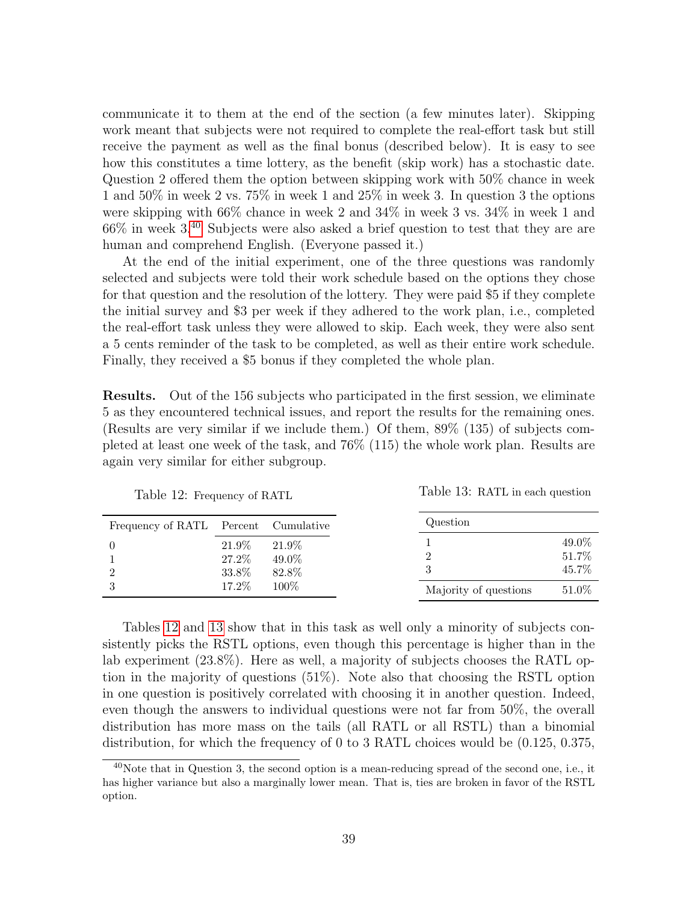communicate it to them at the end of the section (a few minutes later). Skipping work meant that subjects were not required to complete the real-effort task but still receive the payment as well as the final bonus (described below). It is easy to see how this constitutes a time lottery, as the benefit (skip work) has a stochastic date. Question 2 offered them the option between skipping work with 50% chance in week 1 and 50% in week 2 vs. 75% in week 1 and 25% in week 3. In question 3 the options were skipping with 66% chance in week 2 and 34% in week 3 vs. 34% in week 1 and  $66\%$  in week  $3<sup>40</sup>$  $3<sup>40</sup>$  $3<sup>40</sup>$  Subjects were also asked a brief question to test that they are are human and comprehend English. (Everyone passed it.)

At the end of the initial experiment, one of the three questions was randomly selected and subjects were told their work schedule based on the options they chose for that question and the resolution of the lottery. They were paid \$5 if they complete the initial survey and \$3 per week if they adhered to the work plan, i.e., completed the real-effort task unless they were allowed to skip. Each week, they were also sent a 5 cents reminder of the task to be completed, as well as their entire work schedule. Finally, they received a \$5 bonus if they completed the whole plan.

Results. Out of the 156 subjects who participated in the first session, we eliminate 5 as they encountered technical issues, and report the results for the remaining ones. (Results are very similar if we include them.) Of them, 89% (135) of subjects completed at least one week of the task, and 76% (115) the whole work plan. Results are again very similar for either subgroup.

<span id="page-39-1"></span>

| Frequency of RATL Percent Cumulative |                         |                         | Question              |                          |
|--------------------------------------|-------------------------|-------------------------|-----------------------|--------------------------|
| $\Omega$                             | 21.9%<br>27.2%<br>33.8% | 21.9%<br>49.0%<br>82.8% |                       | 49.0\%<br>51.7%<br>45.7% |
| 3                                    | 17.2%                   | 100\%                   | Majority of questions | $51.0\%$                 |

Table 13: RATL in each question

Table 12: Frequency of RATL

Tables [12](#page-39-1) and [13](#page-39-1) show that in this task as well only a minority of subjects consistently picks the RSTL options, even though this percentage is higher than in the lab experiment (23.8%). Here as well, a majority of subjects chooses the RATL option in the majority of questions (51%). Note also that choosing the RSTL option in one question is positively correlated with choosing it in another question. Indeed, even though the answers to individual questions were not far from 50%, the overall distribution has more mass on the tails (all RATL or all RSTL) than a binomial

distribution, for which the frequency of 0 to 3 RATL choices would be (0.125, 0.375,

<span id="page-39-0"></span><sup>40</sup>Note that in Question 3, the second option is a mean-reducing spread of the second one, i.e., it has higher variance but also a marginally lower mean. That is, ties are broken in favor of the RSTL option.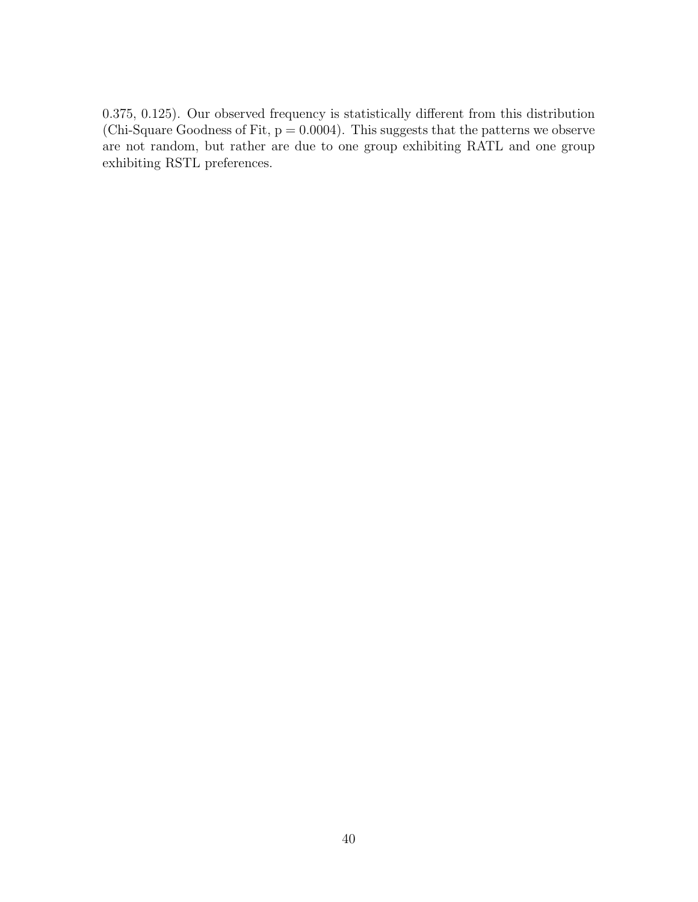0.375, 0.125). Our observed frequency is statistically different from this distribution (Chi-Square Goodness of Fit,  $p = 0.0004$ ). This suggests that the patterns we observe are not random, but rather are due to one group exhibiting RATL and one group exhibiting RSTL preferences.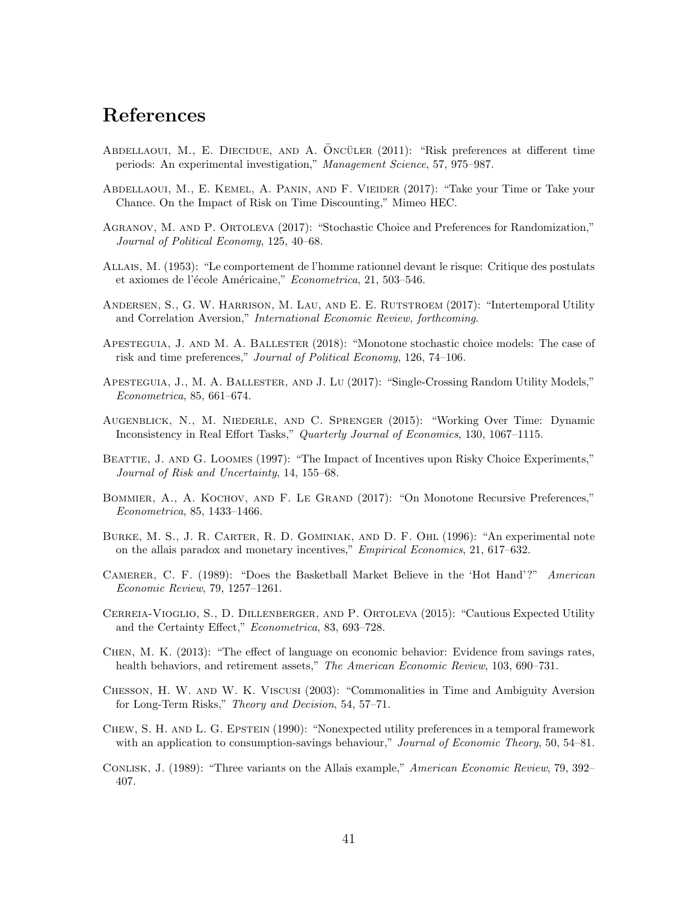## References

- <span id="page-41-10"></span>ABDELLAOUI, M., E. DIECIDUE, AND A. ÖNCÜLER (2011): "Risk preferences at different time periods: An experimental investigation," Management Science, 57, 975–987.
- <span id="page-41-9"></span>Abdellaoui, M., E. Kemel, A. Panin, and F. Vieider (2017): "Take your Time or Take your Chance. On the Impact of Risk on Time Discounting," Mimeo HEC.
- <span id="page-41-12"></span>Agranov, M. and P. Ortoleva (2017): "Stochastic Choice and Preferences for Randomization," Journal of Political Economy, 125, 40–68.
- <span id="page-41-5"></span>Allais, M. (1953): "Le comportement de l'homme rationnel devant le risque: Critique des postulats et axiomes de l'école Américaine," Econometrica, 21, 503-546.
- <span id="page-41-8"></span>ANDERSEN, S., G. W. HARRISON, M. LAU, AND E. E. RUTSTROEM (2017): "Intertemporal Utility and Correlation Aversion," International Economic Review, forthcoming.
- <span id="page-41-2"></span>Apesteguia, J. and M. A. Ballester (2018): "Monotone stochastic choice models: The case of risk and time preferences," Journal of Political Economy, 126, 74–106.
- <span id="page-41-3"></span>Apesteguia, J., M. A. Ballester, and J. Lu (2017): "Single-Crossing Random Utility Models," Econometrica, 85, 661–674.
- <span id="page-41-11"></span>Augenblick, N., M. Niederle, and C. Sprenger (2015): "Working Over Time: Dynamic Inconsistency in Real Effort Tasks," Quarterly Journal of Economics, 130, 1067–1115.
- <span id="page-41-13"></span>BEATTIE, J. AND G. LOOMES (1997): "The Impact of Incentives upon Risky Choice Experiments," Journal of Risk and Uncertainty, 14, 155–68.
- <span id="page-41-7"></span>BOMMIER, A., A. KOCHOV, AND F. LE GRAND (2017): "On Monotone Recursive Preferences," Econometrica, 85, 1433–1466.
- <span id="page-41-16"></span>Burke, M. S., J. R. Carter, R. D. Gominiak, and D. F. Ohl (1996): "An experimental note on the allais paradox and monetary incentives," Empirical Economics, 21, 617–632.
- <span id="page-41-15"></span>Camerer, C. F. (1989): "Does the Basketball Market Believe in the 'Hot Hand'?" American Economic Review, 79, 1257–1261.
- <span id="page-41-4"></span>Cerreia-Vioglio, S., D. Dillenberger, and P. Ortoleva (2015): "Cautious Expected Utility and the Certainty Effect," Econometrica, 83, 693–728.
- <span id="page-41-1"></span>Chen, M. K. (2013): "The effect of language on economic behavior: Evidence from savings rates, health behaviors, and retirement assets," The American Economic Review, 103, 690–731.
- <span id="page-41-0"></span>Chesson, H. W. and W. K. Viscusi (2003): "Commonalities in Time and Ambiguity Aversion for Long-Term Risks," Theory and Decision, 54, 57–71.
- <span id="page-41-6"></span>Chew, S. H. and L. G. Epstein (1990): "Nonexpected utility preferences in a temporal framework with an application to consumption-savings behaviour," Journal of Economic Theory, 50, 54-81.
- <span id="page-41-14"></span>CONLISK, J. (1989): "Three variants on the Allais example," American Economic Review, 79, 392– 407.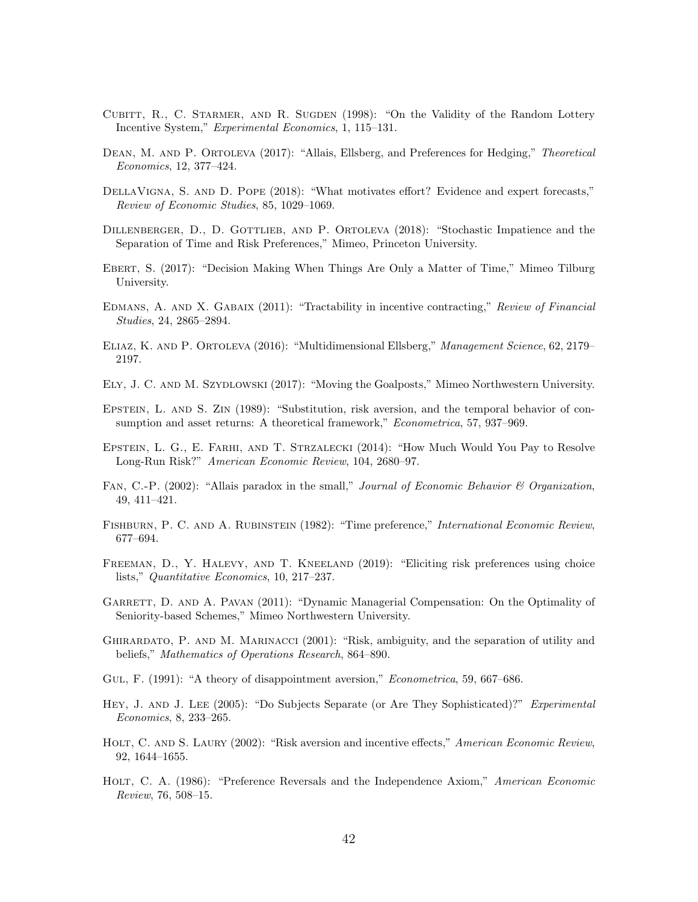- <span id="page-42-14"></span>CUBITT, R., C. STARMER, AND R. SUGDEN (1998): "On the Validity of the Random Lottery Incentive System," Experimental Economics, 1, 115–131.
- <span id="page-42-5"></span>DEAN, M. AND P. ORTOLEVA (2017): "Allais, Ellsberg, and Preferences for Hedging," Theoretical Economics, 12, 377–424.
- <span id="page-42-18"></span>DELLAVIGNA, S. AND D. POPE (2018): "What motivates effort? Evidence and expert forecasts," Review of Economic Studies, 85, 1029–1069.
- <span id="page-42-3"></span>DILLENBERGER, D., D. GOTTLIEB, AND P. ORTOLEVA (2018): "Stochastic Impatience and the Separation of Time and Risk Preferences," Mimeo, Princeton University.
- <span id="page-42-1"></span>Ebert, S. (2017): "Decision Making When Things Are Only a Matter of Time," Mimeo Tilburg University.
- <span id="page-42-9"></span>EDMANS, A. AND X. GABAIX (2011): "Tractability in incentive contracting," Review of Financial Studies, 24, 2865–2894.
- <span id="page-42-2"></span>Eliaz, K. and P. Ortoleva (2016): "Multidimensional Ellsberg," Management Science, 62, 2179– 2197.
- <span id="page-42-0"></span>Ely, J. C. and M. Szydlowski (2017): "Moving the Goalposts," Mimeo Northwestern University.
- <span id="page-42-8"></span>Epstein, L. and S. Zin (1989): "Substitution, risk aversion, and the temporal behavior of consumption and asset returns: A theoretical framework," Econometrica, 57, 937–969.
- <span id="page-42-11"></span>Epstein, L. G., E. Farhi, and T. Strzalecki (2014): "How Much Would You Pay to Resolve Long-Run Risk?" American Economic Review, 104, 2680–97.
- <span id="page-42-17"></span>FAN, C.-P. (2002): "Allais paradox in the small," Journal of Economic Behavior & Organization, 49, 411–421.
- <span id="page-42-7"></span>FISHBURN, P. C. AND A. RUBINSTEIN (1982): "Time preference," International Economic Review, 677–694.
- <span id="page-42-16"></span>FREEMAN, D., Y. HALEVY, AND T. KNEELAND (2019): "Eliciting risk preferences using choice lists," Quantitative Economics, 10, 217–237.
- <span id="page-42-10"></span>GARRETT, D. AND A. PAVAN (2011): "Dynamic Managerial Compensation: On the Optimality of Seniority-based Schemes," Mimeo Northwestern University.
- <span id="page-42-6"></span>Ghirardato, P. and M. Marinacci (2001): "Risk, ambiguity, and the separation of utility and beliefs," Mathematics of Operations Research, 864–890.
- <span id="page-42-4"></span>GUL, F. (1991): "A theory of disappointment aversion," *Econometrica*, 59, 667–686.
- <span id="page-42-15"></span>HEY, J. AND J. LEE (2005): "Do Subjects Separate (or Are They Sophisticated)?" Experimental Economics, 8, 233–265.
- <span id="page-42-12"></span>HOLT, C. AND S. LAURY (2002): "Risk aversion and incentive effects," American Economic Review, 92, 1644–1655.
- <span id="page-42-13"></span>HOLT, C. A. (1986): "Preference Reversals and the Independence Axiom," American Economic Review, 76, 508–15.